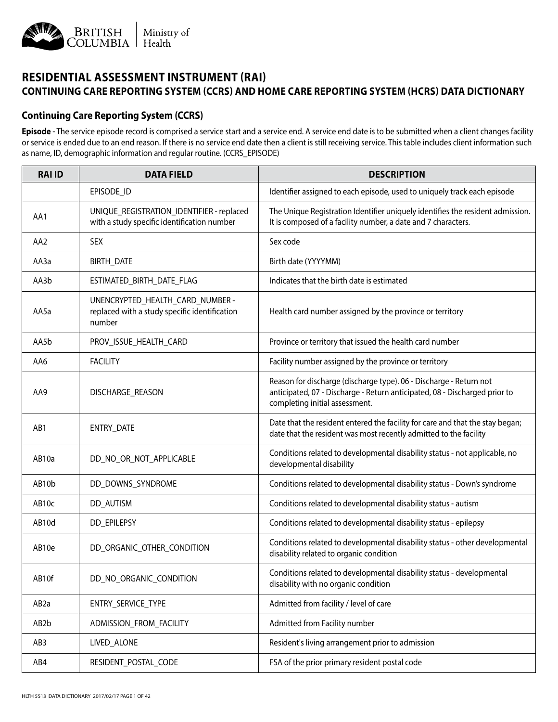

## **RESIDENTIAL ASSESSMENT INSTRUMENT (RAI) CONTINUING CARE REPORTING SYSTEM (CCRS) AND HOME CARE REPORTING SYSTEM (HCRS) DATA DICTIONARY**

## **Continuing Care Reporting System (CCRS)**

**Episode** - The service episode record is comprised a service start and a service end. A service end date is to be submitted when a client changes facility or service is ended due to an end reason. If there is no service end date then a client is still receiving service. This table includes client information such as name, ID, demographic information and regular routine. (CCRS\_EPISODE)

| <b>RAI ID</b>     | <b>DATA FIELD</b>                                                                           | <b>DESCRIPTION</b>                                                                                                                                                                 |
|-------------------|---------------------------------------------------------------------------------------------|------------------------------------------------------------------------------------------------------------------------------------------------------------------------------------|
|                   | EPISODE_ID                                                                                  | Identifier assigned to each episode, used to uniquely track each episode                                                                                                           |
| AA1               | UNIQUE_REGISTRATION_IDENTIFIER - replaced<br>with a study specific identification number    | The Unique Registration Identifier uniquely identifies the resident admission.<br>It is composed of a facility number, a date and 7 characters.                                    |
| AA2               | <b>SEX</b>                                                                                  | Sex code                                                                                                                                                                           |
| AA3a              | BIRTH_DATE                                                                                  | Birth date (YYYYMM)                                                                                                                                                                |
| AA3b              | ESTIMATED_BIRTH_DATE_FLAG                                                                   | Indicates that the birth date is estimated                                                                                                                                         |
| AA5a              | UNENCRYPTED_HEALTH_CARD_NUMBER -<br>replaced with a study specific identification<br>number | Health card number assigned by the province or territory                                                                                                                           |
| AA5b              | PROV_ISSUE_HEALTH_CARD                                                                      | Province or territory that issued the health card number                                                                                                                           |
| AA6               | <b>FACILITY</b>                                                                             | Facility number assigned by the province or territory                                                                                                                              |
| AA9               | DISCHARGE_REASON                                                                            | Reason for discharge (discharge type). 06 - Discharge - Return not<br>anticipated, 07 - Discharge - Return anticipated, 08 - Discharged prior to<br>completing initial assessment. |
| AB1               | ENTRY_DATE                                                                                  | Date that the resident entered the facility for care and that the stay began;<br>date that the resident was most recently admitted to the facility                                 |
| AB10a             | DD_NO_OR_NOT_APPLICABLE                                                                     | Conditions related to developmental disability status - not applicable, no<br>developmental disability                                                                             |
| AB10b             | DD_DOWNS_SYNDROME                                                                           | Conditions related to developmental disability status - Down's syndrome                                                                                                            |
| AB10c             | DD_AUTISM                                                                                   | Conditions related to developmental disability status - autism                                                                                                                     |
| AB10d             | <b>DD EPILEPSY</b>                                                                          | Conditions related to developmental disability status - epilepsy                                                                                                                   |
| AB10e             | DD_ORGANIC_OTHER_CONDITION                                                                  | Conditions related to developmental disability status - other developmental<br>disability related to organic condition                                                             |
| AB10f             | DD_NO_ORGANIC_CONDITION                                                                     | Conditions related to developmental disability status - developmental<br>disability with no organic condition                                                                      |
| AB <sub>2</sub> a | ENTRY_SERVICE_TYPE                                                                          | Admitted from facility / level of care                                                                                                                                             |
| AB2b              | ADMISSION_FROM_FACILITY                                                                     | Admitted from Facility number                                                                                                                                                      |
| AB3               | LIVED_ALONE                                                                                 | Resident's living arrangement prior to admission                                                                                                                                   |
| AB4               | RESIDENT POSTAL CODE                                                                        | FSA of the prior primary resident postal code                                                                                                                                      |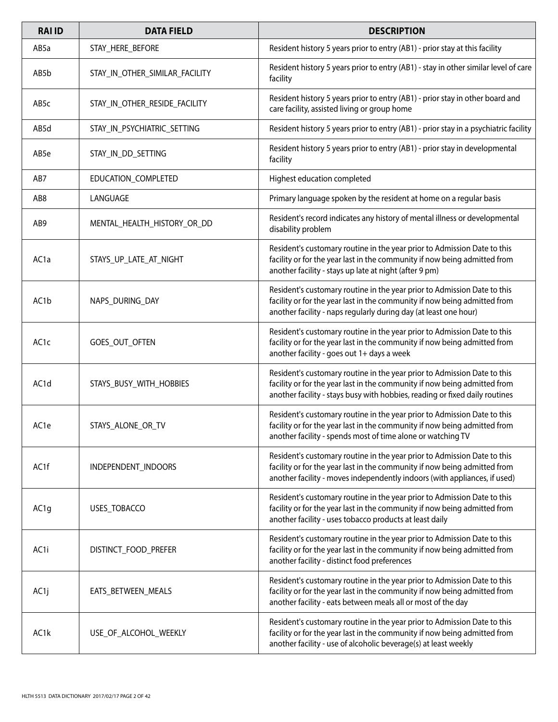| <b>RAI ID</b>     | <b>DATA FIELD</b>              | <b>DESCRIPTION</b>                                                                                                                                                                                                                   |
|-------------------|--------------------------------|--------------------------------------------------------------------------------------------------------------------------------------------------------------------------------------------------------------------------------------|
| AB5a              | STAY_HERE_BEFORE               | Resident history 5 years prior to entry (AB1) - prior stay at this facility                                                                                                                                                          |
| AB5b              | STAY_IN_OTHER_SIMILAR_FACILITY | Resident history 5 years prior to entry (AB1) - stay in other similar level of care<br>facility                                                                                                                                      |
| AB5c              | STAY_IN_OTHER_RESIDE_FACILITY  | Resident history 5 years prior to entry (AB1) - prior stay in other board and<br>care facility, assisted living or group home                                                                                                        |
| AB5d              | STAY_IN_PSYCHIATRIC_SETTING    | Resident history 5 years prior to entry (AB1) - prior stay in a psychiatric facility                                                                                                                                                 |
| AB5e              | STAY_IN_DD_SETTING             | Resident history 5 years prior to entry (AB1) - prior stay in developmental<br>facility                                                                                                                                              |
| AB7               | EDUCATION_COMPLETED            | Highest education completed                                                                                                                                                                                                          |
| AB8               | LANGUAGE                       | Primary language spoken by the resident at home on a regular basis                                                                                                                                                                   |
| AB9               | MENTAL_HEALTH_HISTORY_OR_DD    | Resident's record indicates any history of mental illness or developmental<br>disability problem                                                                                                                                     |
| AC <sub>1</sub> a | STAYS_UP_LATE_AT_NIGHT         | Resident's customary routine in the year prior to Admission Date to this<br>facility or for the year last in the community if now being admitted from<br>another facility - stays up late at night (after 9 pm)                      |
| AC1b              | NAPS_DURING_DAY                | Resident's customary routine in the year prior to Admission Date to this<br>facility or for the year last in the community if now being admitted from<br>another facility - naps regularly during day (at least one hour)            |
| AC <sub>1</sub> c | GOES_OUT_OFTEN                 | Resident's customary routine in the year prior to Admission Date to this<br>facility or for the year last in the community if now being admitted from<br>another facility - goes out 1+ days a week                                  |
| AC <sub>1</sub> d | STAYS_BUSY_WITH_HOBBIES        | Resident's customary routine in the year prior to Admission Date to this<br>facility or for the year last in the community if now being admitted from<br>another facility - stays busy with hobbies, reading or fixed daily routines |
| AC1e              | STAYS_ALONE_OR_TV              | Resident's customary routine in the year prior to Admission Date to this<br>facility or for the year last in the community if now being admitted from<br>another facility - spends most of time alone or watching TV                 |
| AC1f              | INDEPENDENT INDOORS            | Resident's customary routine in the year prior to Admission Date to this<br>facility or for the year last in the community if now being admitted from<br>another facility - moves independently indoors (with appliances, if used)   |
| AC <sub>1g</sub>  | USES_TOBACCO                   | Resident's customary routine in the year prior to Admission Date to this<br>facility or for the year last in the community if now being admitted from<br>another facility - uses tobacco products at least daily                     |
| AC1i              | DISTINCT_FOOD_PREFER           | Resident's customary routine in the year prior to Admission Date to this<br>facility or for the year last in the community if now being admitted from<br>another facility - distinct food preferences                                |
| AC <sub>1</sub> j | EATS_BETWEEN_MEALS             | Resident's customary routine in the year prior to Admission Date to this<br>facility or for the year last in the community if now being admitted from<br>another facility - eats between meals all or most of the day                |
| AC1k              | USE_OF_ALCOHOL_WEEKLY          | Resident's customary routine in the year prior to Admission Date to this<br>facility or for the year last in the community if now being admitted from<br>another facility - use of alcoholic beverage(s) at least weekly             |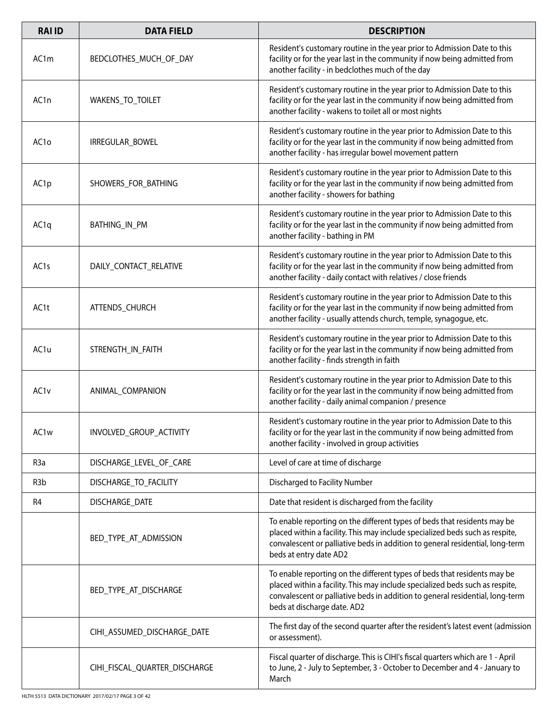| <b>RAI ID</b>     | <b>DATA FIELD</b>             | <b>DESCRIPTION</b>                                                                                                                                                                                                                                                       |
|-------------------|-------------------------------|--------------------------------------------------------------------------------------------------------------------------------------------------------------------------------------------------------------------------------------------------------------------------|
| AC1m              | BEDCLOTHES_MUCH_OF_DAY        | Resident's customary routine in the year prior to Admission Date to this<br>facility or for the year last in the community if now being admitted from<br>another facility - in bedclothes much of the day                                                                |
| AC1n              | WAKENS_TO_TOILET              | Resident's customary routine in the year prior to Admission Date to this<br>facility or for the year last in the community if now being admitted from<br>another facility - wakens to toilet all or most nights                                                          |
| AC1o              | IRREGULAR_BOWEL               | Resident's customary routine in the year prior to Admission Date to this<br>facility or for the year last in the community if now being admitted from<br>another facility - has irregular bowel movement pattern                                                         |
| AC <sub>1</sub> p | SHOWERS_FOR_BATHING           | Resident's customary routine in the year prior to Admission Date to this<br>facility or for the year last in the community if now being admitted from<br>another facility - showers for bathing                                                                          |
| AC <sub>1q</sub>  | <b>BATHING_IN_PM</b>          | Resident's customary routine in the year prior to Admission Date to this<br>facility or for the year last in the community if now being admitted from<br>another facility - bathing in PM                                                                                |
| AC <sub>15</sub>  | DAILY_CONTACT_RELATIVE        | Resident's customary routine in the year prior to Admission Date to this<br>facility or for the year last in the community if now being admitted from<br>another facility - daily contact with relatives / close friends                                                 |
| AC1t              | ATTENDS_CHURCH                | Resident's customary routine in the year prior to Admission Date to this<br>facility or for the year last in the community if now being admitted from<br>another facility - usually attends church, temple, synagogue, etc.                                              |
| AC1u              | STRENGTH_IN_FAITH             | Resident's customary routine in the year prior to Admission Date to this<br>facility or for the year last in the community if now being admitted from<br>another facility - finds strength in faith                                                                      |
| AC1v              | ANIMAL_COMPANION              | Resident's customary routine in the year prior to Admission Date to this<br>facility or for the year last in the community if now being admitted from<br>another facility - daily animal companion / presence                                                            |
| AC1w              | INVOLVED_GROUP_ACTIVITY       | Resident's customary routine in the year prior to Admission Date to this<br>facility or for the year last in the community if now being admitted from<br>another facility - involved in group activities                                                                 |
| R <sub>3</sub> a  | DISCHARGE_LEVEL_OF_CARE       | Level of care at time of discharge                                                                                                                                                                                                                                       |
| R <sub>3</sub> b  | DISCHARGE TO FACILITY         | Discharged to Facility Number                                                                                                                                                                                                                                            |
| R4                | DISCHARGE_DATE                | Date that resident is discharged from the facility                                                                                                                                                                                                                       |
|                   | BED_TYPE_AT_ADMISSION         | To enable reporting on the different types of beds that residents may be<br>placed within a facility. This may include specialized beds such as respite,<br>convalescent or palliative beds in addition to general residential, long-term<br>beds at entry date AD2      |
|                   | BED_TYPE_AT_DISCHARGE         | To enable reporting on the different types of beds that residents may be<br>placed within a facility. This may include specialized beds such as respite,<br>convalescent or palliative beds in addition to general residential, long-term<br>beds at discharge date. AD2 |
|                   | CIHI_ASSUMED_DISCHARGE_DATE   | The first day of the second quarter after the resident's latest event (admission<br>or assessment).                                                                                                                                                                      |
|                   | CIHI_FISCAL_QUARTER_DISCHARGE | Fiscal quarter of discharge. This is CIHI's fiscal quarters which are 1 - April<br>to June, 2 - July to September, 3 - October to December and 4 - January to<br>March                                                                                                   |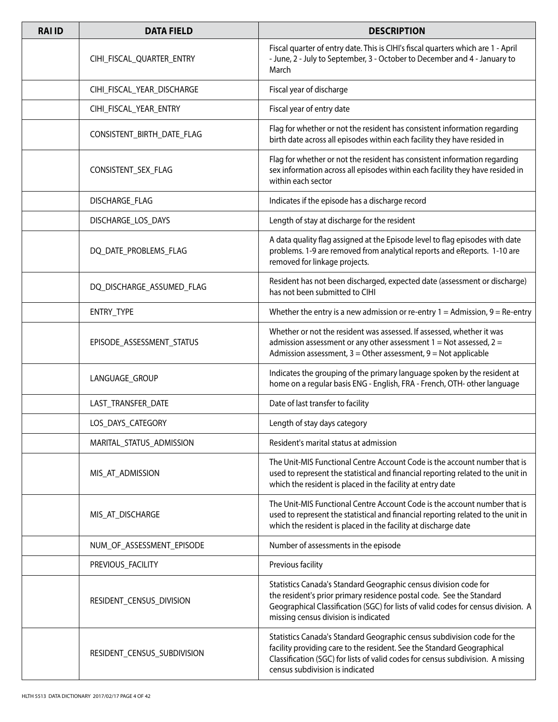| <b>RAI ID</b> | <b>DATA FIELD</b>           | <b>DESCRIPTION</b>                                                                                                                                                                                                                                                      |
|---------------|-----------------------------|-------------------------------------------------------------------------------------------------------------------------------------------------------------------------------------------------------------------------------------------------------------------------|
|               | CIHI_FISCAL_QUARTER_ENTRY   | Fiscal quarter of entry date. This is CIHI's fiscal quarters which are 1 - April<br>- June, 2 - July to September, 3 - October to December and 4 - January to<br>March                                                                                                  |
|               | CIHI_FISCAL_YEAR_DISCHARGE  | Fiscal year of discharge                                                                                                                                                                                                                                                |
|               | CIHI_FISCAL_YEAR_ENTRY      | Fiscal year of entry date                                                                                                                                                                                                                                               |
|               | CONSISTENT_BIRTH_DATE_FLAG  | Flag for whether or not the resident has consistent information regarding<br>birth date across all episodes within each facility they have resided in                                                                                                                   |
|               | CONSISTENT_SEX_FLAG         | Flag for whether or not the resident has consistent information regarding<br>sex information across all episodes within each facility they have resided in<br>within each sector                                                                                        |
|               | DISCHARGE_FLAG              | Indicates if the episode has a discharge record                                                                                                                                                                                                                         |
|               | DISCHARGE_LOS_DAYS          | Length of stay at discharge for the resident                                                                                                                                                                                                                            |
|               | DQ_DATE_PROBLEMS_FLAG       | A data quality flag assigned at the Episode level to flag episodes with date<br>problems. 1-9 are removed from analytical reports and eReports. 1-10 are<br>removed for linkage projects.                                                                               |
|               | DQ_DISCHARGE_ASSUMED_FLAG   | Resident has not been discharged, expected date (assessment or discharge)<br>has not been submitted to CIHI                                                                                                                                                             |
|               | ENTRY_TYPE                  | Whether the entry is a new admission or re-entry $1 =$ Admission, $9 =$ Re-entry                                                                                                                                                                                        |
|               | EPISODE_ASSESSMENT_STATUS   | Whether or not the resident was assessed. If assessed, whether it was<br>admission assessment or any other assessment $1 = Not$ assessed, $2 =$<br>Admission assessment, $3$ = Other assessment, $9$ = Not applicable                                                   |
|               | LANGUAGE_GROUP              | Indicates the grouping of the primary language spoken by the resident at<br>home on a regular basis ENG - English, FRA - French, OTH- other language                                                                                                                    |
|               | LAST_TRANSFER_DATE          | Date of last transfer to facility                                                                                                                                                                                                                                       |
|               | LOS_DAYS_CATEGORY           | Length of stay days category                                                                                                                                                                                                                                            |
|               | MARITAL_STATUS_ADMISSION    | Resident's marital status at admission                                                                                                                                                                                                                                  |
|               | MIS_AT_ADMISSION            | The Unit-MIS Functional Centre Account Code is the account number that is<br>used to represent the statistical and financial reporting related to the unit in<br>which the resident is placed in the facility at entry date                                             |
|               | MIS_AT_DISCHARGE            | The Unit-MIS Functional Centre Account Code is the account number that is<br>used to represent the statistical and financial reporting related to the unit in<br>which the resident is placed in the facility at discharge date                                         |
|               | NUM_OF_ASSESSMENT_EPISODE   | Number of assessments in the episode                                                                                                                                                                                                                                    |
|               | PREVIOUS_FACILITY           | Previous facility                                                                                                                                                                                                                                                       |
|               | RESIDENT_CENSUS_DIVISION    | Statistics Canada's Standard Geographic census division code for<br>the resident's prior primary residence postal code. See the Standard<br>Geographical Classification (SGC) for lists of valid codes for census division. A<br>missing census division is indicated   |
|               | RESIDENT_CENSUS_SUBDIVISION | Statistics Canada's Standard Geographic census subdivision code for the<br>facility providing care to the resident. See the Standard Geographical<br>Classification (SGC) for lists of valid codes for census subdivision. A missing<br>census subdivision is indicated |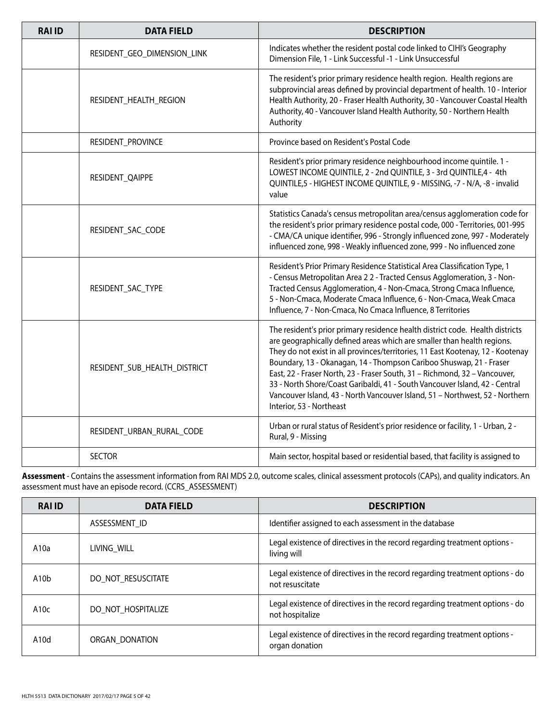| <b>RAI ID</b> | <b>DATA FIELD</b>            | <b>DESCRIPTION</b>                                                                                                                                                                                                                                                                                                                                                                                                                                                                                                                                                                          |
|---------------|------------------------------|---------------------------------------------------------------------------------------------------------------------------------------------------------------------------------------------------------------------------------------------------------------------------------------------------------------------------------------------------------------------------------------------------------------------------------------------------------------------------------------------------------------------------------------------------------------------------------------------|
|               | RESIDENT_GEO_DIMENSION_LINK  | Indicates whether the resident postal code linked to CIHI's Geography<br>Dimension File, 1 - Link Successful -1 - Link Unsuccessful                                                                                                                                                                                                                                                                                                                                                                                                                                                         |
|               | RESIDENT_HEALTH_REGION       | The resident's prior primary residence health region. Health regions are<br>subprovincial areas defined by provincial department of health. 10 - Interior<br>Health Authority, 20 - Fraser Health Authority, 30 - Vancouver Coastal Health<br>Authority, 40 - Vancouver Island Health Authority, 50 - Northern Health<br>Authority                                                                                                                                                                                                                                                          |
|               | RESIDENT_PROVINCE            | Province based on Resident's Postal Code                                                                                                                                                                                                                                                                                                                                                                                                                                                                                                                                                    |
|               | RESIDENT_QAIPPE              | Resident's prior primary residence neighbourhood income quintile. 1 -<br>LOWEST INCOME QUINTILE, 2 - 2nd QUINTILE, 3 - 3rd QUINTILE, 4 - 4th<br>QUINTILE,5 - HIGHEST INCOME QUINTILE, 9 - MISSING, -7 - N/A, -8 - invalid<br>value                                                                                                                                                                                                                                                                                                                                                          |
|               | RESIDENT_SAC_CODE            | Statistics Canada's census metropolitan area/census agglomeration code for<br>the resident's prior primary residence postal code, 000 - Territories, 001-995<br>- CMA/CA unique identifier, 996 - Strongly influenced zone, 997 - Moderately<br>influenced zone, 998 - Weakly influenced zone, 999 - No influenced zone                                                                                                                                                                                                                                                                     |
|               | RESIDENT_SAC_TYPE            | Resident's Prior Primary Residence Statistical Area Classification Type, 1<br>- Census Metropolitan Area 2 2 - Tracted Census Agglomeration, 3 - Non-<br>Tracted Census Agglomeration, 4 - Non-Cmaca, Strong Cmaca Influence,<br>5 - Non-Cmaca, Moderate Cmaca Influence, 6 - Non-Cmaca, Weak Cmaca<br>Influence, 7 - Non-Cmaca, No Cmaca Influence, 8 Territories                                                                                                                                                                                                                          |
|               | RESIDENT_SUB_HEALTH_DISTRICT | The resident's prior primary residence health district code. Health districts<br>are geographically defined areas which are smaller than health regions.<br>They do not exist in all provinces/territories, 11 East Kootenay, 12 - Kootenay<br>Boundary, 13 - Okanagan, 14 - Thompson Cariboo Shuswap, 21 - Fraser<br>East, 22 - Fraser North, 23 - Fraser South, 31 - Richmond, 32 - Vancouver,<br>33 - North Shore/Coast Garibaldi, 41 - South Vancouver Island, 42 - Central<br>Vancouver Island, 43 - North Vancouver Island, 51 - Northwest, 52 - Northern<br>Interior, 53 - Northeast |
|               | RESIDENT_URBAN_RURAL_CODE    | Urban or rural status of Resident's prior residence or facility, 1 - Urban, 2 -<br>Rural, 9 - Missing                                                                                                                                                                                                                                                                                                                                                                                                                                                                                       |
|               | <b>SECTOR</b>                | Main sector, hospital based or residential based, that facility is assigned to                                                                                                                                                                                                                                                                                                                                                                                                                                                                                                              |

**Assessment** - Contains the assessment information from RAI MDS 2.0, outcome scales, clinical assessment protocols (CAPs), and quality indicators. An assessment must have an episode record. (CCRS\_ASSESSMENT)

| <b>RAIID</b>     | <b>DATA FIELD</b>  | <b>DESCRIPTION</b>                                                                              |
|------------------|--------------------|-------------------------------------------------------------------------------------------------|
|                  | ASSESSMENT ID      | Identifier assigned to each assessment in the database                                          |
| A10a             | LIVING WILL        | Legal existence of directives in the record regarding treatment options -<br>living will        |
| A10 <sub>b</sub> | DO NOT RESUSCITATE | Legal existence of directives in the record regarding treatment options - do<br>not resuscitate |
| A10c             | DO NOT HOSPITALIZE | Legal existence of directives in the record regarding treatment options - do<br>not hospitalize |
| A10d             | ORGAN DONATION     | Legal existence of directives in the record regarding treatment options -<br>organ donation     |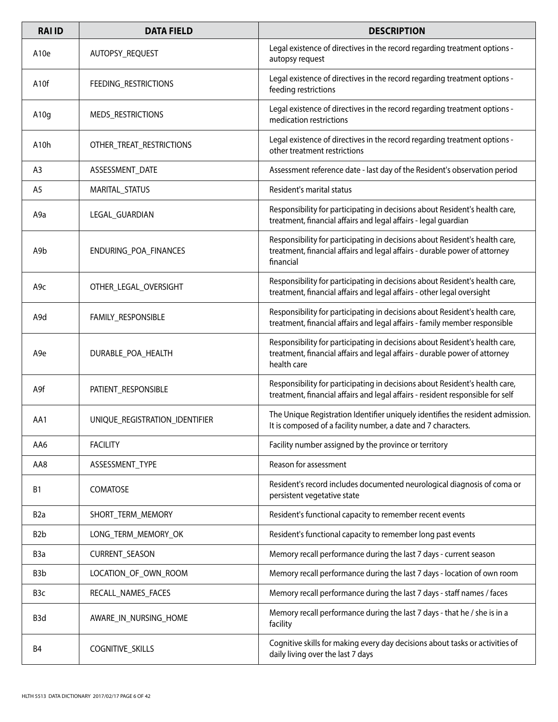| <b>RAI ID</b>     | <b>DATA FIELD</b>              | <b>DESCRIPTION</b>                                                                                                                                                       |
|-------------------|--------------------------------|--------------------------------------------------------------------------------------------------------------------------------------------------------------------------|
| A <sub>10e</sub>  | AUTOPSY_REQUEST                | Legal existence of directives in the record regarding treatment options -<br>autopsy request                                                                             |
| A <sub>10</sub> f | FEEDING_RESTRICTIONS           | Legal existence of directives in the record regarding treatment options -<br>feeding restrictions                                                                        |
| A10g              | MEDS_RESTRICTIONS              | Legal existence of directives in the record regarding treatment options -<br>medication restrictions                                                                     |
| A <sub>10</sub> h | OTHER_TREAT_RESTRICTIONS       | Legal existence of directives in the record regarding treatment options -<br>other treatment restrictions                                                                |
| A3                | ASSESSMENT_DATE                | Assessment reference date - last day of the Resident's observation period                                                                                                |
| A5                | MARITAL_STATUS                 | Resident's marital status                                                                                                                                                |
| A9a               | LEGAL_GUARDIAN                 | Responsibility for participating in decisions about Resident's health care,<br>treatment, financial affairs and legal affairs - legal guardian                           |
| A9b               | ENDURING_POA_FINANCES          | Responsibility for participating in decisions about Resident's health care,<br>treatment, financial affairs and legal affairs - durable power of attorney<br>financial   |
| A <sub>9c</sub>   | OTHER_LEGAL_OVERSIGHT          | Responsibility for participating in decisions about Resident's health care,<br>treatment, financial affairs and legal affairs - other legal oversight                    |
| A9d               | FAMILY_RESPONSIBLE             | Responsibility for participating in decisions about Resident's health care,<br>treatment, financial affairs and legal affairs - family member responsible                |
| A <sub>9e</sub>   | DURABLE_POA_HEALTH             | Responsibility for participating in decisions about Resident's health care,<br>treatment, financial affairs and legal affairs - durable power of attorney<br>health care |
| A9f               | PATIENT_RESPONSIBLE            | Responsibility for participating in decisions about Resident's health care,<br>treatment, financial affairs and legal affairs - resident responsible for self            |
| AA1               | UNIQUE_REGISTRATION_IDENTIFIER | The Unique Registration Identifier uniquely identifies the resident admission.<br>It is composed of a facility number, a date and 7 characters.                          |
| AA6               | <b>FACILITY</b>                | Facility number assigned by the province or territory                                                                                                                    |
| AA8               | ASSESSMENT_TYPE                | Reason for assessment                                                                                                                                                    |
| <b>B1</b>         | COMATOSE                       | Resident's record includes documented neurological diagnosis of coma or<br>persistent vegetative state                                                                   |
| B <sub>2</sub> a  | SHORT_TERM_MEMORY              | Resident's functional capacity to remember recent events                                                                                                                 |
| B <sub>2</sub> b  | LONG_TERM_MEMORY_OK            | Resident's functional capacity to remember long past events                                                                                                              |
| B <sub>3</sub> a  | <b>CURRENT_SEASON</b>          | Memory recall performance during the last 7 days - current season                                                                                                        |
| B <sub>3</sub> b  | LOCATION_OF_OWN_ROOM           | Memory recall performance during the last 7 days - location of own room                                                                                                  |
| B3c               | RECALL_NAMES_FACES             | Memory recall performance during the last 7 days - staff names / faces                                                                                                   |
| B <sub>3</sub> d  | AWARE_IN_NURSING_HOME          | Memory recall performance during the last 7 days - that he / she is in a<br>facility                                                                                     |
| B4                | COGNITIVE_SKILLS               | Cognitive skills for making every day decisions about tasks or activities of<br>daily living over the last 7 days                                                        |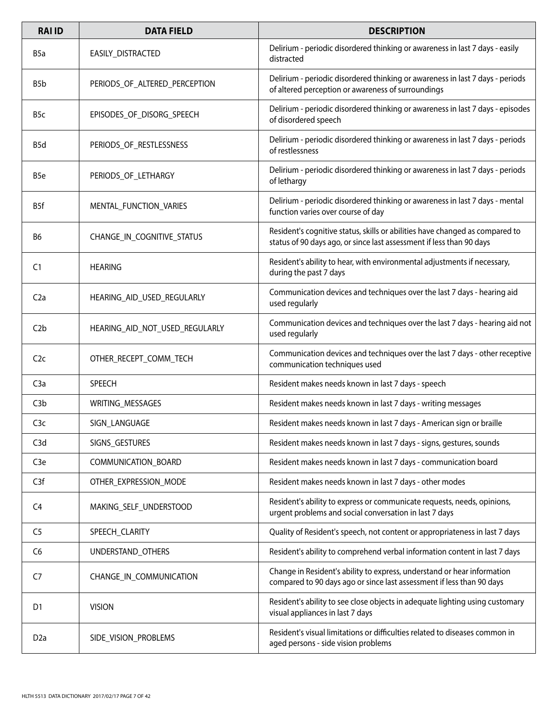| <b>RAI ID</b>    | <b>DATA FIELD</b>              | <b>DESCRIPTION</b>                                                                                                                                   |
|------------------|--------------------------------|------------------------------------------------------------------------------------------------------------------------------------------------------|
| B <sub>5</sub> a | EASILY_DISTRACTED              | Delirium - periodic disordered thinking or awareness in last 7 days - easily<br>distracted                                                           |
| B <sub>5</sub> b | PERIODS_OF_ALTERED_PERCEPTION  | Delirium - periodic disordered thinking or awareness in last 7 days - periods<br>of altered perception or awareness of surroundings                  |
| B <sub>5</sub> c | EPISODES_OF_DISORG_SPEECH      | Delirium - periodic disordered thinking or awareness in last 7 days - episodes<br>of disordered speech                                               |
| B5d              | PERIODS_OF_RESTLESSNESS        | Delirium - periodic disordered thinking or awareness in last 7 days - periods<br>of restlessness                                                     |
| B <sub>5e</sub>  | PERIODS_OF_LETHARGY            | Delirium - periodic disordered thinking or awareness in last 7 days - periods<br>of lethargy                                                         |
| B <sub>5f</sub>  | MENTAL_FUNCTION_VARIES         | Delirium - periodic disordered thinking or awareness in last 7 days - mental<br>function varies over course of day                                   |
| B <sub>6</sub>   | CHANGE_IN_COGNITIVE_STATUS     | Resident's cognitive status, skills or abilities have changed as compared to<br>status of 90 days ago, or since last assessment if less than 90 days |
| C <sub>1</sub>   | <b>HEARING</b>                 | Resident's ability to hear, with environmental adjustments if necessary,<br>during the past 7 days                                                   |
| C <sub>2a</sub>  | HEARING_AID_USED_REGULARLY     | Communication devices and techniques over the last 7 days - hearing aid<br>used regularly                                                            |
| C <sub>2b</sub>  | HEARING_AID_NOT_USED_REGULARLY | Communication devices and techniques over the last 7 days - hearing aid not<br>used regularly                                                        |
| C2c              | OTHER_RECEPT_COMM_TECH         | Communication devices and techniques over the last 7 days - other receptive<br>communication techniques used                                         |
| C3a              | <b>SPEECH</b>                  | Resident makes needs known in last 7 days - speech                                                                                                   |
| C <sub>3</sub> b | WRITING_MESSAGES               | Resident makes needs known in last 7 days - writing messages                                                                                         |
| C3c              | SIGN_LANGUAGE                  | Resident makes needs known in last 7 days - American sign or braille                                                                                 |
| C3d              | SIGNS_GESTURES                 | Resident makes needs known in last 7 days - signs, gestures, sounds                                                                                  |
| C <sub>3</sub> e | COMMUNICATION_BOARD            | Resident makes needs known in last 7 days - communication board                                                                                      |
| C <sub>3f</sub>  | OTHER EXPRESSION MODE          | Resident makes needs known in last 7 days - other modes                                                                                              |
| C <sub>4</sub>   | MAKING_SELF_UNDERSTOOD         | Resident's ability to express or communicate requests, needs, opinions,<br>urgent problems and social conversation in last 7 days                    |
| C <sub>5</sub>   | SPEECH_CLARITY                 | Quality of Resident's speech, not content or appropriateness in last 7 days                                                                          |
| C <sub>6</sub>   | UNDERSTAND_OTHERS              | Resident's ability to comprehend verbal information content in last 7 days                                                                           |
| C7               | CHANGE_IN_COMMUNICATION        | Change in Resident's ability to express, understand or hear information<br>compared to 90 days ago or since last assessment if less than 90 days     |
| D <sub>1</sub>   | <b>VISION</b>                  | Resident's ability to see close objects in adequate lighting using customary<br>visual appliances in last 7 days                                     |
| D <sub>2</sub> a | SIDE_VISION_PROBLEMS           | Resident's visual limitations or difficulties related to diseases common in<br>aged persons - side vision problems                                   |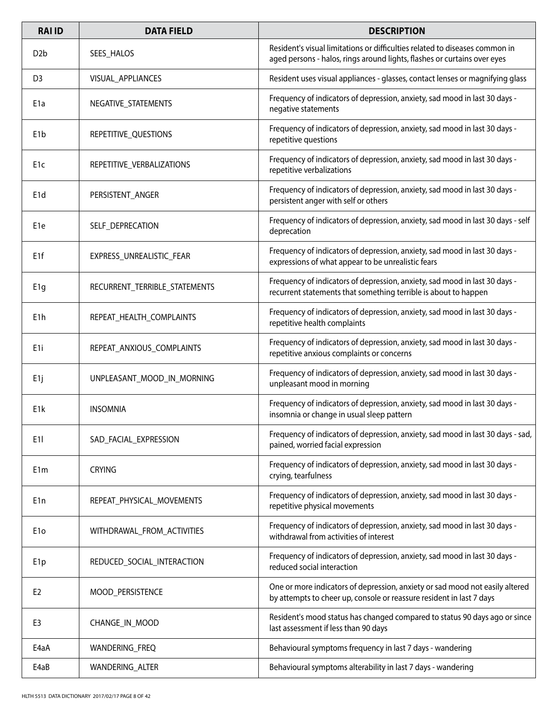| <b>RAI ID</b>    | <b>DATA FIELD</b>             | <b>DESCRIPTION</b>                                                                                                                                      |
|------------------|-------------------------------|---------------------------------------------------------------------------------------------------------------------------------------------------------|
| D <sub>2</sub> b | SEES_HALOS                    | Resident's visual limitations or difficulties related to diseases common in<br>aged persons - halos, rings around lights, flashes or curtains over eyes |
| D <sub>3</sub>   | VISUAL APPLIANCES             | Resident uses visual appliances - glasses, contact lenses or magnifying glass                                                                           |
| E <sub>1</sub> a | NEGATIVE_STATEMENTS           | Frequency of indicators of depression, anxiety, sad mood in last 30 days -<br>negative statements                                                       |
| E <sub>1</sub> b | REPETITIVE QUESTIONS          | Frequency of indicators of depression, anxiety, sad mood in last 30 days -<br>repetitive questions                                                      |
| E <sub>1</sub> c | REPETITIVE_VERBALIZATIONS     | Frequency of indicators of depression, anxiety, sad mood in last 30 days -<br>repetitive verbalizations                                                 |
| E <sub>1</sub> d | PERSISTENT_ANGER              | Frequency of indicators of depression, anxiety, sad mood in last 30 days -<br>persistent anger with self or others                                      |
| E <sub>1e</sub>  | SELF_DEPRECATION              | Frequency of indicators of depression, anxiety, sad mood in last 30 days - self<br>deprecation                                                          |
| E <sub>1f</sub>  | EXPRESS_UNREALISTIC_FEAR      | Frequency of indicators of depression, anxiety, sad mood in last 30 days -<br>expressions of what appear to be unrealistic fears                        |
| E <sub>1</sub> g | RECURRENT_TERRIBLE_STATEMENTS | Frequency of indicators of depression, anxiety, sad mood in last 30 days -<br>recurrent statements that something terrible is about to happen           |
| E <sub>1</sub> h | REPEAT_HEALTH_COMPLAINTS      | Frequency of indicators of depression, anxiety, sad mood in last 30 days -<br>repetitive health complaints                                              |
| E <sub>1i</sub>  | REPEAT_ANXIOUS_COMPLAINTS     | Frequency of indicators of depression, anxiety, sad mood in last 30 days -<br>repetitive anxious complaints or concerns                                 |
| E <sub>1j</sub>  | UNPLEASANT_MOOD_IN_MORNING    | Frequency of indicators of depression, anxiety, sad mood in last 30 days -<br>unpleasant mood in morning                                                |
| E <sub>1</sub> k | <b>INSOMNIA</b>               | Frequency of indicators of depression, anxiety, sad mood in last 30 days -<br>insomnia or change in usual sleep pattern                                 |
| E <sub>1</sub>   | SAD FACIAL EXPRESSION         | Frequency of indicators of depression, anxiety, sad mood in last 30 days - sad,<br>pained, worried facial expression                                    |
| E <sub>1</sub> m | <b>CRYING</b>                 | Frequency of indicators of depression, anxiety, sad mood in last 30 days -<br>crying, tearfulness                                                       |
| E <sub>1</sub> n | REPEAT_PHYSICAL_MOVEMENTS     | Frequency of indicators of depression, anxiety, sad mood in last 30 days -<br>repetitive physical movements                                             |
| E <sub>10</sub>  | WITHDRAWAL_FROM_ACTIVITIES    | Frequency of indicators of depression, anxiety, sad mood in last 30 days -<br>withdrawal from activities of interest                                    |
| E <sub>1p</sub>  | REDUCED_SOCIAL_INTERACTION    | Frequency of indicators of depression, anxiety, sad mood in last 30 days -<br>reduced social interaction                                                |
| E <sub>2</sub>   | MOOD_PERSISTENCE              | One or more indicators of depression, anxiety or sad mood not easily altered<br>by attempts to cheer up, console or reassure resident in last 7 days    |
| E <sub>3</sub>   | CHANGE_IN_MOOD                | Resident's mood status has changed compared to status 90 days ago or since<br>last assessment if less than 90 days                                      |
| E4aA             | WANDERING_FREQ                | Behavioural symptoms frequency in last 7 days - wandering                                                                                               |
| E4aB             | WANDERING_ALTER               | Behavioural symptoms alterability in last 7 days - wandering                                                                                            |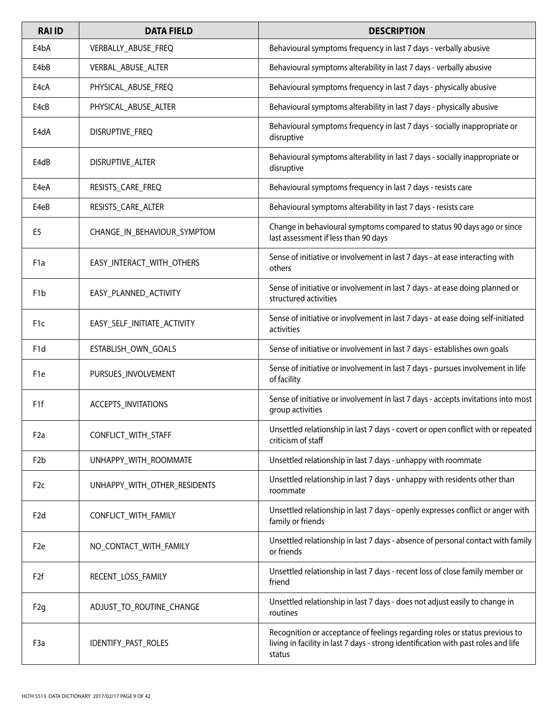| <b>RAI ID</b>    | <b>DATA FIELD</b>            | <b>DESCRIPTION</b>                                                                                                                                                          |
|------------------|------------------------------|-----------------------------------------------------------------------------------------------------------------------------------------------------------------------------|
| E4bA             | VERBALLY_ABUSE_FREQ          | Behavioural symptoms frequency in last 7 days - verbally abusive                                                                                                            |
| E4bB             | VERBAL_ABUSE_ALTER           | Behavioural symptoms alterability in last 7 days - verbally abusive                                                                                                         |
| E4cA             | PHYSICAL_ABUSE_FREQ          | Behavioural symptoms frequency in last 7 days - physically abusive                                                                                                          |
| E4cB             | PHYSICAL_ABUSE_ALTER         | Behavioural symptoms alterability in last 7 days - physically abusive                                                                                                       |
| E4dA             | DISRUPTIVE_FREQ              | Behavioural symptoms frequency in last 7 days - socially inappropriate or<br>disruptive                                                                                     |
| E4dB             | DISRUPTIVE_ALTER             | Behavioural symptoms alterability in last 7 days - socially inappropriate or<br>disruptive                                                                                  |
| E4eA             | RESISTS_CARE_FREQ            | Behavioural symptoms frequency in last 7 days - resists care                                                                                                                |
| E4eB             | RESISTS_CARE_ALTER           | Behavioural symptoms alterability in last 7 days - resists care                                                                                                             |
| E5               | CHANGE_IN_BEHAVIOUR_SYMPTOM  | Change in behavioural symptoms compared to status 90 days ago or since<br>last assessment if less than 90 days                                                              |
| F <sub>1</sub> a | EASY_INTERACT_WITH_OTHERS    | Sense of initiative or involvement in last 7 days - at ease interacting with<br>others                                                                                      |
| F <sub>1</sub> b | EASY_PLANNED_ACTIVITY        | Sense of initiative or involvement in last 7 days - at ease doing planned or<br>structured activities                                                                       |
| F <sub>1c</sub>  | EASY_SELF_INITIATE_ACTIVITY  | Sense of initiative or involvement in last 7 days - at ease doing self-initiated<br>activities                                                                              |
| F <sub>1</sub> d | ESTABLISH_OWN_GOALS          | Sense of initiative or involvement in last 7 days - establishes own goals                                                                                                   |
| F <sub>1e</sub>  | PURSUES_INVOLVEMENT          | Sense of initiative or involvement in last 7 days - pursues involvement in life<br>of facility                                                                              |
| F <sub>1f</sub>  | ACCEPTS_INVITATIONS          | Sense of initiative or involvement in last 7 days - accepts invitations into most<br>group activities                                                                       |
| F <sub>2</sub> a | CONFLICT_WITH_STAFF          | Unsettled relationship in last 7 days - covert or open conflict with or repeated<br>criticism of staff                                                                      |
| F <sub>2</sub> b | UNHAPPY_WITH_ROOMMATE        | Unsettled relationship in last 7 days - unhappy with roommate                                                                                                               |
| F <sub>2c</sub>  | UNHAPPY_WITH_OTHER_RESIDENTS | Unsettled relationship in last 7 days - unhappy with residents other than<br>roommate                                                                                       |
| F <sub>2d</sub>  | CONFLICT_WITH_FAMILY         | Unsettled relationship in last 7 days - openly expresses conflict or anger with<br>family or friends                                                                        |
| F <sub>2e</sub>  | NO CONTACT WITH FAMILY       | Unsettled relationship in last 7 days - absence of personal contact with family<br>or friends                                                                               |
| F <sub>2f</sub>  | RECENT_LOSS_FAMILY           | Unsettled relationship in last 7 days - recent loss of close family member or<br>friend                                                                                     |
| F <sub>2g</sub>  | ADJUST_TO_ROUTINE_CHANGE     | Unsettled relationship in last 7 days - does not adjust easily to change in<br>routines                                                                                     |
| F <sub>3</sub> a | IDENTIFY_PAST_ROLES          | Recognition or acceptance of feelings regarding roles or status previous to<br>living in facility in last 7 days - strong identification with past roles and life<br>status |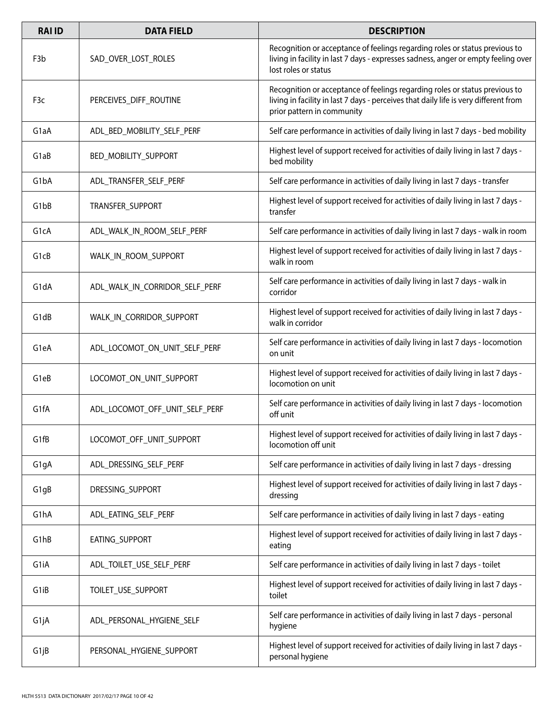| <b>RAI ID</b>     | <b>DATA FIELD</b>              | <b>DESCRIPTION</b>                                                                                                                                                                                |
|-------------------|--------------------------------|---------------------------------------------------------------------------------------------------------------------------------------------------------------------------------------------------|
| F <sub>3</sub> b  | SAD_OVER_LOST_ROLES            | Recognition or acceptance of feelings regarding roles or status previous to<br>living in facility in last 7 days - expresses sadness, anger or empty feeling over<br>lost roles or status         |
| F <sub>3</sub> c  | PERCEIVES_DIFF_ROUTINE         | Recognition or acceptance of feelings regarding roles or status previous to<br>living in facility in last 7 days - perceives that daily life is very different from<br>prior pattern in community |
| G <sub>1</sub> aA | ADL_BED_MOBILITY_SELF_PERF     | Self care performance in activities of daily living in last 7 days - bed mobility                                                                                                                 |
| G1aB              | <b>BED MOBILITY SUPPORT</b>    | Highest level of support received for activities of daily living in last 7 days -<br>bed mobility                                                                                                 |
| G1bA              | ADL_TRANSFER_SELF_PERF         | Self care performance in activities of daily living in last 7 days - transfer                                                                                                                     |
| G <sub>1</sub> bB | TRANSFER SUPPORT               | Highest level of support received for activities of daily living in last 7 days -<br>transfer                                                                                                     |
| G1cA              | ADL_WALK_IN_ROOM_SELF_PERF     | Self care performance in activities of daily living in last 7 days - walk in room                                                                                                                 |
| G1cB              | WALK IN ROOM SUPPORT           | Highest level of support received for activities of daily living in last 7 days -<br>walk in room                                                                                                 |
| G1dA              | ADL_WALK_IN_CORRIDOR_SELF_PERF | Self care performance in activities of daily living in last 7 days - walk in<br>corridor                                                                                                          |
| G <sub>1</sub> dB | WALK_IN_CORRIDOR_SUPPORT       | Highest level of support received for activities of daily living in last 7 days -<br>walk in corridor                                                                                             |
| G <sub>1</sub> eA | ADL_LOCOMOT_ON_UNIT_SELF_PERF  | Self care performance in activities of daily living in last 7 days - locomotion<br>on unit                                                                                                        |
| G1eB              | LOCOMOT ON UNIT SUPPORT        | Highest level of support received for activities of daily living in last 7 days -<br>locomotion on unit                                                                                           |
| G <sub>1</sub> fA | ADL_LOCOMOT_OFF_UNIT_SELF_PERF | Self care performance in activities of daily living in last 7 days - locomotion<br>off unit                                                                                                       |
| G1fB              | LOCOMOT_OFF_UNIT_SUPPORT       | Highest level of support received for activities of daily living in last 7 days -<br>locomotion off unit                                                                                          |
| G <sub>1g</sub> A | ADL_DRESSING_SELF_PERF         | Self care performance in activities of daily living in last 7 days - dressing                                                                                                                     |
| G1gB              | DRESSING_SUPPORT               | Highest level of support received for activities of daily living in last 7 days -<br>dressing                                                                                                     |
| G1hA              | ADL EATING SELF PERF           | Self care performance in activities of daily living in last 7 days - eating                                                                                                                       |
| G1hB              | EATING_SUPPORT                 | Highest level of support received for activities of daily living in last 7 days -<br>eating                                                                                                       |
| G1iA              | ADL_TOILET_USE_SELF_PERF       | Self care performance in activities of daily living in last 7 days - toilet                                                                                                                       |
| G1iB              | TOILET_USE_SUPPORT             | Highest level of support received for activities of daily living in last 7 days -<br>toilet                                                                                                       |
| G1jA              | ADL_PERSONAL_HYGIENE_SELF      | Self care performance in activities of daily living in last 7 days - personal<br>hygiene                                                                                                          |
| G1jB              | PERSONAL_HYGIENE_SUPPORT       | Highest level of support received for activities of daily living in last 7 days -<br>personal hygiene                                                                                             |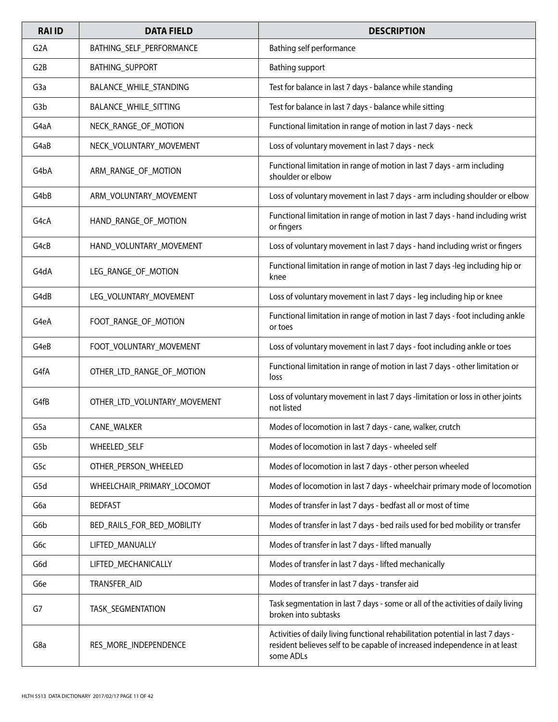| <b>RAI ID</b>    | <b>DATA FIELD</b>            | <b>DESCRIPTION</b>                                                                                                                                                         |
|------------------|------------------------------|----------------------------------------------------------------------------------------------------------------------------------------------------------------------------|
| G <sub>2</sub> A | BATHING_SELF_PERFORMANCE     | Bathing self performance                                                                                                                                                   |
| G <sub>2</sub> B | <b>BATHING_SUPPORT</b>       | <b>Bathing support</b>                                                                                                                                                     |
| G <sub>3</sub> a | BALANCE_WHILE_STANDING       | Test for balance in last 7 days - balance while standing                                                                                                                   |
| G3b              | BALANCE_WHILE_SITTING        | Test for balance in last 7 days - balance while sitting                                                                                                                    |
| G4aA             | NECK RANGE OF MOTION         | Functional limitation in range of motion in last 7 days - neck                                                                                                             |
| G4aB             | NECK_VOLUNTARY_MOVEMENT      | Loss of voluntary movement in last 7 days - neck                                                                                                                           |
| G4bA             | ARM_RANGE_OF_MOTION          | Functional limitation in range of motion in last 7 days - arm including<br>shoulder or elbow                                                                               |
| G4bB             | ARM_VOLUNTARY_MOVEMENT       | Loss of voluntary movement in last 7 days - arm including shoulder or elbow                                                                                                |
| G4cA             | HAND_RANGE_OF_MOTION         | Functional limitation in range of motion in last 7 days - hand including wrist<br>or fingers                                                                               |
| G4cB             | HAND_VOLUNTARY_MOVEMENT      | Loss of voluntary movement in last 7 days - hand including wrist or fingers                                                                                                |
| G4dA             | LEG_RANGE_OF_MOTION          | Functional limitation in range of motion in last 7 days -leg including hip or<br>knee                                                                                      |
| G4dB             | LEG_VOLUNTARY_MOVEMENT       | Loss of voluntary movement in last 7 days - leg including hip or knee                                                                                                      |
| G4eA             | FOOT_RANGE_OF_MOTION         | Functional limitation in range of motion in last 7 days - foot including ankle<br>or toes                                                                                  |
| G4eB             | FOOT_VOLUNTARY_MOVEMENT      | Loss of voluntary movement in last 7 days - foot including ankle or toes                                                                                                   |
| G4fA             | OTHER_LTD_RANGE_OF_MOTION    | Functional limitation in range of motion in last 7 days - other limitation or<br>loss                                                                                      |
| G4fB             | OTHER_LTD_VOLUNTARY_MOVEMENT | Loss of voluntary movement in last 7 days -limitation or loss in other joints<br>not listed                                                                                |
| G <sub>5</sub> a | <b>CANE WALKER</b>           | Modes of locomotion in last 7 days - cane, walker, crutch                                                                                                                  |
| G5b              | WHEELED_SELF                 | Modes of locomotion in last 7 days - wheeled self                                                                                                                          |
| G5c              | OTHER_PERSON_WHEELED         | Modes of locomotion in last 7 days - other person wheeled                                                                                                                  |
| G5d              | WHEELCHAIR_PRIMARY_LOCOMOT   | Modes of locomotion in last 7 days - wheelchair primary mode of locomotion                                                                                                 |
| G6a              | <b>BEDFAST</b>               | Modes of transfer in last 7 days - bedfast all or most of time                                                                                                             |
| G6b              | BED_RAILS_FOR_BED_MOBILITY   | Modes of transfer in last 7 days - bed rails used for bed mobility or transfer                                                                                             |
| G6c              | LIFTED_MANUALLY              | Modes of transfer in last 7 days - lifted manually                                                                                                                         |
| G6d              | LIFTED_MECHANICALLY          | Modes of transfer in last 7 days - lifted mechanically                                                                                                                     |
| G6e              | TRANSFER_AID                 | Modes of transfer in last 7 days - transfer aid                                                                                                                            |
| G7               | TASK_SEGMENTATION            | Task segmentation in last 7 days - some or all of the activities of daily living<br>broken into subtasks                                                                   |
| G8a              | RES_MORE_INDEPENDENCE        | Activities of daily living functional rehabilitation potential in last 7 days -<br>resident believes self to be capable of increased independence in at least<br>some ADLs |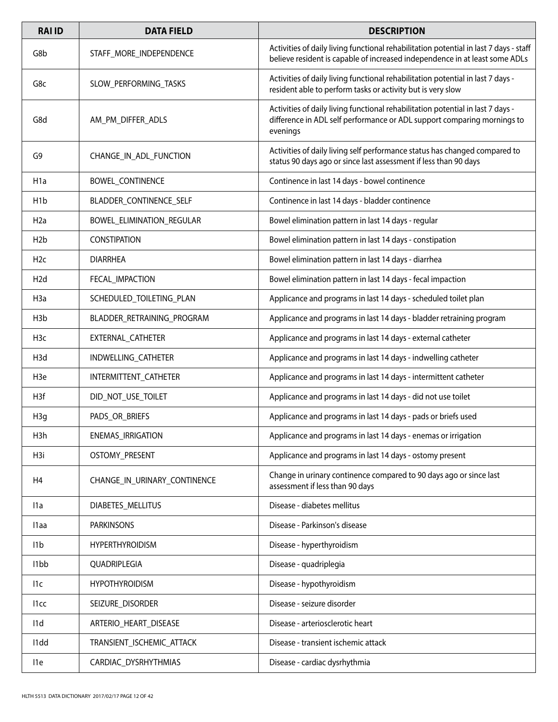| <b>RAI ID</b>     | <b>DATA FIELD</b>            | <b>DESCRIPTION</b>                                                                                                                                                     |
|-------------------|------------------------------|------------------------------------------------------------------------------------------------------------------------------------------------------------------------|
| G8b               | STAFF_MORE_INDEPENDENCE      | Activities of daily living functional rehabilitation potential in last 7 days - staff<br>believe resident is capable of increased independence in at least some ADLs   |
| G8c               | SLOW PERFORMING TASKS        | Activities of daily living functional rehabilitation potential in last 7 days -<br>resident able to perform tasks or activity but is very slow                         |
| G8d               | AM_PM_DIFFER_ADLS            | Activities of daily living functional rehabilitation potential in last 7 days -<br>difference in ADL self performance or ADL support comparing mornings to<br>evenings |
| G9                | CHANGE_IN_ADL_FUNCTION       | Activities of daily living self performance status has changed compared to<br>status 90 days ago or since last assessment if less than 90 days                         |
| H <sub>1</sub> a  | BOWEL_CONTINENCE             | Continence in last 14 days - bowel continence                                                                                                                          |
| H <sub>1</sub> b  | BLADDER_CONTINENCE_SELF      | Continence in last 14 days - bladder continence                                                                                                                        |
| H <sub>2</sub> a  | BOWEL_ELIMINATION_REGULAR    | Bowel elimination pattern in last 14 days - regular                                                                                                                    |
| H <sub>2</sub> b  | <b>CONSTIPATION</b>          | Bowel elimination pattern in last 14 days - constipation                                                                                                               |
| H2c               | <b>DIARRHEA</b>              | Bowel elimination pattern in last 14 days - diarrhea                                                                                                                   |
| H <sub>2</sub> d  | FECAL_IMPACTION              | Bowel elimination pattern in last 14 days - fecal impaction                                                                                                            |
| H <sub>3</sub> a  | SCHEDULED_TOILETING_PLAN     | Applicance and programs in last 14 days - scheduled toilet plan                                                                                                        |
| H <sub>3</sub> b  | BLADDER_RETRAINING_PROGRAM   | Applicance and programs in last 14 days - bladder retraining program                                                                                                   |
| H <sub>3</sub> c  | EXTERNAL_CATHETER            | Applicance and programs in last 14 days - external catheter                                                                                                            |
| H <sub>3</sub> d  | INDWELLING_CATHETER          | Applicance and programs in last 14 days - indwelling catheter                                                                                                          |
| H <sub>3</sub> e  | INTERMITTENT_CATHETER        | Applicance and programs in last 14 days - intermittent catheter                                                                                                        |
| H3f               | DID_NOT_USE_TOILET           | Applicance and programs in last 14 days - did not use toilet                                                                                                           |
| H <sub>3g</sub>   | PADS_OR_BRIEFS               | Applicance and programs in last 14 days - pads or briefs used                                                                                                          |
| H3h               | ENEMAS_IRRIGATION            | Applicance and programs in last 14 days - enemas or irrigation                                                                                                         |
| H <sub>3i</sub>   | OSTOMY_PRESENT               | Applicance and programs in last 14 days - ostomy present                                                                                                               |
| H <sub>4</sub>    | CHANGE_IN_URINARY_CONTINENCE | Change in urinary continence compared to 90 days ago or since last<br>assessment if less than 90 days                                                                  |
| 11a               | DIABETES_MELLITUS            | Disease - diabetes mellitus                                                                                                                                            |
| l1aa              | <b>PARKINSONS</b>            | Disease - Parkinson's disease                                                                                                                                          |
| 11 <sub>b</sub>   | <b>HYPERTHYROIDISM</b>       | Disease - hyperthyroidism                                                                                                                                              |
| I <sub>1</sub> bb | QUADRIPLEGIA                 | Disease - quadriplegia                                                                                                                                                 |
| 11c               | <b>HYPOTHYROIDISM</b>        | Disease - hypothyroidism                                                                                                                                               |
| 11cc              | SEIZURE_DISORDER             | Disease - seizure disorder                                                                                                                                             |
| 11d               | ARTERIO_HEART_DISEASE        | Disease - arteriosclerotic heart                                                                                                                                       |
| I <sub>1</sub> dd | TRANSIENT_ISCHEMIC_ATTACK    | Disease - transient ischemic attack                                                                                                                                    |
| l1e               | CARDIAC_DYSRHYTHMIAS         | Disease - cardiac dysrhythmia                                                                                                                                          |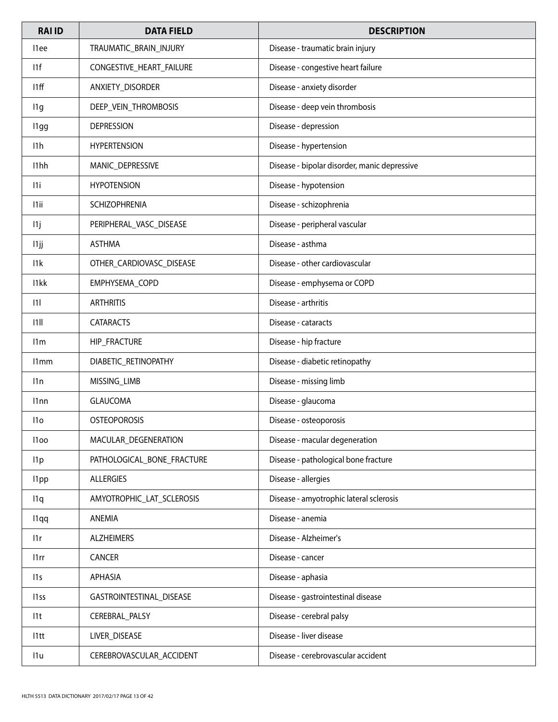| <b>RAI ID</b>    | <b>DATA FIELD</b>          | <b>DESCRIPTION</b>                           |
|------------------|----------------------------|----------------------------------------------|
| l1ee             | TRAUMATIC_BRAIN_INJURY     | Disease - traumatic brain injury             |
| 11f              | CONGESTIVE_HEART_FAILURE   | Disease - congestive heart failure           |
| 11ff             | ANXIETY_DISORDER           | Disease - anxiety disorder                   |
| 11g              | DEEP_VEIN_THROMBOSIS       | Disease - deep vein thrombosis               |
| l1gg             | <b>DEPRESSION</b>          | Disease - depression                         |
| 11h              | <b>HYPERTENSION</b>        | Disease - hypertension                       |
| I1hh             | MANIC_DEPRESSIVE           | Disease - bipolar disorder, manic depressive |
| 11i              | <b>HYPOTENSION</b>         | Disease - hypotension                        |
| 11ii             | <b>SCHIZOPHRENIA</b>       | Disease - schizophrenia                      |
| 11j              | PERIPHERAL_VASC_DISEASE    | Disease - peripheral vascular                |
| 11jj             | <b>ASTHMA</b>              | Disease - asthma                             |
| 11k              | OTHER_CARDIOVASC_DISEASE   | Disease - other cardiovascular               |
| I1kk             | EMPHYSEMA_COPD             | Disease - emphysema or COPD                  |
| 1                | <b>ARTHRITIS</b>           | Disease - arthritis                          |
| 11               | <b>CATARACTS</b>           | Disease - cataracts                          |
| 11 <sub>m</sub>  | HIP_FRACTURE               | Disease - hip fracture                       |
| 11mm             | DIABETIC_RETINOPATHY       | Disease - diabetic retinopathy               |
| 11n              | MISSING_LIMB               | Disease - missing limb                       |
| 11 <sub>nn</sub> | <b>GLAUCOMA</b>            | Disease - glaucoma                           |
| 11 <sub>O</sub>  | <b>OSTEOPOROSIS</b>        | Disease - osteoporosis                       |
| l1oo             | MACULAR_DEGENERATION       | Disease - macular degeneration               |
| 11p              | PATHOLOGICAL_BONE_FRACTURE | Disease - pathological bone fracture         |
| l1pp             | <b>ALLERGIES</b>           | Disease - allergies                          |
| 11q              | AMYOTROPHIC_LAT_SCLEROSIS  | Disease - amyotrophic lateral sclerosis      |
| l1qq             | ANEMIA                     | Disease - anemia                             |
| 11r              | <b>ALZHEIMERS</b>          | Disease - Alzheimer's                        |
| 11rr             | CANCER                     | Disease - cancer                             |
| 11s              | <b>APHASIA</b>             | Disease - aphasia                            |
| 11 <sub>ss</sub> | GASTROINTESTINAL_DISEASE   | Disease - gastrointestinal disease           |
| 11t              | CEREBRAL_PALSY             | Disease - cerebral palsy                     |
| 11 <sub>tt</sub> | LIVER_DISEASE              | Disease - liver disease                      |
| 11u              | CEREBROVASCULAR_ACCIDENT   | Disease - cerebrovascular accident           |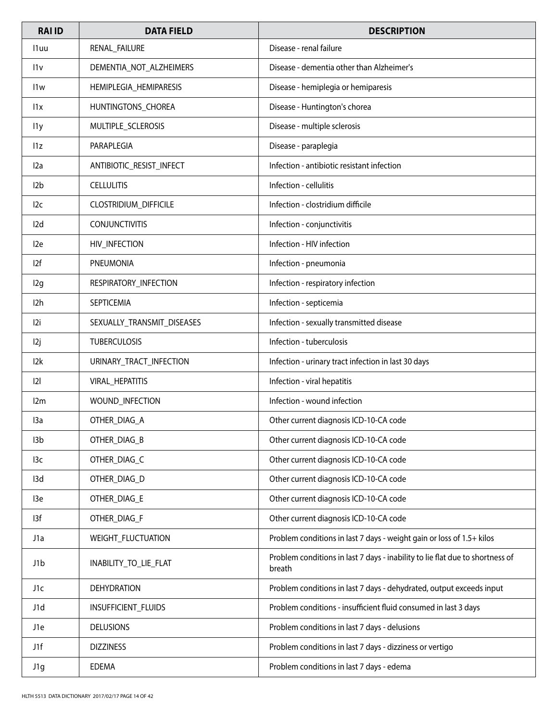| <b>RAI ID</b>    | <b>DATA FIELD</b>          | <b>DESCRIPTION</b>                                                                      |
|------------------|----------------------------|-----------------------------------------------------------------------------------------|
| 11 uu            | RENAL_FAILURE              | Disease - renal failure                                                                 |
| 11v              | DEMENTIA_NOT_ALZHEIMERS    | Disease - dementia other than Alzheimer's                                               |
| 11w              | HEMIPLEGIA_HEMIPARESIS     | Disease - hemiplegia or hemiparesis                                                     |
| 11x              | HUNTINGTONS_CHOREA         | Disease - Huntington's chorea                                                           |
| l <sub>1y</sub>  | MULTIPLE_SCLEROSIS         | Disease - multiple sclerosis                                                            |
| 11z              | PARAPLEGIA                 | Disease - paraplegia                                                                    |
| l2a              | ANTIBIOTIC_RESIST_INFECT   | Infection - antibiotic resistant infection                                              |
| 12 <sub>b</sub>  | <b>CELLULITIS</b>          | Infection - cellulitis                                                                  |
| 12c              | CLOSTRIDIUM_DIFFICILE      | Infection - clostridium difficile                                                       |
| I <sub>2</sub> d | <b>CONJUNCTIVITIS</b>      | Infection - conjunctivitis                                                              |
| 12e              | HIV_INFECTION              | Infection - HIV infection                                                               |
| 12f              | PNEUMONIA                  | Infection - pneumonia                                                                   |
| 12g              | RESPIRATORY_INFECTION      | Infection - respiratory infection                                                       |
| I2h              | SEPTICEMIA                 | Infection - septicemia                                                                  |
| 12i              | SEXUALLY_TRANSMIT_DISEASES | Infection - sexually transmitted disease                                                |
| 12j              | <b>TUBERCULOSIS</b>        | Infection - tuberculosis                                                                |
| 12k              | URINARY_TRACT_INFECTION    | Infection - urinary tract infection in last 30 days                                     |
| 2                | VIRAL_HEPATITIS            | Infection - viral hepatitis                                                             |
| 12m              | WOUND_INFECTION            | Infection - wound infection                                                             |
| 13a              | OTHER_DIAG_A               | Other current diagnosis ICD-10-CA code                                                  |
| I3b              | OTHER_DIAG_B               | Other current diagnosis ICD-10-CA code                                                  |
| 13c              | OTHER_DIAG_C               | Other current diagnosis ICD-10-CA code                                                  |
| 13d              | OTHER_DIAG_D               | Other current diagnosis ICD-10-CA code                                                  |
| 13e              | OTHER_DIAG_E               | Other current diagnosis ICD-10-CA code                                                  |
| 13f              | OTHER_DIAG_F               | Other current diagnosis ICD-10-CA code                                                  |
| J1a              | WEIGHT_FLUCTUATION         | Problem conditions in last 7 days - weight gain or loss of 1.5+ kilos                   |
| J1b              | INABILITY_TO_LIE_FLAT      | Problem conditions in last 7 days - inability to lie flat due to shortness of<br>breath |
| J1c              | <b>DEHYDRATION</b>         | Problem conditions in last 7 days - dehydrated, output exceeds input                    |
| J1d              | INSUFFICIENT_FLUIDS        | Problem conditions - insufficient fluid consumed in last 3 days                         |
| J1e              | <b>DELUSIONS</b>           | Problem conditions in last 7 days - delusions                                           |
| J1f              | <b>DIZZINESS</b>           | Problem conditions in last 7 days - dizziness or vertigo                                |
| J1g              | EDEMA                      | Problem conditions in last 7 days - edema                                               |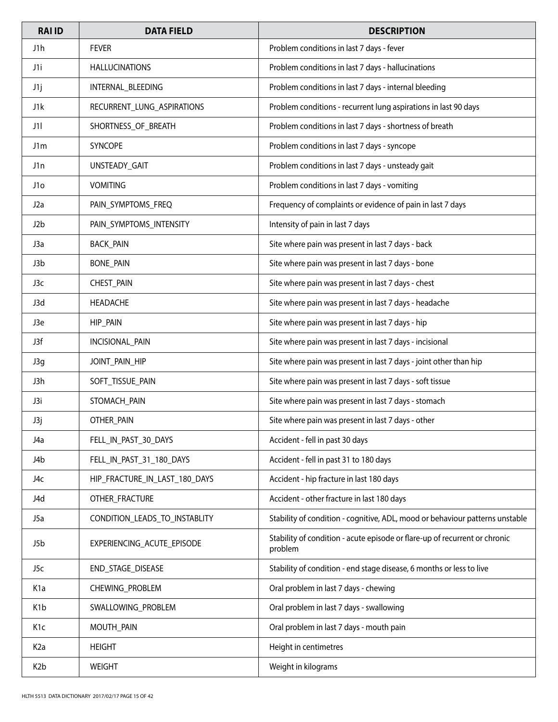| <b>RAI ID</b>    | <b>DATA FIELD</b>             | <b>DESCRIPTION</b>                                                                    |
|------------------|-------------------------------|---------------------------------------------------------------------------------------|
| J1h              | <b>FEVER</b>                  | Problem conditions in last 7 days - fever                                             |
| J1i              | <b>HALLUCINATIONS</b>         | Problem conditions in last 7 days - hallucinations                                    |
| J1j              | INTERNAL_BLEEDING             | Problem conditions in last 7 days - internal bleeding                                 |
| J1k              | RECURRENT_LUNG_ASPIRATIONS    | Problem conditions - recurrent lung aspirations in last 90 days                       |
| J1I              | SHORTNESS_OF_BREATH           | Problem conditions in last 7 days - shortness of breath                               |
| J1m              | <b>SYNCOPE</b>                | Problem conditions in last 7 days - syncope                                           |
| J1n              | UNSTEADY_GAIT                 | Problem conditions in last 7 days - unsteady gait                                     |
| J1o              | <b>VOMITING</b>               | Problem conditions in last 7 days - vomiting                                          |
| J <sub>2</sub> a | PAIN_SYMPTOMS_FREQ            | Frequency of complaints or evidence of pain in last 7 days                            |
| J2b              | PAIN_SYMPTOMS_INTENSITY       | Intensity of pain in last 7 days                                                      |
| J3a              | <b>BACK_PAIN</b>              | Site where pain was present in last 7 days - back                                     |
| J3b              | <b>BONE_PAIN</b>              | Site where pain was present in last 7 days - bone                                     |
| J3c              | CHEST_PAIN                    | Site where pain was present in last 7 days - chest                                    |
| J3d              | HEADACHE                      | Site where pain was present in last 7 days - headache                                 |
| J3e              | HIP_PAIN                      | Site where pain was present in last 7 days - hip                                      |
| J3f              | INCISIONAL_PAIN               | Site where pain was present in last 7 days - incisional                               |
| J3g              | JOINT_PAIN_HIP                | Site where pain was present in last 7 days - joint other than hip                     |
| J3h              | SOFT_TISSUE_PAIN              | Site where pain was present in last 7 days - soft tissue                              |
| J3i              | STOMACH_PAIN                  | Site where pain was present in last 7 days - stomach                                  |
| J3j              | OTHER_PAIN                    | Site where pain was present in last 7 days - other                                    |
| J4a              | FELL_IN_PAST_30_DAYS          | Accident - fell in past 30 days                                                       |
| J4b              | FELL_IN_PAST_31_180_DAYS      | Accident - fell in past 31 to 180 days                                                |
| J4c              | HIP_FRACTURE_IN_LAST_180_DAYS | Accident - hip fracture in last 180 days                                              |
| J4d              | OTHER FRACTURE                | Accident - other fracture in last 180 days                                            |
| J5a              | CONDITION_LEADS_TO_INSTABLITY | Stability of condition - cognitive, ADL, mood or behaviour patterns unstable          |
| J5b              | EXPERIENCING_ACUTE_EPISODE    | Stability of condition - acute episode or flare-up of recurrent or chronic<br>problem |
| J5c              | END_STAGE_DISEASE             | Stability of condition - end stage disease, 6 months or less to live                  |
| K <sub>1</sub> a | CHEWING_PROBLEM               | Oral problem in last 7 days - chewing                                                 |
| K <sub>1</sub> b | SWALLOWING_PROBLEM            | Oral problem in last 7 days - swallowing                                              |
| K1c              | MOUTH_PAIN                    | Oral problem in last 7 days - mouth pain                                              |
| K <sub>2</sub> a | <b>HEIGHT</b>                 | Height in centimetres                                                                 |
| K <sub>2</sub> b | <b>WEIGHT</b>                 | Weight in kilograms                                                                   |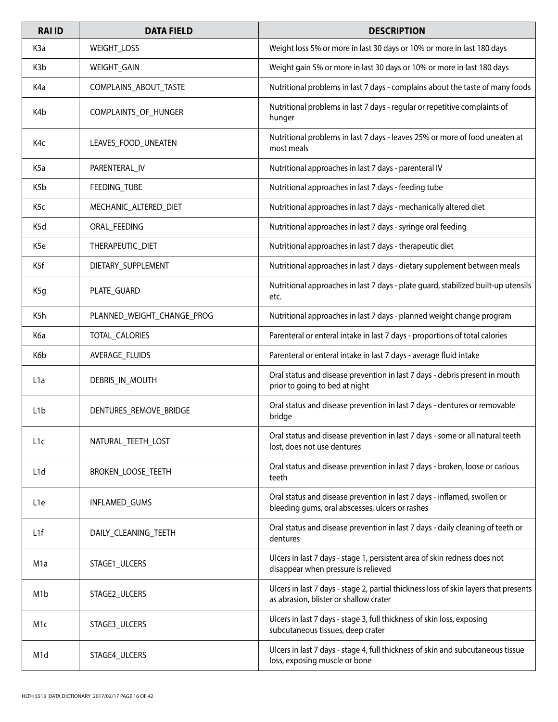| <b>RAIID</b>     | <b>DATA FIELD</b>          | <b>DESCRIPTION</b>                                                                                                             |
|------------------|----------------------------|--------------------------------------------------------------------------------------------------------------------------------|
| K <sub>3</sub> a | <b>WEIGHT LOSS</b>         | Weight loss 5% or more in last 30 days or 10% or more in last 180 days                                                         |
| K <sub>3</sub> b | WEIGHT_GAIN                | Weight gain 5% or more in last 30 days or 10% or more in last 180 days                                                         |
| K4a              | COMPLAINS_ABOUT_TASTE      | Nutritional problems in last 7 days - complains about the taste of many foods                                                  |
| K4b              | COMPLAINTS_OF_HUNGER       | Nutritional problems in last 7 days - regular or repetitive complaints of<br>hunger                                            |
| K4c              | LEAVES_FOOD_UNEATEN        | Nutritional problems in last 7 days - leaves 25% or more of food uneaten at<br>most meals                                      |
| K5a              | PARENTERAL_IV              | Nutritional approaches in last 7 days - parenteral IV                                                                          |
| K <sub>5</sub> b | FEEDING_TUBE               | Nutritional approaches in last 7 days - feeding tube                                                                           |
| K <sub>5</sub> c | MECHANIC_ALTERED_DIET      | Nutritional approaches in last 7 days - mechanically altered diet                                                              |
| K5d              | ORAL_FEEDING               | Nutritional approaches in last 7 days - syringe oral feeding                                                                   |
| K <sub>5e</sub>  | THERAPEUTIC_DIET           | Nutritional approaches in last 7 days - therapeutic diet                                                                       |
| K5f              | DIETARY_SUPPLEMENT         | Nutritional approaches in last 7 days - dietary supplement between meals                                                       |
| K5g              | PLATE_GUARD                | Nutritional approaches in last 7 days - plate guard, stabilized built-up utensils<br>etc.                                      |
| K5h              | PLANNED_WEIGHT_CHANGE_PROG | Nutritional approaches in last 7 days - planned weight change program                                                          |
| K6a              | TOTAL_CALORIES             | Parenteral or enteral intake in last 7 days - proportions of total calories                                                    |
| K6b              | AVERAGE_FLUIDS             | Parenteral or enteral intake in last 7 days - average fluid intake                                                             |
| L <sub>1</sub> a | DEBRIS_IN_MOUTH            | Oral status and disease prevention in last 7 days - debris present in mouth<br>prior to going to bed at night                  |
| L <sub>1</sub> b | DENTURES_REMOVE_BRIDGE     | Oral status and disease prevention in last 7 days - dentures or removable<br>bridge                                            |
| L <sub>1</sub> c | NATURAL_TEETH_LOST         | Oral status and disease prevention in last 7 days - some or all natural teeth<br>lost, does not use dentures                   |
| L <sub>1</sub> d | BROKEN_LOOSE_TEETH         | Oral status and disease prevention in last 7 days - broken, loose or carious<br>teeth                                          |
| L <sub>1e</sub>  | INFLAMED_GUMS              | Oral status and disease prevention in last 7 days - inflamed, swollen or<br>bleeding gums, oral abscesses, ulcers or rashes    |
| L <sub>1</sub> f | DAILY_CLEANING_TEETH       | Oral status and disease prevention in last 7 days - daily cleaning of teeth or<br>dentures                                     |
| M1a              | STAGE1_ULCERS              | Ulcers in last 7 days - stage 1, persistent area of skin redness does not<br>disappear when pressure is relieved               |
| M <sub>1</sub> b | STAGE2_ULCERS              | Ulcers in last 7 days - stage 2, partial thickness loss of skin layers that presents<br>as abrasion, blister or shallow crater |
| M1c              | STAGE3_ULCERS              | Ulcers in last 7 days - stage 3, full thickness of skin loss, exposing<br>subcutaneous tissues, deep crater                    |
| M <sub>1</sub> d | STAGE4_ULCERS              | Ulcers in last 7 days - stage 4, full thickness of skin and subcutaneous tissue<br>loss, exposing muscle or bone               |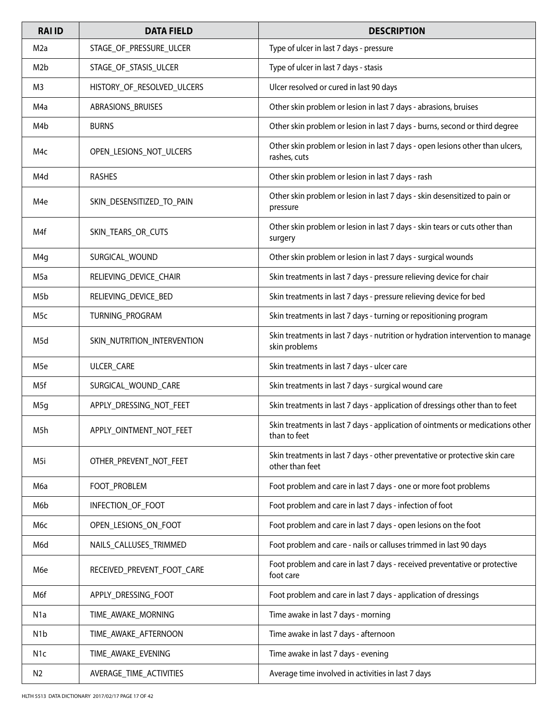| <b>RAI ID</b>    | <b>DATA FIELD</b>           | <b>DESCRIPTION</b>                                                                              |
|------------------|-----------------------------|-------------------------------------------------------------------------------------------------|
| M2a              | STAGE_OF_PRESSURE_ULCER     | Type of ulcer in last 7 days - pressure                                                         |
| M <sub>2</sub> b | STAGE_OF_STASIS_ULCER       | Type of ulcer in last 7 days - stasis                                                           |
| M3               | HISTORY_OF_RESOLVED_ULCERS  | Ulcer resolved or cured in last 90 days                                                         |
| M4a              | ABRASIONS_BRUISES           | Other skin problem or lesion in last 7 days - abrasions, bruises                                |
| M4b              | <b>BURNS</b>                | Other skin problem or lesion in last 7 days - burns, second or third degree                     |
| M4c              | OPEN_LESIONS_NOT_ULCERS     | Other skin problem or lesion in last 7 days - open lesions other than ulcers,<br>rashes, cuts   |
| M4d              | <b>RASHES</b>               | Other skin problem or lesion in last 7 days - rash                                              |
| M4e              | SKIN_DESENSITIZED_TO_PAIN   | Other skin problem or lesion in last 7 days - skin desensitized to pain or<br>pressure          |
| M4f              | SKIN_TEARS_OR_CUTS          | Other skin problem or lesion in last 7 days - skin tears or cuts other than<br>surgery          |
| M4q              | SURGICAL_WOUND              | Other skin problem or lesion in last 7 days - surgical wounds                                   |
| M5a              | RELIEVING DEVICE CHAIR      | Skin treatments in last 7 days - pressure relieving device for chair                            |
| M5b              | RELIEVING_DEVICE_BED        | Skin treatments in last 7 days - pressure relieving device for bed                              |
| M5c              | TURNING_PROGRAM             | Skin treatments in last 7 days - turning or repositioning program                               |
| M5d              | SKIN_NUTRITION_INTERVENTION | Skin treatments in last 7 days - nutrition or hydration intervention to manage<br>skin problems |
| M5e              | ULCER_CARE                  | Skin treatments in last 7 days - ulcer care                                                     |
| M5f              | SURGICAL_WOUND_CARE         | Skin treatments in last 7 days - surgical wound care                                            |
| M5g              | APPLY_DRESSING_NOT_FEET     | Skin treatments in last 7 days - application of dressings other than to feet                    |
| M5h              | APPLY OINTMENT NOT FEET     | Skin treatments in last 7 days - application of ointments or medications other<br>than to feet  |
| M5i              | OTHER_PREVENT_NOT_FEET      | Skin treatments in last 7 days - other preventative or protective skin care<br>other than feet  |
| Мба              | FOOT_PROBLEM                | Foot problem and care in last 7 days - one or more foot problems                                |
| M6b              | INFECTION_OF_FOOT           | Foot problem and care in last 7 days - infection of foot                                        |
| Мбс              | OPEN_LESIONS_ON_FOOT        | Foot problem and care in last 7 days - open lesions on the foot                                 |
| M6d              | NAILS_CALLUSES_TRIMMED      | Foot problem and care - nails or calluses trimmed in last 90 days                               |
| M6e              | RECEIVED_PREVENT_FOOT_CARE  | Foot problem and care in last 7 days - received preventative or protective<br>foot care         |
| M6f              | APPLY_DRESSING_FOOT         | Foot problem and care in last 7 days - application of dressings                                 |
| N1a              | TIME_AWAKE_MORNING          | Time awake in last 7 days - morning                                                             |
| N <sub>1</sub> b | TIME_AWAKE_AFTERNOON        | Time awake in last 7 days - afternoon                                                           |
| N <sub>1</sub> c | TIME_AWAKE_EVENING          | Time awake in last 7 days - evening                                                             |
| N2               | AVERAGE_TIME_ACTIVITIES     | Average time involved in activities in last 7 days                                              |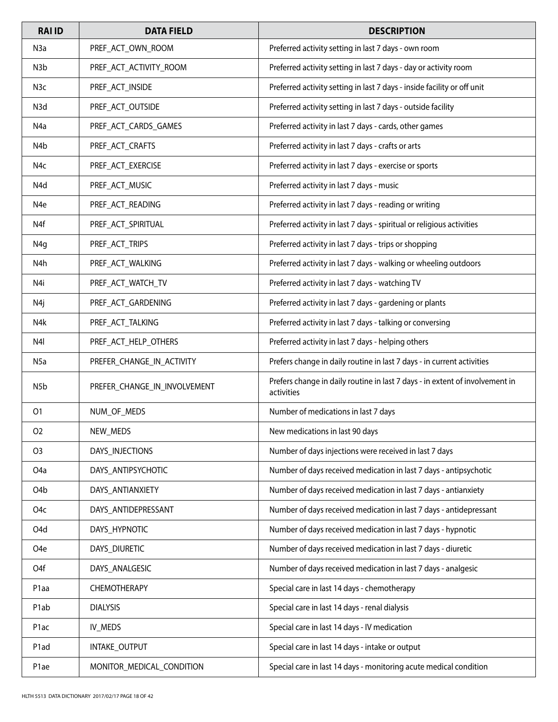| <b>RAI ID</b>     | <b>DATA FIELD</b>            | <b>DESCRIPTION</b>                                                                         |
|-------------------|------------------------------|--------------------------------------------------------------------------------------------|
| N <sub>3</sub> a  | PREF_ACT_OWN_ROOM            | Preferred activity setting in last 7 days - own room                                       |
| N <sub>3</sub> b  | PREF_ACT_ACTIVITY_ROOM       | Preferred activity setting in last 7 days - day or activity room                           |
| N <sub>3</sub> c  | PREF_ACT_INSIDE              | Preferred activity setting in last 7 days - inside facility or off unit                    |
| N3d               | PREF_ACT_OUTSIDE             | Preferred activity setting in last 7 days - outside facility                               |
| N4a               | PREF_ACT_CARDS_GAMES         | Preferred activity in last 7 days - cards, other games                                     |
| N4b               | PREF_ACT_CRAFTS              | Preferred activity in last 7 days - crafts or arts                                         |
| N4c               | PREF_ACT_EXERCISE            | Preferred activity in last 7 days - exercise or sports                                     |
| N4d               | PREF_ACT_MUSIC               | Preferred activity in last 7 days - music                                                  |
| N <sub>4e</sub>   | PREF_ACT_READING             | Preferred activity in last 7 days - reading or writing                                     |
| N4f               | PREF_ACT_SPIRITUAL           | Preferred activity in last 7 days - spiritual or religious activities                      |
| N <sub>4g</sub>   | PREF_ACT_TRIPS               | Preferred activity in last 7 days - trips or shopping                                      |
| N4h               | PREF_ACT_WALKING             | Preferred activity in last 7 days - walking or wheeling outdoors                           |
| N4i               | PREF_ACT_WATCH_TV            | Preferred activity in last 7 days - watching TV                                            |
| N4j               | PREF_ACT_GARDENING           | Preferred activity in last 7 days - gardening or plants                                    |
| N4k               | PREF_ACT_TALKING             | Preferred activity in last 7 days - talking or conversing                                  |
| N <sub>4</sub>    | PREF_ACT_HELP_OTHERS         | Preferred activity in last 7 days - helping others                                         |
| N <sub>5a</sub>   | PREFER_CHANGE_IN_ACTIVITY    | Prefers change in daily routine in last 7 days - in current activities                     |
| N <sub>5</sub> b  | PREFER_CHANGE_IN_INVOLVEMENT | Prefers change in daily routine in last 7 days - in extent of involvement in<br>activities |
| 01                | NUM_OF_MEDS                  | Number of medications in last 7 days                                                       |
| 02                | NEW_MEDS                     | New medications in last 90 days                                                            |
| O <sub>3</sub>    | DAYS_INJECTIONS              | Number of days injections were received in last 7 days                                     |
| O <sub>4</sub> a  | DAYS_ANTIPSYCHOTIC           | Number of days received medication in last 7 days - antipsychotic                          |
| O <sub>4</sub> b  | DAYS_ANTIANXIETY             | Number of days received medication in last 7 days - antianxiety                            |
| O <sub>4</sub> c  | DAYS ANTIDEPRESSANT          | Number of days received medication in last 7 days - antidepressant                         |
| O <sub>4</sub> d  | DAYS_HYPNOTIC                | Number of days received medication in last 7 days - hypnotic                               |
| O <sub>4</sub> e  | DAYS_DIURETIC                | Number of days received medication in last 7 days - diuretic                               |
| O4f               | DAYS_ANALGESIC               | Number of days received medication in last 7 days - analgesic                              |
| P <sub>1</sub> aa | <b>CHEMOTHERAPY</b>          | Special care in last 14 days - chemotherapy                                                |
| P1ab              | <b>DIALYSIS</b>              | Special care in last 14 days - renal dialysis                                              |
| P1ac              | IV_MEDS                      | Special care in last 14 days - IV medication                                               |
| P <sub>1</sub> ad | INTAKE_OUTPUT                | Special care in last 14 days - intake or output                                            |
| P1ae              | MONITOR_MEDICAL_CONDITION    | Special care in last 14 days - monitoring acute medical condition                          |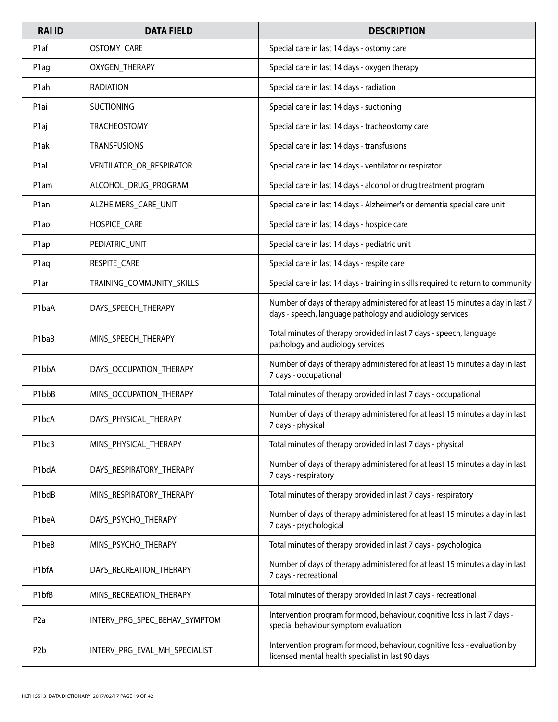| <b>RAI ID</b>      | <b>DATA FIELD</b>             | <b>DESCRIPTION</b>                                                                                                                         |
|--------------------|-------------------------------|--------------------------------------------------------------------------------------------------------------------------------------------|
| P <sub>1</sub> af  | OSTOMY_CARE                   | Special care in last 14 days - ostomy care                                                                                                 |
| P1ag               | OXYGEN_THERAPY                | Special care in last 14 days - oxygen therapy                                                                                              |
| P <sub>1</sub> ah  | <b>RADIATION</b>              | Special care in last 14 days - radiation                                                                                                   |
| P1ai               | <b>SUCTIONING</b>             | Special care in last 14 days - suctioning                                                                                                  |
| P <sub>1</sub> aj  | <b>TRACHEOSTOMY</b>           | Special care in last 14 days - tracheostomy care                                                                                           |
| P <sub>1</sub> ak  | <b>TRANSFUSIONS</b>           | Special care in last 14 days - transfusions                                                                                                |
| P <sub>1</sub> al  | VENTILATOR_OR_RESPIRATOR      | Special care in last 14 days - ventilator or respirator                                                                                    |
| P1am               | ALCOHOL_DRUG_PROGRAM          | Special care in last 14 days - alcohol or drug treatment program                                                                           |
| P <sub>1</sub> an  | ALZHEIMERS_CARE_UNIT          | Special care in last 14 days - Alzheimer's or dementia special care unit                                                                   |
| P <sub>1</sub> ao  | HOSPICE_CARE                  | Special care in last 14 days - hospice care                                                                                                |
| P1ap               | PEDIATRIC_UNIT                | Special care in last 14 days - pediatric unit                                                                                              |
| P1aq               | RESPITE_CARE                  | Special care in last 14 days - respite care                                                                                                |
| P1ar               | TRAINING_COMMUNITY_SKILLS     | Special care in last 14 days - training in skills required to return to community                                                          |
| P1baA              | DAYS_SPEECH_THERAPY           | Number of days of therapy administered for at least 15 minutes a day in last 7<br>days - speech, language pathology and audiology services |
| P1baB              | MINS_SPEECH_THERAPY           | Total minutes of therapy provided in last 7 days - speech, language<br>pathology and audiology services                                    |
| P <sub>1</sub> bbA | DAYS_OCCUPATION_THERAPY       | Number of days of therapy administered for at least 15 minutes a day in last<br>7 days - occupational                                      |
| P1bbB              | MINS_OCCUPATION_THERAPY       | Total minutes of therapy provided in last 7 days - occupational                                                                            |
| P1bcA              | DAYS_PHYSICAL_THERAPY         | Number of days of therapy administered for at least 15 minutes a day in last<br>7 days - physical                                          |
| P1bcB              | MINS_PHYSICAL_THERAPY         | Total minutes of therapy provided in last 7 days - physical                                                                                |
| P1bdA              | DAYS_RESPIRATORY_THERAPY      | Number of days of therapy administered for at least 15 minutes a day in last<br>7 days - respiratory                                       |
| P1bdB              | MINS_RESPIRATORY_THERAPY      | Total minutes of therapy provided in last 7 days - respiratory                                                                             |
| P1beA              | DAYS_PSYCHO_THERAPY           | Number of days of therapy administered for at least 15 minutes a day in last<br>7 days - psychological                                     |
| P1beB              | MINS_PSYCHO_THERAPY           | Total minutes of therapy provided in last 7 days - psychological                                                                           |
| P1bfA              | DAYS_RECREATION_THERAPY       | Number of days of therapy administered for at least 15 minutes a day in last<br>7 days - recreational                                      |
| P1bfB              | MINS_RECREATION_THERAPY       | Total minutes of therapy provided in last 7 days - recreational                                                                            |
| P <sub>2</sub> a   | INTERV_PRG_SPEC_BEHAV_SYMPTOM | Intervention program for mood, behaviour, cognitive loss in last 7 days -<br>special behaviour symptom evaluation                          |
| P <sub>2</sub> b   | INTERV_PRG_EVAL_MH_SPECIALIST | Intervention program for mood, behaviour, cognitive loss - evaluation by<br>licensed mental health specialist in last 90 days              |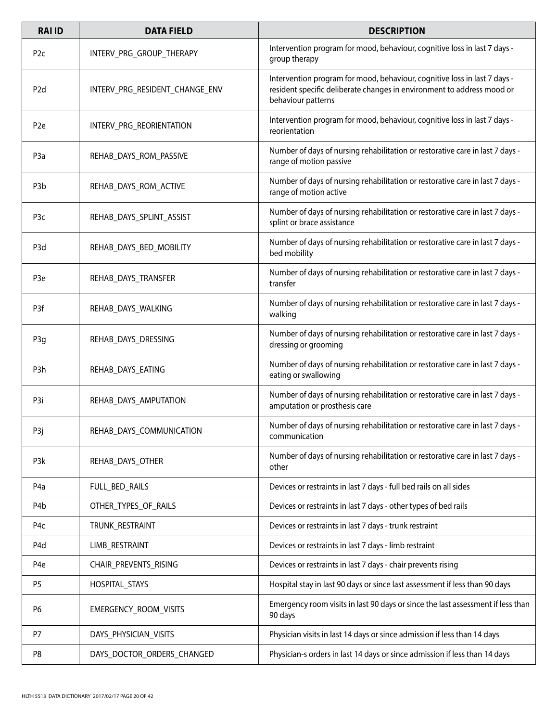| <b>RAI ID</b>    | <b>DATA FIELD</b>              | <b>DESCRIPTION</b>                                                                                                                                                        |
|------------------|--------------------------------|---------------------------------------------------------------------------------------------------------------------------------------------------------------------------|
| P <sub>2c</sub>  | INTERV_PRG_GROUP_THERAPY       | Intervention program for mood, behaviour, cognitive loss in last 7 days -<br>group therapy                                                                                |
| P <sub>2d</sub>  | INTERV PRG RESIDENT CHANGE ENV | Intervention program for mood, behaviour, cognitive loss in last 7 days -<br>resident specific deliberate changes in environment to address mood or<br>behaviour patterns |
| P <sub>2e</sub>  | INTERV_PRG_REORIENTATION       | Intervention program for mood, behaviour, cognitive loss in last 7 days -<br>reorientation                                                                                |
| P <sub>3</sub> a | REHAB_DAYS_ROM_PASSIVE         | Number of days of nursing rehabilitation or restorative care in last 7 days -<br>range of motion passive                                                                  |
| P <sub>3</sub> b | REHAB_DAYS_ROM_ACTIVE          | Number of days of nursing rehabilitation or restorative care in last 7 days -<br>range of motion active                                                                   |
| P <sub>3</sub> c | REHAB_DAYS_SPLINT_ASSIST       | Number of days of nursing rehabilitation or restorative care in last 7 days -<br>splint or brace assistance                                                               |
| P <sub>3</sub> d | REHAB_DAYS_BED_MOBILITY        | Number of days of nursing rehabilitation or restorative care in last 7 days -<br>bed mobility                                                                             |
| P <sub>3e</sub>  | REHAB_DAYS_TRANSFER            | Number of days of nursing rehabilitation or restorative care in last 7 days -<br>transfer                                                                                 |
| P3f              | REHAB_DAYS_WALKING             | Number of days of nursing rehabilitation or restorative care in last 7 days -<br>walking                                                                                  |
| P <sub>3g</sub>  | REHAB_DAYS_DRESSING            | Number of days of nursing rehabilitation or restorative care in last 7 days -<br>dressing or grooming                                                                     |
| P3h              | REHAB_DAYS_EATING              | Number of days of nursing rehabilitation or restorative care in last 7 days -<br>eating or swallowing                                                                     |
| P3i              | REHAB_DAYS_AMPUTATION          | Number of days of nursing rehabilitation or restorative care in last 7 days -<br>amputation or prosthesis care                                                            |
| P3j              | REHAB_DAYS_COMMUNICATION       | Number of days of nursing rehabilitation or restorative care in last 7 days -<br>communication                                                                            |
| P3k              | REHAB_DAYS_OTHER               | Number of days of nursing rehabilitation or restorative care in last 7 days -<br>other                                                                                    |
| P4a              | FULL_BED_RAILS                 | Devices or restraints in last 7 days - full bed rails on all sides                                                                                                        |
| P4b              | OTHER_TYPES_OF_RAILS           | Devices or restraints in last 7 days - other types of bed rails                                                                                                           |
| P4c              | TRUNK_RESTRAINT                | Devices or restraints in last 7 days - trunk restraint                                                                                                                    |
| P <sub>4</sub> d | LIMB_RESTRAINT                 | Devices or restraints in last 7 days - limb restraint                                                                                                                     |
| P <sub>4e</sub>  | CHAIR_PREVENTS_RISING          | Devices or restraints in last 7 days - chair prevents rising                                                                                                              |
| P <sub>5</sub>   | HOSPITAL_STAYS                 | Hospital stay in last 90 days or since last assessment if less than 90 days                                                                                               |
| P <sub>6</sub>   | EMERGENCY_ROOM_VISITS          | Emergency room visits in last 90 days or since the last assessment if less than<br>90 days                                                                                |
| P7               | DAYS_PHYSICIAN_VISITS          | Physician visits in last 14 days or since admission if less than 14 days                                                                                                  |
| P8               | DAYS_DOCTOR_ORDERS_CHANGED     | Physician-s orders in last 14 days or since admission if less than 14 days                                                                                                |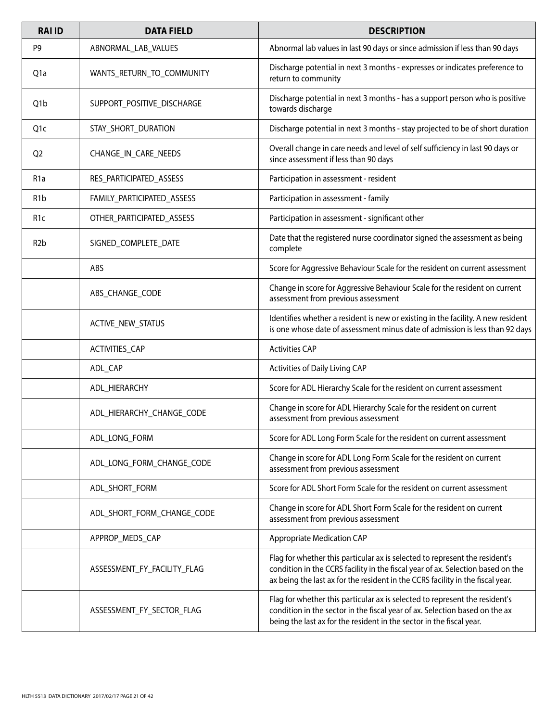| <b>RAI ID</b>    | <b>DATA FIELD</b>           | <b>DESCRIPTION</b>                                                                                                                                                                                                                               |
|------------------|-----------------------------|--------------------------------------------------------------------------------------------------------------------------------------------------------------------------------------------------------------------------------------------------|
| P <sub>9</sub>   | ABNORMAL_LAB_VALUES         | Abnormal lab values in last 90 days or since admission if less than 90 days                                                                                                                                                                      |
| Q1a              | WANTS_RETURN_TO_COMMUNITY   | Discharge potential in next 3 months - expresses or indicates preference to<br>return to community                                                                                                                                               |
| Q <sub>1</sub> b | SUPPORT_POSITIVE_DISCHARGE  | Discharge potential in next 3 months - has a support person who is positive<br>towards discharge                                                                                                                                                 |
| Q1c              | STAY_SHORT_DURATION         | Discharge potential in next 3 months - stay projected to be of short duration                                                                                                                                                                    |
| Q <sub>2</sub>   | CHANGE_IN_CARE_NEEDS        | Overall change in care needs and level of self sufficiency in last 90 days or<br>since assessment if less than 90 days                                                                                                                           |
| R <sub>1</sub> a | RES_PARTICIPATED_ASSESS     | Participation in assessment - resident                                                                                                                                                                                                           |
| R <sub>1</sub> b | FAMILY_PARTICIPATED_ASSESS  | Participation in assessment - family                                                                                                                                                                                                             |
| R <sub>1</sub> c | OTHER_PARTICIPATED_ASSESS   | Participation in assessment - significant other                                                                                                                                                                                                  |
| R <sub>2</sub> b | SIGNED_COMPLETE_DATE        | Date that the registered nurse coordinator signed the assessment as being<br>complete                                                                                                                                                            |
|                  | ABS                         | Score for Aggressive Behaviour Scale for the resident on current assessment                                                                                                                                                                      |
|                  | ABS_CHANGE_CODE             | Change in score for Aggressive Behaviour Scale for the resident on current<br>assessment from previous assessment                                                                                                                                |
|                  | ACTIVE_NEW_STATUS           | Identifies whether a resident is new or existing in the facility. A new resident<br>is one whose date of assessment minus date of admission is less than 92 days                                                                                 |
|                  | ACTIVITIES_CAP              | <b>Activities CAP</b>                                                                                                                                                                                                                            |
|                  | ADL_CAP                     | Activities of Daily Living CAP                                                                                                                                                                                                                   |
|                  | ADL_HIERARCHY               | Score for ADL Hierarchy Scale for the resident on current assessment                                                                                                                                                                             |
|                  | ADL_HIERARCHY_CHANGE_CODE   | Change in score for ADL Hierarchy Scale for the resident on current<br>assessment from previous assessment                                                                                                                                       |
|                  | ADL LONG FORM               | Score for ADL Long Form Scale for the resident on current assessment                                                                                                                                                                             |
|                  | ADL_LONG_FORM_CHANGE_CODE   | Change in score for ADL Long Form Scale for the resident on current<br>assessment from previous assessment                                                                                                                                       |
|                  | ADL SHORT FORM              | Score for ADL Short Form Scale for the resident on current assessment                                                                                                                                                                            |
|                  | ADL_SHORT_FORM_CHANGE_CODE  | Change in score for ADL Short Form Scale for the resident on current<br>assessment from previous assessment                                                                                                                                      |
|                  | APPROP_MEDS_CAP             | <b>Appropriate Medication CAP</b>                                                                                                                                                                                                                |
|                  | ASSESSMENT_FY_FACILITY_FLAG | Flag for whether this particular ax is selected to represent the resident's<br>condition in the CCRS facility in the fiscal year of ax. Selection based on the<br>ax being the last ax for the resident in the CCRS facility in the fiscal year. |
|                  | ASSESSMENT_FY_SECTOR_FLAG   | Flag for whether this particular ax is selected to represent the resident's<br>condition in the sector in the fiscal year of ax. Selection based on the ax<br>being the last ax for the resident in the sector in the fiscal year.               |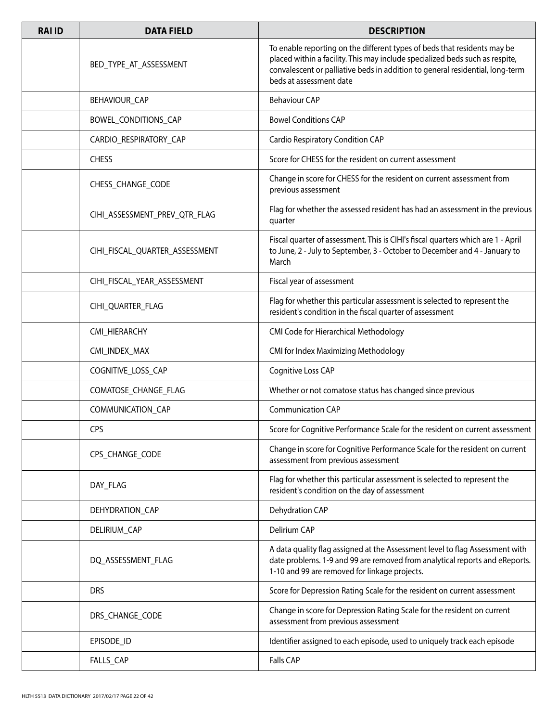| <b>RAI ID</b> | <b>DATA FIELD</b>              | <b>DESCRIPTION</b>                                                                                                                                                                                                                                                   |
|---------------|--------------------------------|----------------------------------------------------------------------------------------------------------------------------------------------------------------------------------------------------------------------------------------------------------------------|
|               | BED_TYPE_AT_ASSESSMENT         | To enable reporting on the different types of beds that residents may be<br>placed within a facility. This may include specialized beds such as respite,<br>convalescent or palliative beds in addition to general residential, long-term<br>beds at assessment date |
|               | BEHAVIOUR_CAP                  | <b>Behaviour CAP</b>                                                                                                                                                                                                                                                 |
|               | BOWEL_CONDITIONS_CAP           | <b>Bowel Conditions CAP</b>                                                                                                                                                                                                                                          |
|               | CARDIO_RESPIRATORY_CAP         | Cardio Respiratory Condition CAP                                                                                                                                                                                                                                     |
|               | <b>CHESS</b>                   | Score for CHESS for the resident on current assessment                                                                                                                                                                                                               |
|               | CHESS_CHANGE_CODE              | Change in score for CHESS for the resident on current assessment from<br>previous assessment                                                                                                                                                                         |
|               | CIHI_ASSESSMENT_PREV_QTR_FLAG  | Flag for whether the assessed resident has had an assessment in the previous<br>quarter                                                                                                                                                                              |
|               | CIHI_FISCAL_QUARTER_ASSESSMENT | Fiscal quarter of assessment. This is CIHI's fiscal quarters which are 1 - April<br>to June, 2 - July to September, 3 - October to December and 4 - January to<br>March                                                                                              |
|               | CIHI_FISCAL_YEAR_ASSESSMENT    | Fiscal year of assessment                                                                                                                                                                                                                                            |
|               | CIHI_QUARTER_FLAG              | Flag for whether this particular assessment is selected to represent the<br>resident's condition in the fiscal quarter of assessment                                                                                                                                 |
|               | CMI_HIERARCHY                  | CMI Code for Hierarchical Methodology                                                                                                                                                                                                                                |
|               | CMI_INDEX_MAX                  | CMI for Index Maximizing Methodology                                                                                                                                                                                                                                 |
|               | COGNITIVE_LOSS_CAP             | Cognitive Loss CAP                                                                                                                                                                                                                                                   |
|               | COMATOSE_CHANGE_FLAG           | Whether or not comatose status has changed since previous                                                                                                                                                                                                            |
|               | COMMUNICATION_CAP              | <b>Communication CAP</b>                                                                                                                                                                                                                                             |
|               | <b>CPS</b>                     | Score for Cognitive Performance Scale for the resident on current assessment                                                                                                                                                                                         |
|               | CPS_CHANGE_CODE                | Change in score for Cognitive Performance Scale for the resident on current<br>assessment from previous assessment                                                                                                                                                   |
|               | DAY_FLAG                       | Flag for whether this particular assessment is selected to represent the<br>resident's condition on the day of assessment                                                                                                                                            |
|               | DEHYDRATION_CAP                | Dehydration CAP                                                                                                                                                                                                                                                      |
|               | DELIRIUM_CAP                   | Delirium CAP                                                                                                                                                                                                                                                         |
|               | DQ_ASSESSMENT_FLAG             | A data quality flag assigned at the Assessment level to flag Assessment with<br>date problems. 1-9 and 99 are removed from analytical reports and eReports.<br>1-10 and 99 are removed for linkage projects.                                                         |
|               | <b>DRS</b>                     | Score for Depression Rating Scale for the resident on current assessment                                                                                                                                                                                             |
|               | DRS_CHANGE_CODE                | Change in score for Depression Rating Scale for the resident on current<br>assessment from previous assessment                                                                                                                                                       |
|               | EPISODE_ID                     | Identifier assigned to each episode, used to uniquely track each episode                                                                                                                                                                                             |
|               | FALLS_CAP                      | <b>Falls CAP</b>                                                                                                                                                                                                                                                     |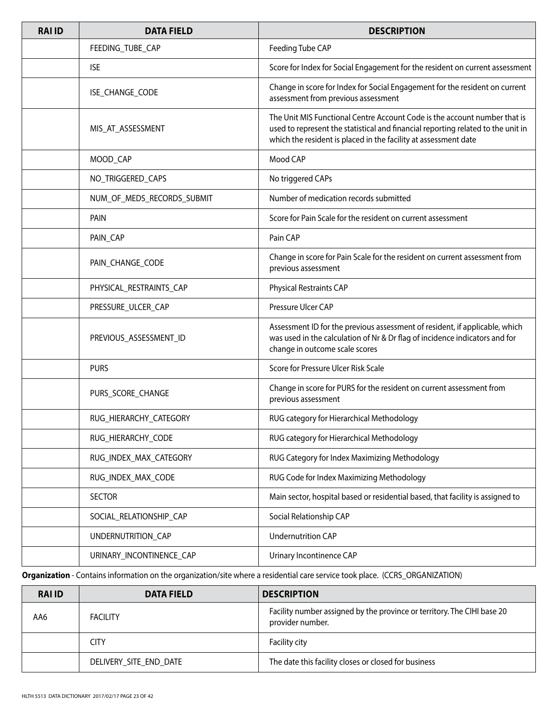| <b>RAI ID</b> | <b>DATA FIELD</b>          | <b>DESCRIPTION</b>                                                                                                                                                                                                               |
|---------------|----------------------------|----------------------------------------------------------------------------------------------------------------------------------------------------------------------------------------------------------------------------------|
|               | FEEDING_TUBE_CAP           | Feeding Tube CAP                                                                                                                                                                                                                 |
|               | <b>ISE</b>                 | Score for Index for Social Engagement for the resident on current assessment                                                                                                                                                     |
|               | ISE_CHANGE_CODE            | Change in score for Index for Social Engagement for the resident on current<br>assessment from previous assessment                                                                                                               |
|               | MIS_AT_ASSESSMENT          | The Unit MIS Functional Centre Account Code is the account number that is<br>used to represent the statistical and financial reporting related to the unit in<br>which the resident is placed in the facility at assessment date |
|               | MOOD_CAP                   | Mood CAP                                                                                                                                                                                                                         |
|               | NO_TRIGGERED_CAPS          | No triggered CAPs                                                                                                                                                                                                                |
|               | NUM_OF_MEDS_RECORDS_SUBMIT | Number of medication records submitted                                                                                                                                                                                           |
|               | PAIN                       | Score for Pain Scale for the resident on current assessment                                                                                                                                                                      |
|               | PAIN_CAP                   | Pain CAP                                                                                                                                                                                                                         |
|               | PAIN_CHANGE_CODE           | Change in score for Pain Scale for the resident on current assessment from<br>previous assessment                                                                                                                                |
|               | PHYSICAL_RESTRAINTS_CAP    | Physical Restraints CAP                                                                                                                                                                                                          |
|               | PRESSURE_ULCER_CAP         | Pressure Ulcer CAP                                                                                                                                                                                                               |
|               | PREVIOUS_ASSESSMENT_ID     | Assessment ID for the previous assessment of resident, if applicable, which<br>was used in the calculation of Nr & Dr flag of incidence indicators and for<br>change in outcome scale scores                                     |
|               | <b>PURS</b>                | Score for Pressure Ulcer Risk Scale                                                                                                                                                                                              |
|               | PURS_SCORE_CHANGE          | Change in score for PURS for the resident on current assessment from<br>previous assessment                                                                                                                                      |
|               | RUG_HIERARCHY_CATEGORY     | RUG category for Hierarchical Methodology                                                                                                                                                                                        |
|               | RUG_HIERARCHY_CODE         | RUG category for Hierarchical Methodology                                                                                                                                                                                        |
|               | RUG_INDEX_MAX_CATEGORY     | RUG Category for Index Maximizing Methodology                                                                                                                                                                                    |
|               | RUG_INDEX_MAX_CODE         | RUG Code for Index Maximizing Methodology                                                                                                                                                                                        |
|               | <b>SECTOR</b>              | Main sector, hospital based or residential based, that facility is assigned to                                                                                                                                                   |
|               | SOCIAL_RELATIONSHIP_CAP    | Social Relationship CAP                                                                                                                                                                                                          |
|               | UNDERNUTRITION_CAP         | <b>Undernutrition CAP</b>                                                                                                                                                                                                        |
|               | URINARY_INCONTINENCE_CAP   | Urinary Incontinence CAP                                                                                                                                                                                                         |

**Organization** - Contains information on the organization/site where a residential care service took place. (CCRS\_ORGANIZATION)

| <b>RAI ID</b> | <b>DATA FIELD</b>      | <b>DESCRIPTION</b>                                                                          |
|---------------|------------------------|---------------------------------------------------------------------------------------------|
| AA6           | <b>FACILITY</b>        | Facility number assigned by the province or territory. The CIHI base 20<br>provider number. |
|               | <b>CITY</b>            | Facility city                                                                               |
|               | DELIVERY_SITE_END_DATE | The date this facility closes or closed for business                                        |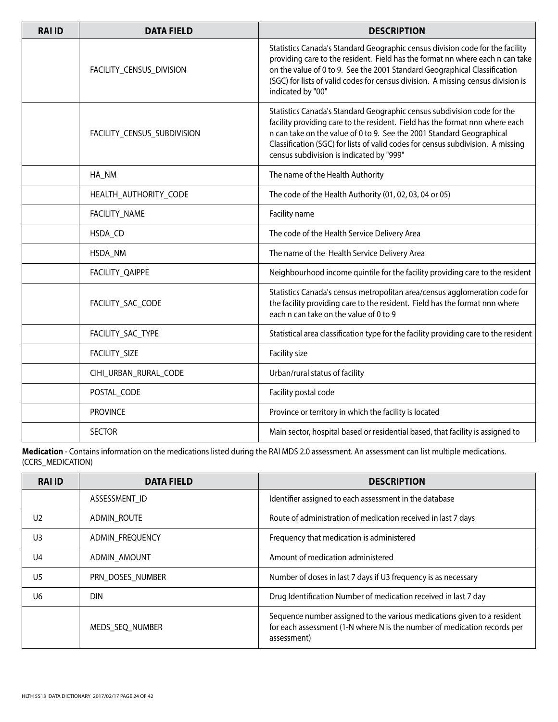| <b>RAI ID</b> | <b>DATA FIELD</b>           | <b>DESCRIPTION</b>                                                                                                                                                                                                                                                                                                                                              |
|---------------|-----------------------------|-----------------------------------------------------------------------------------------------------------------------------------------------------------------------------------------------------------------------------------------------------------------------------------------------------------------------------------------------------------------|
|               | FACILITY_CENSUS_DIVISION    | Statistics Canada's Standard Geographic census division code for the facility<br>providing care to the resident. Field has the format nn where each n can take<br>on the value of 0 to 9. See the 2001 Standard Geographical Classification<br>(SGC) for lists of valid codes for census division. A missing census division is<br>indicated by "00"            |
|               | FACILITY_CENSUS_SUBDIVISION | Statistics Canada's Standard Geographic census subdivision code for the<br>facility providing care to the resident. Field has the format nnn where each<br>n can take on the value of 0 to 9. See the 2001 Standard Geographical<br>Classification (SGC) for lists of valid codes for census subdivision. A missing<br>census subdivision is indicated by "999" |
|               | HA_NM                       | The name of the Health Authority                                                                                                                                                                                                                                                                                                                                |
|               | HEALTH_AUTHORITY_CODE       | The code of the Health Authority (01, 02, 03, 04 or 05)                                                                                                                                                                                                                                                                                                         |
|               | FACILITY_NAME               | Facility name                                                                                                                                                                                                                                                                                                                                                   |
|               | HSDA_CD                     | The code of the Health Service Delivery Area                                                                                                                                                                                                                                                                                                                    |
|               | HSDA_NM                     | The name of the Health Service Delivery Area                                                                                                                                                                                                                                                                                                                    |
|               | FACILITY_QAIPPE             | Neighbourhood income quintile for the facility providing care to the resident                                                                                                                                                                                                                                                                                   |
|               | FACILITY_SAC_CODE           | Statistics Canada's census metropolitan area/census agglomeration code for<br>the facility providing care to the resident. Field has the format nnn where<br>each n can take on the value of 0 to 9                                                                                                                                                             |
|               | FACILITY_SAC_TYPE           | Statistical area classification type for the facility providing care to the resident                                                                                                                                                                                                                                                                            |
|               | FACILITY_SIZE               | Facility size                                                                                                                                                                                                                                                                                                                                                   |
|               | CIHI_URBAN_RURAL_CODE       | Urban/rural status of facility                                                                                                                                                                                                                                                                                                                                  |
|               | POSTAL_CODE                 | Facility postal code                                                                                                                                                                                                                                                                                                                                            |
|               | <b>PROVINCE</b>             | Province or territory in which the facility is located                                                                                                                                                                                                                                                                                                          |
|               | <b>SECTOR</b>               | Main sector, hospital based or residential based, that facility is assigned to                                                                                                                                                                                                                                                                                  |

**Medication** - Contains information on the medications listed during the RAI MDS 2.0 assessment. An assessment can list multiple medications. (CCRS\_MEDICATION)

| <b>RAIID</b>   | <b>DATA FIELD</b> | <b>DESCRIPTION</b>                                                                                                                                                 |
|----------------|-------------------|--------------------------------------------------------------------------------------------------------------------------------------------------------------------|
|                | ASSESSMENT ID     | Identifier assigned to each assessment in the database                                                                                                             |
| U <sub>2</sub> | ADMIN ROUTE       | Route of administration of medication received in last 7 days                                                                                                      |
| U <sub>3</sub> | ADMIN FREQUENCY   | Frequency that medication is administered                                                                                                                          |
| U <sub>4</sub> | ADMIN AMOUNT      | Amount of medication administered                                                                                                                                  |
| U <sub>5</sub> | PRN DOSES NUMBER  | Number of doses in last 7 days if U3 frequency is as necessary                                                                                                     |
| U6             | <b>DIN</b>        | Drug Identification Number of medication received in last 7 day                                                                                                    |
|                | MEDS SEQ NUMBER   | Sequence number assigned to the various medications given to a resident<br>for each assessment (1-N where N is the number of medication records per<br>assessment) |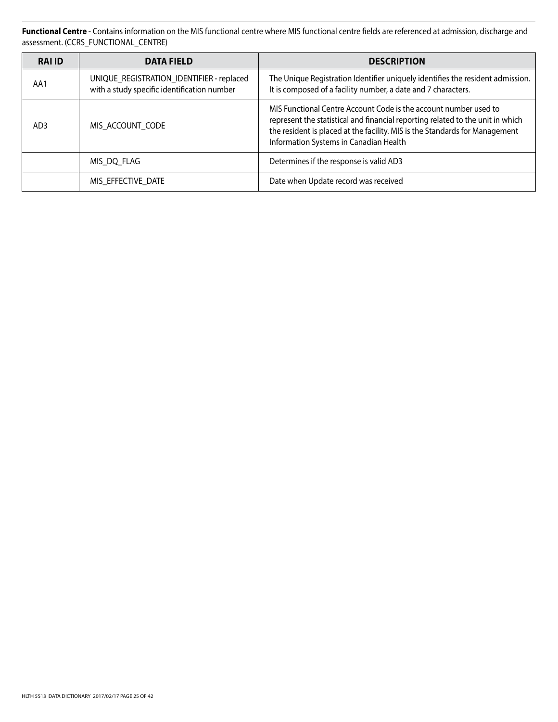**Functional Centre** - Contains information on the MIS functional centre where MIS functional centre fields are referenced at admission, discharge and assessment. (CCRS\_FUNCTIONAL\_CENTRE)

| <b>RAI ID</b>   | <b>DATA FIELD</b>                                                                        | <b>DESCRIPTION</b>                                                                                                                                                                                                                                                          |
|-----------------|------------------------------------------------------------------------------------------|-----------------------------------------------------------------------------------------------------------------------------------------------------------------------------------------------------------------------------------------------------------------------------|
| AA1             | UNIQUE_REGISTRATION_IDENTIFIER - replaced<br>with a study specific identification number | The Unique Registration Identifier uniquely identifies the resident admission.<br>It is composed of a facility number, a date and 7 characters.                                                                                                                             |
| AD <sub>3</sub> | MIS ACCOUNT CODE                                                                         | MIS Functional Centre Account Code is the account number used to<br>represent the statistical and financial reporting related to the unit in which<br>the resident is placed at the facility. MIS is the Standards for Management<br>Information Systems in Canadian Health |
|                 | MIS DQ FLAG                                                                              | Determines if the response is valid AD3                                                                                                                                                                                                                                     |
|                 | MIS EFFECTIVE DATE                                                                       | Date when Update record was received                                                                                                                                                                                                                                        |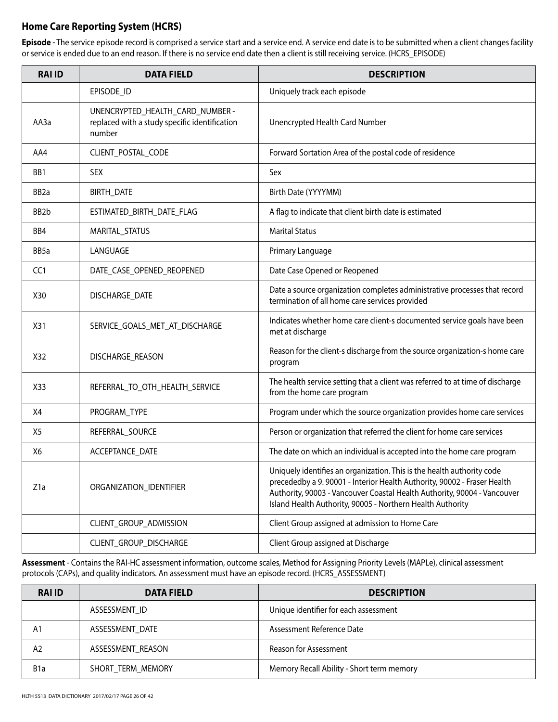## **Home Care Reporting System (HCRS)**

**Episode** - The service episode record is comprised a service start and a service end. A service end date is to be submitted when a client changes facility or service is ended due to an end reason. If there is no service end date then a client is still receiving service. (HCRS\_EPISODE)

| <b>RAI ID</b>     | <b>DATA FIELD</b>                                                                           | <b>DESCRIPTION</b>                                                                                                                                                                                                                                                                           |
|-------------------|---------------------------------------------------------------------------------------------|----------------------------------------------------------------------------------------------------------------------------------------------------------------------------------------------------------------------------------------------------------------------------------------------|
|                   | EPISODE_ID                                                                                  | Uniquely track each episode                                                                                                                                                                                                                                                                  |
| AA3a              | UNENCRYPTED_HEALTH_CARD_NUMBER -<br>replaced with a study specific identification<br>number | Unencrypted Health Card Number                                                                                                                                                                                                                                                               |
| AA4               | CLIENT_POSTAL_CODE                                                                          | Forward Sortation Area of the postal code of residence                                                                                                                                                                                                                                       |
| BB1               | <b>SEX</b>                                                                                  | Sex                                                                                                                                                                                                                                                                                          |
| BB <sub>2a</sub>  | BIRTH_DATE                                                                                  | Birth Date (YYYYMM)                                                                                                                                                                                                                                                                          |
| BB <sub>2</sub> b | ESTIMATED_BIRTH_DATE_FLAG                                                                   | A flag to indicate that client birth date is estimated                                                                                                                                                                                                                                       |
| BB4               | MARITAL_STATUS                                                                              | <b>Marital Status</b>                                                                                                                                                                                                                                                                        |
| BB5a              | LANGUAGE                                                                                    | Primary Language                                                                                                                                                                                                                                                                             |
| CC <sub>1</sub>   | DATE_CASE_OPENED_REOPENED                                                                   | Date Case Opened or Reopened                                                                                                                                                                                                                                                                 |
| X30               | DISCHARGE_DATE                                                                              | Date a source organization completes administrative processes that record<br>termination of all home care services provided                                                                                                                                                                  |
| X31               | SERVICE_GOALS_MET_AT_DISCHARGE                                                              | Indicates whether home care client-s documented service goals have been<br>met at discharge                                                                                                                                                                                                  |
| X32               | DISCHARGE_REASON                                                                            | Reason for the client-s discharge from the source organization-s home care<br>program                                                                                                                                                                                                        |
| X33               | REFERRAL_TO_OTH_HEALTH_SERVICE                                                              | The health service setting that a client was referred to at time of discharge<br>from the home care program                                                                                                                                                                                  |
| X4                | PROGRAM_TYPE                                                                                | Program under which the source organization provides home care services                                                                                                                                                                                                                      |
| X5                | REFERRAL_SOURCE                                                                             | Person or organization that referred the client for home care services                                                                                                                                                                                                                       |
| X6                | ACCEPTANCE_DATE                                                                             | The date on which an individual is accepted into the home care program                                                                                                                                                                                                                       |
| Z <sub>1</sub> a  | ORGANIZATION_IDENTIFIER                                                                     | Uniquely identifies an organization. This is the health authority code<br>precededby a 9. 90001 - Interior Health Authority, 90002 - Fraser Health<br>Authority, 90003 - Vancouver Coastal Health Authority, 90004 - Vancouver<br>Island Health Authority, 90005 - Northern Health Authority |
|                   | CLIENT_GROUP_ADMISSION                                                                      | Client Group assigned at admission to Home Care                                                                                                                                                                                                                                              |
|                   | CLIENT_GROUP_DISCHARGE                                                                      | Client Group assigned at Discharge                                                                                                                                                                                                                                                           |

**Assessment** - Contains the RAI-HC assessment information, outcome scales, Method for Assigning Priority Levels (MAPLe), clinical assessment protocols (CAPs), and quality indicators. An assessment must have an episode record. (HCRS\_ASSESSMENT)

| <b>RAI ID</b>    | <b>DATA FIELD</b> | <b>DESCRIPTION</b>                        |
|------------------|-------------------|-------------------------------------------|
|                  | ASSESSMENT ID     | Unique identifier for each assessment     |
| A <sub>1</sub>   | ASSESSMENT DATE   | Assessment Reference Date                 |
| A2               | ASSESSMENT REASON | Reason for Assessment                     |
| B <sub>1</sub> a | SHORT TERM MEMORY | Memory Recall Ability - Short term memory |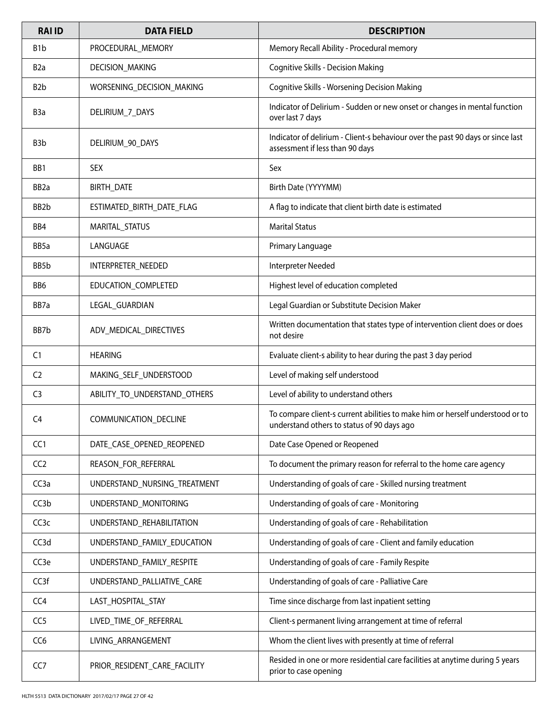| <b>RAI ID</b>     | <b>DATA FIELD</b>            | <b>DESCRIPTION</b>                                                                                                          |
|-------------------|------------------------------|-----------------------------------------------------------------------------------------------------------------------------|
| B <sub>1</sub> b  | PROCEDURAL_MEMORY            | Memory Recall Ability - Procedural memory                                                                                   |
| B <sub>2</sub> a  | DECISION_MAKING              | <b>Cognitive Skills - Decision Making</b>                                                                                   |
| B <sub>2</sub> b  | WORSENING_DECISION_MAKING    | Cognitive Skills - Worsening Decision Making                                                                                |
| B <sub>3</sub> a  | DELIRIUM_7_DAYS              | Indicator of Delirium - Sudden or new onset or changes in mental function<br>over last 7 days                               |
| B <sub>3</sub> b  | DELIRIUM_90_DAYS             | Indicator of delirium - Client-s behaviour over the past 90 days or since last<br>assessment if less than 90 days           |
| BB1               | <b>SEX</b>                   | Sex                                                                                                                         |
| BB <sub>2</sub> a | BIRTH_DATE                   | Birth Date (YYYYMM)                                                                                                         |
| BB <sub>2</sub> b | ESTIMATED_BIRTH_DATE_FLAG    | A flag to indicate that client birth date is estimated                                                                      |
| BB4               | MARITAL_STATUS               | <b>Marital Status</b>                                                                                                       |
| BB5a              | LANGUAGE                     | Primary Language                                                                                                            |
| BB <sub>5</sub> b | INTERPRETER_NEEDED           | Interpreter Needed                                                                                                          |
| BB6               | EDUCATION_COMPLETED          | Highest level of education completed                                                                                        |
| BB7a              | LEGAL_GUARDIAN               | Legal Guardian or Substitute Decision Maker                                                                                 |
| BB7b              | ADV_MEDICAL_DIRECTIVES       | Written documentation that states type of intervention client does or does<br>not desire                                    |
| C <sub>1</sub>    | <b>HEARING</b>               | Evaluate client-s ability to hear during the past 3 day period                                                              |
| C <sub>2</sub>    | MAKING_SELF_UNDERSTOOD       | Level of making self understood                                                                                             |
| C <sub>3</sub>    | ABILITY TO UNDERSTAND OTHERS | Level of ability to understand others                                                                                       |
| C <sub>4</sub>    | COMMUNICATION_DECLINE        | To compare client-s current abilities to make him or herself understood or to<br>understand others to status of 90 days ago |
| CC <sub>1</sub>   | DATE_CASE_OPENED_REOPENED    | Date Case Opened or Reopened                                                                                                |
| CC <sub>2</sub>   | REASON_FOR_REFERRAL          | To document the primary reason for referral to the home care agency                                                         |
| CC <sub>3</sub> a | UNDERSTAND_NURSING_TREATMENT | Understanding of goals of care - Skilled nursing treatment                                                                  |
| CC <sub>3</sub> b | UNDERSTAND_MONITORING        | Understanding of goals of care - Monitoring                                                                                 |
| CC <sub>3</sub> c | UNDERSTAND_REHABILITATION    | Understanding of goals of care - Rehabilitation                                                                             |
| CC3d              | UNDERSTAND_FAMILY_EDUCATION  | Understanding of goals of care - Client and family education                                                                |
| CC <sub>3e</sub>  | UNDERSTAND_FAMILY_RESPITE    | Understanding of goals of care - Family Respite                                                                             |
| CC <sub>3f</sub>  | UNDERSTAND_PALLIATIVE_CARE   | Understanding of goals of care - Palliative Care                                                                            |
| CC4               | LAST_HOSPITAL_STAY           | Time since discharge from last inpatient setting                                                                            |
| CC <sub>5</sub>   | LIVED_TIME_OF_REFERRAL       | Client-s permanent living arrangement at time of referral                                                                   |
| CC <sub>6</sub>   | LIVING_ARRANGEMENT           | Whom the client lives with presently at time of referral                                                                    |
| CC7               | PRIOR_RESIDENT_CARE_FACILITY | Resided in one or more residential care facilities at anytime during 5 years<br>prior to case opening                       |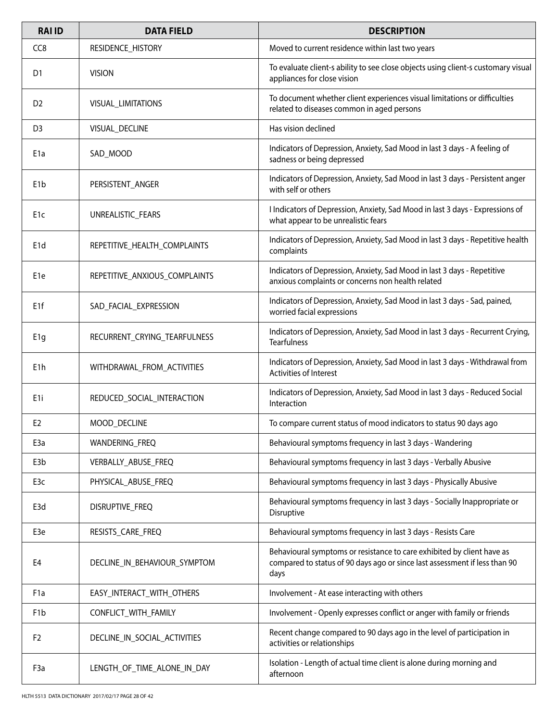| <b>RAI ID</b>    | <b>DATA FIELD</b>             | <b>DESCRIPTION</b>                                                                                                                                           |
|------------------|-------------------------------|--------------------------------------------------------------------------------------------------------------------------------------------------------------|
| CC <sub>8</sub>  | RESIDENCE_HISTORY             | Moved to current residence within last two years                                                                                                             |
| D1               | <b>VISION</b>                 | To evaluate client-s ability to see close objects using client-s customary visual<br>appliances for close vision                                             |
| D <sub>2</sub>   | VISUAL_LIMITATIONS            | To document whether client experiences visual limitations or difficulties<br>related to diseases common in aged persons                                      |
| D <sub>3</sub>   | VISUAL_DECLINE                | Has vision declined                                                                                                                                          |
| E <sub>1</sub> a | SAD_MOOD                      | Indicators of Depression, Anxiety, Sad Mood in last 3 days - A feeling of<br>sadness or being depressed                                                      |
| E <sub>1</sub> b | PERSISTENT_ANGER              | Indicators of Depression, Anxiety, Sad Mood in last 3 days - Persistent anger<br>with self or others                                                         |
| E <sub>1</sub> c | UNREALISTIC_FEARS             | I Indicators of Depression, Anxiety, Sad Mood in last 3 days - Expressions of<br>what appear to be unrealistic fears                                         |
| E <sub>1</sub> d | REPETITIVE_HEALTH_COMPLAINTS  | Indicators of Depression, Anxiety, Sad Mood in last 3 days - Repetitive health<br>complaints                                                                 |
| E <sub>1e</sub>  | REPETITIVE_ANXIOUS_COMPLAINTS | Indicators of Depression, Anxiety, Sad Mood in last 3 days - Repetitive<br>anxious complaints or concerns non health related                                 |
| E <sub>1f</sub>  | SAD_FACIAL_EXPRESSION         | Indicators of Depression, Anxiety, Sad Mood in last 3 days - Sad, pained,<br>worried facial expressions                                                      |
| E <sub>1g</sub>  | RECURRENT_CRYING_TEARFULNESS  | Indicators of Depression, Anxiety, Sad Mood in last 3 days - Recurrent Crying,<br><b>Tearfulness</b>                                                         |
| E <sub>1</sub> h | WITHDRAWAL_FROM_ACTIVITIES    | Indicators of Depression, Anxiety, Sad Mood in last 3 days - Withdrawal from<br>Activities of Interest                                                       |
| E <sub>1</sub> i | REDUCED_SOCIAL_INTERACTION    | Indicators of Depression, Anxiety, Sad Mood in last 3 days - Reduced Social<br>Interaction                                                                   |
| E <sub>2</sub>   | MOOD_DECLINE                  | To compare current status of mood indicators to status 90 days ago                                                                                           |
| E <sub>3</sub> a | WANDERING_FREQ                | Behavioural symptoms frequency in last 3 days - Wandering                                                                                                    |
| E <sub>3</sub> b | VERBALLY_ABUSE_FREQ           | Behavioural symptoms frequency in last 3 days - Verbally Abusive                                                                                             |
| E3c              | PHYSICAL ABUSE FREQ           | Behavioural symptoms frequency in last 3 days - Physically Abusive                                                                                           |
| E3d              | DISRUPTIVE FREQ               | Behavioural symptoms frequency in last 3 days - Socially Inappropriate or<br>Disruptive                                                                      |
| E3e              | RESISTS_CARE_FREQ             | Behavioural symptoms frequency in last 3 days - Resists Care                                                                                                 |
| E4               | DECLINE_IN_BEHAVIOUR_SYMPTOM  | Behavioural symptoms or resistance to care exhibited by client have as<br>compared to status of 90 days ago or since last assessment if less than 90<br>days |
| F <sub>1</sub> a | EASY_INTERACT_WITH_OTHERS     | Involvement - At ease interacting with others                                                                                                                |
| F <sub>1</sub> b | CONFLICT_WITH_FAMILY          | Involvement - Openly expresses conflict or anger with family or friends                                                                                      |
| F <sub>2</sub>   | DECLINE_IN_SOCIAL_ACTIVITIES  | Recent change compared to 90 days ago in the level of participation in<br>activities or relationships                                                        |
| F <sub>3</sub> a | LENGTH_OF_TIME_ALONE_IN_DAY   | Isolation - Length of actual time client is alone during morning and<br>afternoon                                                                            |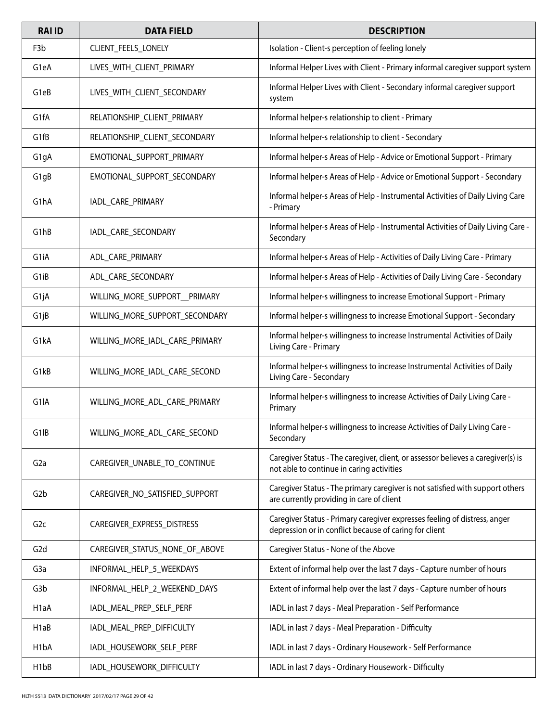| <b>RAI ID</b>     | <b>DATA FIELD</b>              | <b>DESCRIPTION</b>                                                                                                                  |
|-------------------|--------------------------------|-------------------------------------------------------------------------------------------------------------------------------------|
| F <sub>3</sub> b  | CLIENT_FEELS_LONELY            | Isolation - Client-s perception of feeling lonely                                                                                   |
| G1eA              | LIVES_WITH_CLIENT_PRIMARY      | Informal Helper Lives with Client - Primary informal caregiver support system                                                       |
| G1eB              | LIVES_WITH_CLIENT_SECONDARY    | Informal Helper Lives with Client - Secondary informal caregiver support<br>system                                                  |
| G1fA              | RELATIONSHIP_CLIENT_PRIMARY    | Informal helper-s relationship to client - Primary                                                                                  |
| G1fB              | RELATIONSHIP_CLIENT_SECONDARY  | Informal helper-s relationship to client - Secondary                                                                                |
| G1gA              | EMOTIONAL SUPPORT PRIMARY      | Informal helper-s Areas of Help - Advice or Emotional Support - Primary                                                             |
| G1gB              | EMOTIONAL_SUPPORT_SECONDARY    | Informal helper-s Areas of Help - Advice or Emotional Support - Secondary                                                           |
| G1hA              | IADL CARE PRIMARY              | Informal helper-s Areas of Help - Instrumental Activities of Daily Living Care<br>- Primary                                         |
| G <sub>1</sub> hB | IADL CARE SECONDARY            | Informal helper-s Areas of Help - Instrumental Activities of Daily Living Care -<br>Secondary                                       |
| G1iA              | ADL_CARE_PRIMARY               | Informal helper-s Areas of Help - Activities of Daily Living Care - Primary                                                         |
| G <sub>1</sub> iB | ADL_CARE_SECONDARY             | Informal helper-s Areas of Help - Activities of Daily Living Care - Secondary                                                       |
| G1jA              | WILLING_MORE_SUPPORT__PRIMARY  | Informal helper-s willingness to increase Emotional Support - Primary                                                               |
| G1jB              | WILLING_MORE_SUPPORT_SECONDARY | Informal helper-s willingness to increase Emotional Support - Secondary                                                             |
| G1kA              | WILLING_MORE_IADL_CARE_PRIMARY | Informal helper-s willingness to increase Instrumental Activities of Daily<br>Living Care - Primary                                 |
| G1kB              | WILLING_MORE_IADL_CARE_SECOND  | Informal helper-s willingness to increase Instrumental Activities of Daily<br>Living Care - Secondary                               |
| G <sub>1</sub> IA | WILLING_MORE_ADL_CARE_PRIMARY  | Informal helper-s willingness to increase Activities of Daily Living Care -<br>Primary                                              |
| G1IB              | WILLING_MORE_ADL_CARE_SECOND   | Informal helper-s willingness to increase Activities of Daily Living Care -<br>Secondary                                            |
| G <sub>2</sub> a  | CAREGIVER_UNABLE_TO_CONTINUE   | Caregiver Status - The caregiver, client, or assessor believes a caregiver(s) is<br>not able to continue in caring activities       |
| G <sub>2</sub> b  | CAREGIVER_NO_SATISFIED_SUPPORT | Caregiver Status - The primary caregiver is not satisfied with support others<br>are currently providing in care of client          |
| G2c               | CAREGIVER_EXPRESS_DISTRESS     | Caregiver Status - Primary caregiver expresses feeling of distress, anger<br>depression or in conflict because of caring for client |
| G <sub>2</sub> d  | CAREGIVER STATUS NONE OF ABOVE | Caregiver Status - None of the Above                                                                                                |
| G <sub>3</sub> a  | INFORMAL_HELP_5_WEEKDAYS       | Extent of informal help over the last 7 days - Capture number of hours                                                              |
| G <sub>3</sub> b  | INFORMAL_HELP_2_WEEKEND_DAYS   | Extent of informal help over the last 7 days - Capture number of hours                                                              |
| H <sub>1</sub> aA | IADL_MEAL_PREP_SELF_PERF       | IADL in last 7 days - Meal Preparation - Self Performance                                                                           |
| H1aB              | IADL_MEAL_PREP_DIFFICULTY      | IADL in last 7 days - Meal Preparation - Difficulty                                                                                 |
| H <sub>1</sub> bA | IADL_HOUSEWORK_SELF_PERF       | IADL in last 7 days - Ordinary Housework - Self Performance                                                                         |
| H <sub>1</sub> bB | IADL_HOUSEWORK_DIFFICULTY      | IADL in last 7 days - Ordinary Housework - Difficulty                                                                               |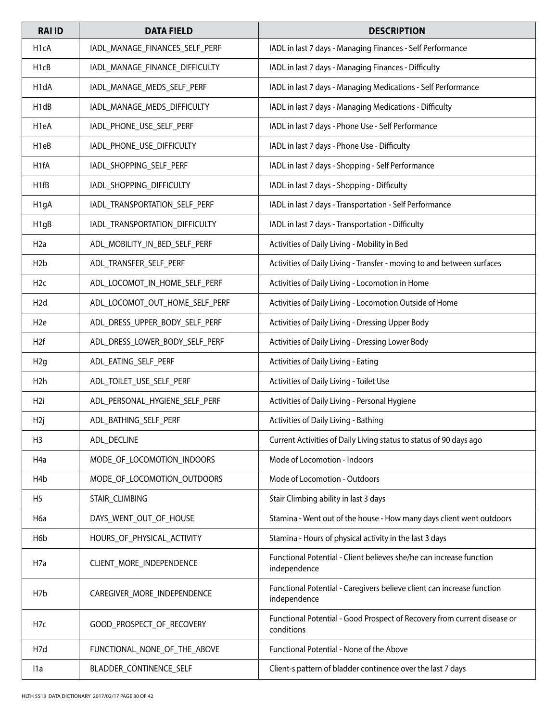| <b>RAI ID</b>     | <b>DATA FIELD</b>              | <b>DESCRIPTION</b>                                                                     |
|-------------------|--------------------------------|----------------------------------------------------------------------------------------|
| H <sub>1</sub> cA | IADL_MANAGE_FINANCES_SELF_PERF | IADL in last 7 days - Managing Finances - Self Performance                             |
| H <sub>1</sub> cB | IADL_MANAGE_FINANCE_DIFFICULTY | IADL in last 7 days - Managing Finances - Difficulty                                   |
| H1dA              | IADL_MANAGE_MEDS_SELF_PERF     | IADL in last 7 days - Managing Medications - Self Performance                          |
| H <sub>1</sub> dB | IADL_MANAGE_MEDS_DIFFICULTY    | IADL in last 7 days - Managing Medications - Difficulty                                |
| H1eA              | IADL PHONE USE SELF PERF       | IADL in last 7 days - Phone Use - Self Performance                                     |
| H1eB              | IADL_PHONE_USE_DIFFICULTY      | IADL in last 7 days - Phone Use - Difficulty                                           |
| H <sub>1f</sub> A | IADL_SHOPPING_SELF_PERF        | IADL in last 7 days - Shopping - Self Performance                                      |
| H <sub>1fB</sub>  | IADL_SHOPPING_DIFFICULTY       | IADL in last 7 days - Shopping - Difficulty                                            |
| H <sub>1g</sub> A | IADL_TRANSPORTATION_SELF_PERF  | IADL in last 7 days - Transportation - Self Performance                                |
| H <sub>1g</sub> B | IADL_TRANSPORTATION_DIFFICULTY | IADL in last 7 days - Transportation - Difficulty                                      |
| H <sub>2</sub> a  | ADL_MOBILITY_IN_BED_SELF_PERF  | Activities of Daily Living - Mobility in Bed                                           |
| H <sub>2</sub> b  | ADL_TRANSFER_SELF_PERF         | Activities of Daily Living - Transfer - moving to and between surfaces                 |
| H <sub>2c</sub>   | ADL_LOCOMOT_IN_HOME_SELF_PERF  | Activities of Daily Living - Locomotion in Home                                        |
| H <sub>2</sub> d  | ADL_LOCOMOT_OUT_HOME_SELF_PERF | Activities of Daily Living - Locomotion Outside of Home                                |
| H <sub>2</sub> e  | ADL_DRESS_UPPER_BODY_SELF_PERF | Activities of Daily Living - Dressing Upper Body                                       |
| H <sub>2f</sub>   | ADL_DRESS_LOWER_BODY_SELF_PERF | Activities of Daily Living - Dressing Lower Body                                       |
| H2g               | ADL_EATING_SELF_PERF           | Activities of Daily Living - Eating                                                    |
| H <sub>2</sub> h  | ADL_TOILET_USE_SELF_PERF       | Activities of Daily Living - Toilet Use                                                |
| H <sub>2i</sub>   | ADL_PERSONAL_HYGIENE_SELF_PERF | Activities of Daily Living - Personal Hygiene                                          |
| H <sub>2j</sub>   | ADL_BATHING_SELF_PERF          | Activities of Daily Living - Bathing                                                   |
| H <sub>3</sub>    | ADL_DECLINE                    | Current Activities of Daily Living status to status of 90 days ago                     |
| H <sub>4</sub> a  | MODE OF LOCOMOTION INDOORS     | Mode of Locomotion - Indoors                                                           |
| H <sub>4</sub> b  | MODE OF LOCOMOTION OUTDOORS    | Mode of Locomotion - Outdoors                                                          |
| H <sub>5</sub>    | <b>STAIR CLIMBING</b>          | Stair Climbing ability in last 3 days                                                  |
| H <sub>6</sub> a  | DAYS_WENT_OUT_OF_HOUSE         | Stamina - Went out of the house - How many days client went outdoors                   |
| H6b               | HOURS_OF_PHYSICAL_ACTIVITY     | Stamina - Hours of physical activity in the last 3 days                                |
| H <sub>7</sub> a  | CLIENT_MORE_INDEPENDENCE       | Functional Potential - Client believes she/he can increase function<br>independence    |
| H <sub>7</sub> b  | CAREGIVER_MORE_INDEPENDENCE    | Functional Potential - Caregivers believe client can increase function<br>independence |
| H7c               | GOOD_PROSPECT_OF_RECOVERY      | Functional Potential - Good Prospect of Recovery from current disease or<br>conditions |
| H7d               | FUNCTIONAL_NONE_OF_THE_ABOVE   | Functional Potential - None of the Above                                               |
| l1a               | BLADDER_CONTINENCE_SELF        | Client-s pattern of bladder continence over the last 7 days                            |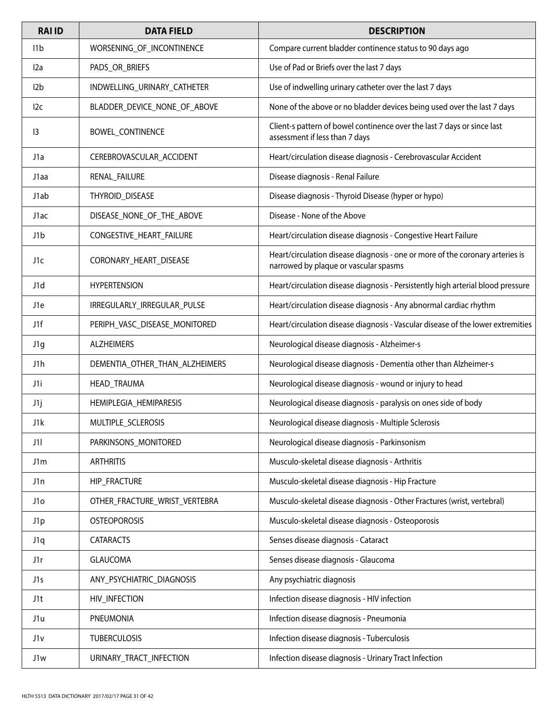| <b>RAI ID</b>   | <b>DATA FIELD</b>              | <b>DESCRIPTION</b>                                                                                                     |
|-----------------|--------------------------------|------------------------------------------------------------------------------------------------------------------------|
| 11 <sub>b</sub> | WORSENING_OF_INCONTINENCE      | Compare current bladder continence status to 90 days ago                                                               |
| 12a             | PADS_OR_BRIEFS                 | Use of Pad or Briefs over the last 7 days                                                                              |
| 12 <sub>b</sub> | INDWELLING_URINARY_CATHETER    | Use of indwelling urinary catheter over the last 7 days                                                                |
| l2c             | BLADDER_DEVICE_NONE_OF_ABOVE   | None of the above or no bladder devices being used over the last 7 days                                                |
| 13              | BOWEL_CONTINENCE               | Client-s pattern of bowel continence over the last 7 days or since last<br>assessment if less than 7 days              |
| J1a             | CEREBROVASCULAR_ACCIDENT       | Heart/circulation disease diagnosis - Cerebrovascular Accident                                                         |
| J1aa            | RENAL_FAILURE                  | Disease diagnosis - Renal Failure                                                                                      |
| J1ab            | THYROID_DISEASE                | Disease diagnosis - Thyroid Disease (hyper or hypo)                                                                    |
| J1ac            | DISEASE_NONE_OF_THE_ABOVE      | Disease - None of the Above                                                                                            |
| J1b             | CONGESTIVE_HEART_FAILURE       | Heart/circulation disease diagnosis - Congestive Heart Failure                                                         |
| J1c             | CORONARY HEART DISEASE         | Heart/circulation disease diagnosis - one or more of the coronary arteries is<br>narrowed by plaque or vascular spasms |
| J1d             | <b>HYPERTENSION</b>            | Heart/circulation disease diagnosis - Persistently high arterial blood pressure                                        |
| J1e             | IRREGULARLY_IRREGULAR_PULSE    | Heart/circulation disease diagnosis - Any abnormal cardiac rhythm                                                      |
| J1f             | PERIPH_VASC_DISEASE_MONITORED  | Heart/circulation disease diagnosis - Vascular disease of the lower extremities                                        |
| J1g             | <b>ALZHEIMERS</b>              | Neurological disease diagnosis - Alzheimer-s                                                                           |
| J1h             | DEMENTIA_OTHER_THAN_ALZHEIMERS | Neurological disease diagnosis - Dementia other than Alzheimer-s                                                       |
| J1i             | HEAD_TRAUMA                    | Neurological disease diagnosis - wound or injury to head                                                               |
| J1j             | HEMIPLEGIA_HEMIPARESIS         | Neurological disease diagnosis - paralysis on ones side of body                                                        |
| J1k             | MULTIPLE_SCLEROSIS             | Neurological disease diagnosis - Multiple Sclerosis                                                                    |
| J1              | PARKINSONS MONITORED           | Neurological disease diagnosis - Parkinsonism                                                                          |
| J1m             | <b>ARTHRITIS</b>               | Musculo-skeletal disease diagnosis - Arthritis                                                                         |
| J1n             | HIP_FRACTURE                   | Musculo-skeletal disease diagnosis - Hip Fracture                                                                      |
| J1o             | OTHER_FRACTURE_WRIST_VERTEBRA  | Musculo-skeletal disease diagnosis - Other Fractures (wrist, vertebral)                                                |
| J1p             | <b>OSTEOPOROSIS</b>            | Musculo-skeletal disease diagnosis - Osteoporosis                                                                      |
| J1q             | <b>CATARACTS</b>               | Senses disease diagnosis - Cataract                                                                                    |
| J1r             | <b>GLAUCOMA</b>                | Senses disease diagnosis - Glaucoma                                                                                    |
| J1s             | ANY_PSYCHIATRIC_DIAGNOSIS      | Any psychiatric diagnosis                                                                                              |
| J1t             | HIV_INFECTION                  | Infection disease diagnosis - HIV infection                                                                            |
| J1u             | PNEUMONIA                      | Infection disease diagnosis - Pneumonia                                                                                |
| J1v             | <b>TUBERCULOSIS</b>            | Infection disease diagnosis - Tuberculosis                                                                             |
| J1w             | URINARY_TRACT_INFECTION        | Infection disease diagnosis - Urinary Tract Infection                                                                  |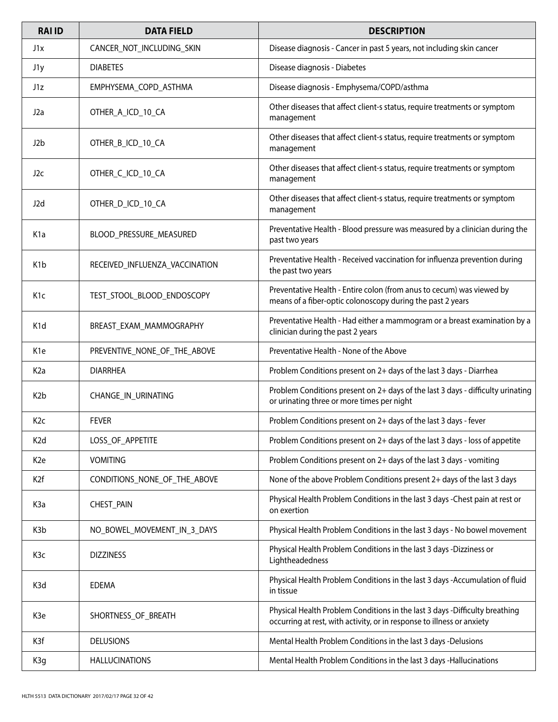| <b>RAIID</b>     | <b>DATA FIELD</b>              | <b>DESCRIPTION</b>                                                                                                                                    |
|------------------|--------------------------------|-------------------------------------------------------------------------------------------------------------------------------------------------------|
| J1x              | CANCER_NOT_INCLUDING_SKIN      | Disease diagnosis - Cancer in past 5 years, not including skin cancer                                                                                 |
| J1y              | <b>DIABETES</b>                | Disease diagnosis - Diabetes                                                                                                                          |
| J1z              | EMPHYSEMA COPD ASTHMA          | Disease diagnosis - Emphysema/COPD/asthma                                                                                                             |
| J <sub>2</sub> a | OTHER_A_ICD_10_CA              | Other diseases that affect client-s status, require treatments or symptom<br>management                                                               |
| J2b              | OTHER_B_ICD_10_CA              | Other diseases that affect client-s status, require treatments or symptom<br>management                                                               |
| J2c              | OTHER_C_ICD_10_CA              | Other diseases that affect client-s status, require treatments or symptom<br>management                                                               |
| J <sub>2</sub> d | OTHER_D_ICD_10_CA              | Other diseases that affect client-s status, require treatments or symptom<br>management                                                               |
| K <sub>1</sub> a | BLOOD PRESSURE MEASURED        | Preventative Health - Blood pressure was measured by a clinician during the<br>past two years                                                         |
| K <sub>1</sub> b | RECEIVED_INFLUENZA_VACCINATION | Preventative Health - Received vaccination for influenza prevention during<br>the past two years                                                      |
| K <sub>1</sub> c | TEST_STOOL_BLOOD_ENDOSCOPY     | Preventative Health - Entire colon (from anus to cecum) was viewed by<br>means of a fiber-optic colonoscopy during the past 2 years                   |
| K <sub>1</sub> d | BREAST_EXAM_MAMMOGRAPHY        | Preventative Health - Had either a mammogram or a breast examination by a<br>clinician during the past 2 years                                        |
| K <sub>1e</sub>  | PREVENTIVE_NONE_OF_THE_ABOVE   | Preventative Health - None of the Above                                                                                                               |
| K <sub>2</sub> a | <b>DIARRHEA</b>                | Problem Conditions present on 2+ days of the last 3 days - Diarrhea                                                                                   |
| K <sub>2</sub> b | CHANGE_IN_URINATING            | Problem Conditions present on 2+ days of the last 3 days - difficulty urinating<br>or urinating three or more times per night                         |
| K <sub>2c</sub>  | <b>FEVER</b>                   | Problem Conditions present on 2+ days of the last 3 days - fever                                                                                      |
| K <sub>2</sub> d | LOSS_OF_APPETITE               | Problem Conditions present on 2+ days of the last 3 days - loss of appetite                                                                           |
| K <sub>2</sub> e | <b>VOMITING</b>                | Problem Conditions present on 2+ days of the last 3 days - vomiting                                                                                   |
| K <sub>2</sub> f | CONDITIONS_NONE_OF_THE_ABOVE   | None of the above Problem Conditions present 2+ days of the last 3 days                                                                               |
| K <sub>3</sub> a | CHEST_PAIN                     | Physical Health Problem Conditions in the last 3 days - Chest pain at rest or<br>on exertion                                                          |
| K <sub>3</sub> b | NO_BOWEL_MOVEMENT_IN_3_DAYS    | Physical Health Problem Conditions in the last 3 days - No bowel movement                                                                             |
| K <sub>3</sub> c | <b>DIZZINESS</b>               | Physical Health Problem Conditions in the last 3 days -Dizziness or<br>Lightheadedness                                                                |
| K3d              | <b>EDEMA</b>                   | Physical Health Problem Conditions in the last 3 days -Accumulation of fluid<br>in tissue                                                             |
| K3e              | SHORTNESS_OF_BREATH            | Physical Health Problem Conditions in the last 3 days -Difficulty breathing<br>occurring at rest, with activity, or in response to illness or anxiety |
| K3f              | <b>DELUSIONS</b>               | Mental Health Problem Conditions in the last 3 days -Delusions                                                                                        |
| K3g              | <b>HALLUCINATIONS</b>          | Mental Health Problem Conditions in the last 3 days -Hallucinations                                                                                   |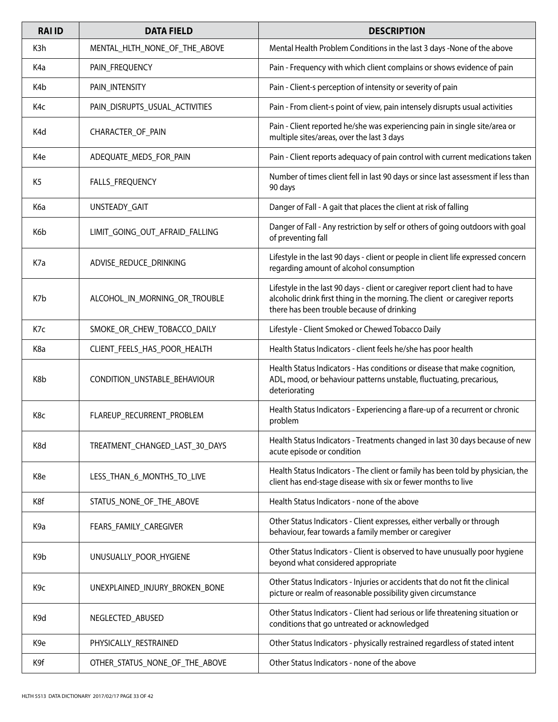| <b>RAI ID</b>    | <b>DATA FIELD</b>              | <b>DESCRIPTION</b>                                                                                                                                                                                         |
|------------------|--------------------------------|------------------------------------------------------------------------------------------------------------------------------------------------------------------------------------------------------------|
| K3h              | MENTAL_HLTH_NONE_OF_THE_ABOVE  | Mental Health Problem Conditions in the last 3 days -None of the above                                                                                                                                     |
| K <sub>4</sub> a | PAIN_FREQUENCY                 | Pain - Frequency with which client complains or shows evidence of pain                                                                                                                                     |
| K4b              | PAIN_INTENSITY                 | Pain - Client-s perception of intensity or severity of pain                                                                                                                                                |
| K4c              | PAIN_DISRUPTS_USUAL_ACTIVITIES | Pain - From client-s point of view, pain intensely disrupts usual activities                                                                                                                               |
| K4d              | CHARACTER_OF_PAIN              | Pain - Client reported he/she was experiencing pain in single site/area or<br>multiple sites/areas, over the last 3 days                                                                                   |
| K4e              | ADEQUATE_MEDS_FOR_PAIN         | Pain - Client reports adequacy of pain control with current medications taken                                                                                                                              |
| K <sub>5</sub>   | FALLS_FREQUENCY                | Number of times client fell in last 90 days or since last assessment if less than<br>90 days                                                                                                               |
| K6a              | <b>UNSTEADY GAIT</b>           | Danger of Fall - A gait that places the client at risk of falling                                                                                                                                          |
| K6b              | LIMIT_GOING_OUT_AFRAID_FALLING | Danger of Fall - Any restriction by self or others of going outdoors with goal<br>of preventing fall                                                                                                       |
| K7a              | ADVISE_REDUCE_DRINKING         | Lifestyle in the last 90 days - client or people in client life expressed concern<br>regarding amount of alcohol consumption                                                                               |
| K7b              | ALCOHOL_IN_MORNING_OR_TROUBLE  | Lifestyle in the last 90 days - client or caregiver report client had to have<br>alcoholic drink first thing in the morning. The client or caregiver reports<br>there has been trouble because of drinking |
| K7c              | SMOKE_OR_CHEW_TOBACCO_DAILY    | Lifestyle - Client Smoked or Chewed Tobacco Daily                                                                                                                                                          |
| K8a              | CLIENT_FEELS_HAS_POOR_HEALTH   | Health Status Indicators - client feels he/she has poor health                                                                                                                                             |
| K8b              | CONDITION_UNSTABLE_BEHAVIOUR   | Health Status Indicators - Has conditions or disease that make cognition,<br>ADL, mood, or behaviour patterns unstable, fluctuating, precarious,<br>deteriorating                                          |
| K8c              | FLAREUP_RECURRENT_PROBLEM      | Health Status Indicators - Experiencing a flare-up of a recurrent or chronic<br>problem                                                                                                                    |
| K8d              | TREATMENT_CHANGED_LAST_30_DAYS | Health Status Indicators - Treatments changed in last 30 days because of new<br>acute episode or condition                                                                                                 |
| K8e              | LESS_THAN_6_MONTHS_TO_LIVE     | Health Status Indicators - The client or family has been told by physician, the<br>client has end-stage disease with six or fewer months to live                                                           |
| K8f              | STATUS_NONE_OF_THE_ABOVE       | Health Status Indicators - none of the above                                                                                                                                                               |
| K <sub>9</sub> a | FEARS_FAMILY_CAREGIVER         | Other Status Indicators - Client expresses, either verbally or through<br>behaviour, fear towards a family member or caregiver                                                                             |
| K9b              | UNUSUALLY_POOR_HYGIENE         | Other Status Indicators - Client is observed to have unusually poor hygiene<br>beyond what considered appropriate                                                                                          |
| K <sub>9c</sub>  | UNEXPLAINED_INJURY_BROKEN_BONE | Other Status Indicators - Injuries or accidents that do not fit the clinical<br>picture or realm of reasonable possibility given circumstance                                                              |
| K <sub>9</sub> d | NEGLECTED_ABUSED               | Other Status Indicators - Client had serious or life threatening situation or<br>conditions that go untreated or acknowledged                                                                              |
| K9e              | PHYSICALLY_RESTRAINED          | Other Status Indicators - physically restrained regardless of stated intent                                                                                                                                |
| K9f              | OTHER_STATUS_NONE_OF_THE_ABOVE | Other Status Indicators - none of the above                                                                                                                                                                |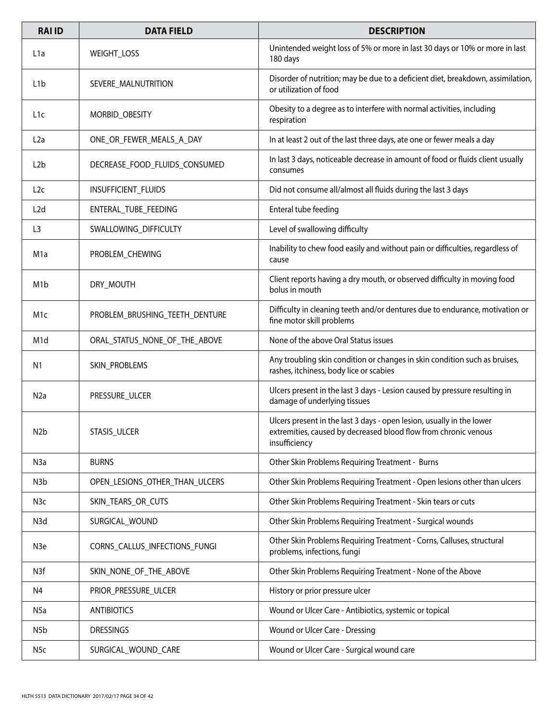| <b>RAI ID</b>    | <b>DATA FIELD</b>              | <b>DESCRIPTION</b>                                                                                                                                        |
|------------------|--------------------------------|-----------------------------------------------------------------------------------------------------------------------------------------------------------|
| L <sub>1</sub> a | <b>WEIGHT_LOSS</b>             | Unintended weight loss of 5% or more in last 30 days or 10% or more in last<br>180 days                                                                   |
| L <sub>1</sub> b | SEVERE MALNUTRITION            | Disorder of nutrition; may be due to a deficient diet, breakdown, assimilation,<br>or utilization of food                                                 |
| L <sub>1</sub> c | MORBID_OBESITY                 | Obesity to a degree as to interfere with normal activities, including<br>respiration                                                                      |
| L2a              | ONE_OR_FEWER_MEALS_A_DAY       | In at least 2 out of the last three days, ate one or fewer meals a day                                                                                    |
| L <sub>2</sub> b | DECREASE_FOOD_FLUIDS_CONSUMED  | In last 3 days, noticeable decrease in amount of food or fluids client usually<br>consumes                                                                |
| L2c              | INSUFFICIENT_FLUIDS            | Did not consume all/almost all fluids during the last 3 days                                                                                              |
| L2d              | ENTERAL TUBE FEEDING           | Enteral tube feeding                                                                                                                                      |
| L3               | SWALLOWING_DIFFICULTY          | Level of swallowing difficulty                                                                                                                            |
| M1a              | PROBLEM_CHEWING                | Inability to chew food easily and without pain or difficulties, regardless of<br>cause                                                                    |
| M <sub>1</sub> b | DRY_MOUTH                      | Client reports having a dry mouth, or observed difficulty in moving food<br>bolus in mouth                                                                |
| M <sub>1</sub> c | PROBLEM_BRUSHING_TEETH_DENTURE | Difficulty in cleaning teeth and/or dentures due to endurance, motivation or<br>fine motor skill problems                                                 |
| M <sub>1</sub> d | ORAL_STATUS_NONE_OF_THE_ABOVE  | None of the above Oral Status issues                                                                                                                      |
| N1               | SKIN_PROBLEMS                  | Any troubling skin condition or changes in skin condition such as bruises,<br>rashes, itchiness, body lice or scabies                                     |
| N <sub>2</sub> a | PRESSURE_ULCER                 | Ulcers present in the last 3 days - Lesion caused by pressure resulting in<br>damage of underlying tissues                                                |
| N <sub>2</sub> b | STASIS_ULCER                   | Ulcers present in the last 3 days - open lesion, usually in the lower<br>extremities, caused by decreased blood flow from chronic venous<br>insufficiency |
| N <sub>3</sub> a | <b>BURNS</b>                   | Other Skin Problems Requiring Treatment - Burns                                                                                                           |
| N3b              | OPEN_LESIONS_OTHER_THAN_ULCERS | Other Skin Problems Requiring Treatment - Open lesions other than ulcers                                                                                  |
| N <sub>3</sub> c | SKIN_TEARS_OR_CUTS             | Other Skin Problems Requiring Treatment - Skin tears or cuts                                                                                              |
| N3d              | SURGICAL_WOUND                 | Other Skin Problems Requiring Treatment - Surgical wounds                                                                                                 |
| N <sub>3e</sub>  | CORNS_CALLUS_INFECTIONS_FUNGI  | Other Skin Problems Requiring Treatment - Corns, Calluses, structural<br>problems, infections, fungi                                                      |
| N3f              | SKIN_NONE_OF_THE_ABOVE         | Other Skin Problems Requiring Treatment - None of the Above                                                                                               |
| N4               | PRIOR_PRESSURE_ULCER           | History or prior pressure ulcer                                                                                                                           |
| N <sub>5a</sub>  | <b>ANTIBIOTICS</b>             | Wound or Ulcer Care - Antibiotics, systemic or topical                                                                                                    |
| N5b              | <b>DRESSINGS</b>               | Wound or Ulcer Care - Dressing                                                                                                                            |
| N <sub>5</sub> c | SURGICAL_WOUND_CARE            | Wound or Ulcer Care - Surgical wound care                                                                                                                 |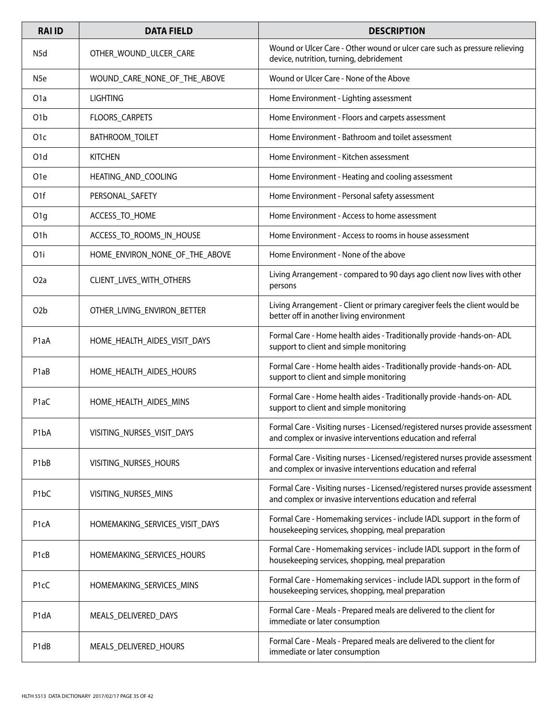| <b>RAI ID</b>                 | <b>DATA FIELD</b>              | <b>DESCRIPTION</b>                                                                                                                            |
|-------------------------------|--------------------------------|-----------------------------------------------------------------------------------------------------------------------------------------------|
| N <sub>5</sub> d              | OTHER_WOUND_ULCER_CARE         | Wound or Ulcer Care - Other wound or ulcer care such as pressure relieving<br>device, nutrition, turning, debridement                         |
| N <sub>5e</sub>               | WOUND CARE NONE OF THE ABOVE   | Wound or Ulcer Care - None of the Above                                                                                                       |
| O <sub>1</sub> a              | <b>LIGHTING</b>                | Home Environment - Lighting assessment                                                                                                        |
| O <sub>1</sub> b              | FLOORS_CARPETS                 | Home Environment - Floors and carpets assessment                                                                                              |
| O <sub>1</sub> c              | BATHROOM_TOILET                | Home Environment - Bathroom and toilet assessment                                                                                             |
| O <sub>1</sub> d              | <b>KITCHEN</b>                 | Home Environment - Kitchen assessment                                                                                                         |
| O <sub>1e</sub>               | HEATING_AND_COOLING            | Home Environment - Heating and cooling assessment                                                                                             |
| O1f                           | PERSONAL_SAFETY                | Home Environment - Personal safety assessment                                                                                                 |
| O1g                           | ACCESS_TO_HOME                 | Home Environment - Access to home assessment                                                                                                  |
| O <sub>1</sub> h              | ACCESS_TO_ROOMS_IN_HOUSE       | Home Environment - Access to rooms in house assessment                                                                                        |
| O <sub>1</sub>                | HOME_ENVIRON_NONE_OF_THE_ABOVE | Home Environment - None of the above                                                                                                          |
| O2a                           | CLIENT_LIVES_WITH_OTHERS       | Living Arrangement - compared to 90 days ago client now lives with other<br>persons                                                           |
| O <sub>2</sub> b              | OTHER_LIVING_ENVIRON_BETTER    | Living Arrangement - Client or primary caregiver feels the client would be<br>better off in another living environment                        |
| P <sub>1</sub> aA             | HOME_HEALTH_AIDES_VISIT_DAYS   | Formal Care - Home health aides - Traditionally provide - hands-on- ADL<br>support to client and simple monitoring                            |
| P1aB                          | HOME_HEALTH_AIDES_HOURS        | Formal Care - Home health aides - Traditionally provide - hands-on- ADL<br>support to client and simple monitoring                            |
| P <sub>1</sub> aC             | HOME_HEALTH_AIDES_MINS         | Formal Care - Home health aides - Traditionally provide - hands-on- ADL<br>support to client and simple monitoring                            |
| P <sub>1</sub> bA             | VISITING_NURSES_VISIT_DAYS     | Formal Care - Visiting nurses - Licensed/registered nurses provide assessment<br>and complex or invasive interventions education and referral |
| P <sub>1</sub> bB             | VISITING_NURSES_HOURS          | Formal Care - Visiting nurses - Licensed/registered nurses provide assessment<br>and complex or invasive interventions education and referral |
| P <sub>1</sub> bC             | VISITING_NURSES_MINS           | Formal Care - Visiting nurses - Licensed/registered nurses provide assessment<br>and complex or invasive interventions education and referral |
| P <sub>1</sub> cA             | HOMEMAKING_SERVICES_VISIT_DAYS | Formal Care - Homemaking services - include IADL support in the form of<br>housekeeping services, shopping, meal preparation                  |
| P <sub>1</sub> cB             | HOMEMAKING_SERVICES_HOURS      | Formal Care - Homemaking services - include IADL support in the form of<br>housekeeping services, shopping, meal preparation                  |
| P <sub>1</sub> cC             | HOMEMAKING_SERVICES_MINS       | Formal Care - Homemaking services - include IADL support in the form of<br>housekeeping services, shopping, meal preparation                  |
| P1dA                          | MEALS_DELIVERED_DAYS           | Formal Care - Meals - Prepared meals are delivered to the client for<br>immediate or later consumption                                        |
| P <sub>1</sub> d <sub>B</sub> | MEALS_DELIVERED_HOURS          | Formal Care - Meals - Prepared meals are delivered to the client for<br>immediate or later consumption                                        |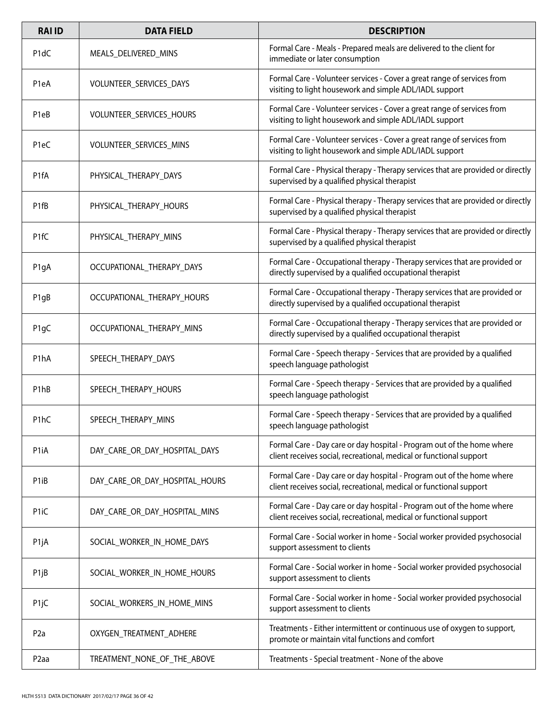| <b>RAI ID</b>                 | <b>DATA FIELD</b>              | <b>DESCRIPTION</b>                                                                                                                            |
|-------------------------------|--------------------------------|-----------------------------------------------------------------------------------------------------------------------------------------------|
| P <sub>1</sub> dC             | MEALS_DELIVERED_MINS           | Formal Care - Meals - Prepared meals are delivered to the client for<br>immediate or later consumption                                        |
| P <sub>1e</sub> A             | VOLUNTEER_SERVICES_DAYS        | Formal Care - Volunteer services - Cover a great range of services from<br>visiting to light housework and simple ADL/IADL support            |
| P <sub>1e</sub> B             | VOLUNTEER_SERVICES_HOURS       | Formal Care - Volunteer services - Cover a great range of services from<br>visiting to light housework and simple ADL/IADL support            |
| P <sub>1e</sub> C             | VOLUNTEER_SERVICES_MINS        | Formal Care - Volunteer services - Cover a great range of services from<br>visiting to light housework and simple ADL/IADL support            |
| P <sub>1f</sub> A             | PHYSICAL_THERAPY_DAYS          | Formal Care - Physical therapy - Therapy services that are provided or directly<br>supervised by a qualified physical therapist               |
| P <sub>1fB</sub>              | PHYSICAL_THERAPY_HOURS         | Formal Care - Physical therapy - Therapy services that are provided or directly<br>supervised by a qualified physical therapist               |
| P <sub>1f</sub> C             | PHYSICAL_THERAPY_MINS          | Formal Care - Physical therapy - Therapy services that are provided or directly<br>supervised by a qualified physical therapist               |
| P <sub>1g</sub> A             | OCCUPATIONAL_THERAPY_DAYS      | Formal Care - Occupational therapy - Therapy services that are provided or<br>directly supervised by a qualified occupational therapist       |
| P <sub>1g</sub> B             | OCCUPATIONAL_THERAPY_HOURS     | Formal Care - Occupational therapy - Therapy services that are provided or<br>directly supervised by a qualified occupational therapist       |
| P <sub>1g</sub> C             | OCCUPATIONAL_THERAPY_MINS      | Formal Care - Occupational therapy - Therapy services that are provided or<br>directly supervised by a qualified occupational therapist       |
| P1hA                          | SPEECH_THERAPY_DAYS            | Formal Care - Speech therapy - Services that are provided by a qualified<br>speech language pathologist                                       |
| P <sub>1</sub> h <sub>B</sub> | SPEECH_THERAPY_HOURS           | Formal Care - Speech therapy - Services that are provided by a qualified<br>speech language pathologist                                       |
| P <sub>1</sub> hC             | SPEECH_THERAPY_MINS            | Formal Care - Speech therapy - Services that are provided by a qualified<br>speech language pathologist                                       |
| P <sub>1</sub> iA             | DAY_CARE_OR_DAY_HOSPITAL_DAYS  | Formal Care - Day care or day hospital - Program out of the home where<br>client receives social, recreational, medical or functional support |
| P <sub>1iB</sub>              | DAY_CARE_OR_DAY_HOSPITAL_HOURS | Formal Care - Day care or day hospital - Program out of the home where<br>client receives social, recreational, medical or functional support |
| P <sub>1i</sub> C             | DAY_CARE_OR_DAY_HOSPITAL_MINS  | Formal Care - Day care or day hospital - Program out of the home where<br>client receives social, recreational, medical or functional support |
| P <sub>1j</sub> A             | SOCIAL_WORKER_IN_HOME_DAYS     | Formal Care - Social worker in home - Social worker provided psychosocial<br>support assessment to clients                                    |
| P <sub>1jB</sub>              | SOCIAL_WORKER_IN_HOME_HOURS    | Formal Care - Social worker in home - Social worker provided psychosocial<br>support assessment to clients                                    |
| P <sub>1j</sub> C             | SOCIAL_WORKERS_IN_HOME_MINS    | Formal Care - Social worker in home - Social worker provided psychosocial<br>support assessment to clients                                    |
| P <sub>2</sub> a              | OXYGEN_TREATMENT_ADHERE        | Treatments - Either intermittent or continuous use of oxygen to support,<br>promote or maintain vital functions and comfort                   |
| P <sub>2aa</sub>              | TREATMENT_NONE_OF_THE_ABOVE    | Treatments - Special treatment - None of the above                                                                                            |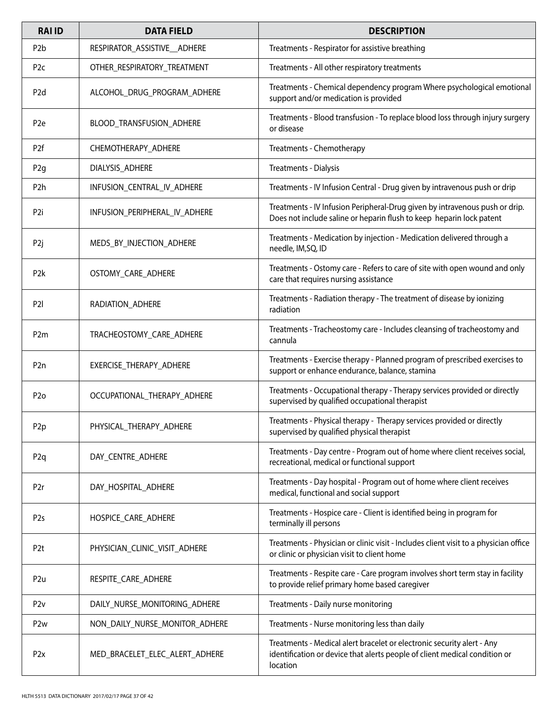| <b>RAI ID</b>    | <b>DATA FIELD</b>              | <b>DESCRIPTION</b>                                                                                                                                               |
|------------------|--------------------------------|------------------------------------------------------------------------------------------------------------------------------------------------------------------|
| P <sub>2</sub> b | RESPIRATOR_ASSISTIVE__ADHERE   | Treatments - Respirator for assistive breathing                                                                                                                  |
| P <sub>2</sub> c | OTHER_RESPIRATORY_TREATMENT    | Treatments - All other respiratory treatments                                                                                                                    |
| P <sub>2d</sub>  | ALCOHOL_DRUG_PROGRAM_ADHERE    | Treatments - Chemical dependency program Where psychological emotional<br>support and/or medication is provided                                                  |
| P <sub>2e</sub>  | BLOOD_TRANSFUSION_ADHERE       | Treatments - Blood transfusion - To replace blood loss through injury surgery<br>or disease                                                                      |
| P <sub>2f</sub>  | CHEMOTHERAPY_ADHERE            | Treatments - Chemotherapy                                                                                                                                        |
| P <sub>2g</sub>  | DIALYSIS_ADHERE                | Treatments - Dialysis                                                                                                                                            |
| P <sub>2</sub> h | INFUSION_CENTRAL_IV_ADHERE     | Treatments - IV Infusion Central - Drug given by intravenous push or drip                                                                                        |
| P <sub>2i</sub>  | INFUSION_PERIPHERAL_IV_ADHERE  | Treatments - IV Infusion Peripheral-Drug given by intravenous push or drip.<br>Does not include saline or heparin flush to keep heparin lock patent              |
| P <sub>2j</sub>  | MEDS BY INJECTION ADHERE       | Treatments - Medication by injection - Medication delivered through a<br>needle, IM, SQ, ID                                                                      |
| P <sub>2</sub> k | OSTOMY_CARE_ADHERE             | Treatments - Ostomy care - Refers to care of site with open wound and only<br>care that requires nursing assistance                                              |
| P <sub>2</sub>   | RADIATION_ADHERE               | Treatments - Radiation therapy - The treatment of disease by ionizing<br>radiation                                                                               |
| P <sub>2m</sub>  | TRACHEOSTOMY_CARE_ADHERE       | Treatments - Tracheostomy care - Includes cleansing of tracheostomy and<br>cannula                                                                               |
| P <sub>2n</sub>  | EXERCISE_THERAPY_ADHERE        | Treatments - Exercise therapy - Planned program of prescribed exercises to<br>support or enhance endurance, balance, stamina                                     |
| P <sub>2</sub> o | OCCUPATIONAL_THERAPY_ADHERE    | Treatments - Occupational therapy - Therapy services provided or directly<br>supervised by qualified occupational therapist                                      |
| P <sub>2p</sub>  | PHYSICAL_THERAPY_ADHERE        | Treatments - Physical therapy - Therapy services provided or directly<br>supervised by qualified physical therapist                                              |
| P <sub>2q</sub>  | DAY_CENTRE_ADHERE              | Treatments - Day centre - Program out of home where client receives social,<br>recreational, medical or functional support                                       |
| P <sub>2</sub> r | DAY_HOSPITAL_ADHERE            | Treatments - Day hospital - Program out of home where client receives<br>medical, functional and social support                                                  |
| P <sub>2s</sub>  | HOSPICE_CARE_ADHERE            | Treatments - Hospice care - Client is identified being in program for<br>terminally ill persons                                                                  |
| P <sub>2t</sub>  | PHYSICIAN_CLINIC_VISIT_ADHERE  | Treatments - Physician or clinic visit - Includes client visit to a physician office<br>or clinic or physician visit to client home                              |
| P <sub>2u</sub>  | RESPITE_CARE_ADHERE            | Treatments - Respite care - Care program involves short term stay in facility<br>to provide relief primary home based caregiver                                  |
| P2v              | DAILY_NURSE_MONITORING_ADHERE  | Treatments - Daily nurse monitoring                                                                                                                              |
| P <sub>2w</sub>  | NON_DAILY_NURSE_MONITOR_ADHERE | Treatments - Nurse monitoring less than daily                                                                                                                    |
| P <sub>2x</sub>  | MED_BRACELET_ELEC_ALERT_ADHERE | Treatments - Medical alert bracelet or electronic security alert - Any<br>identification or device that alerts people of client medical condition or<br>location |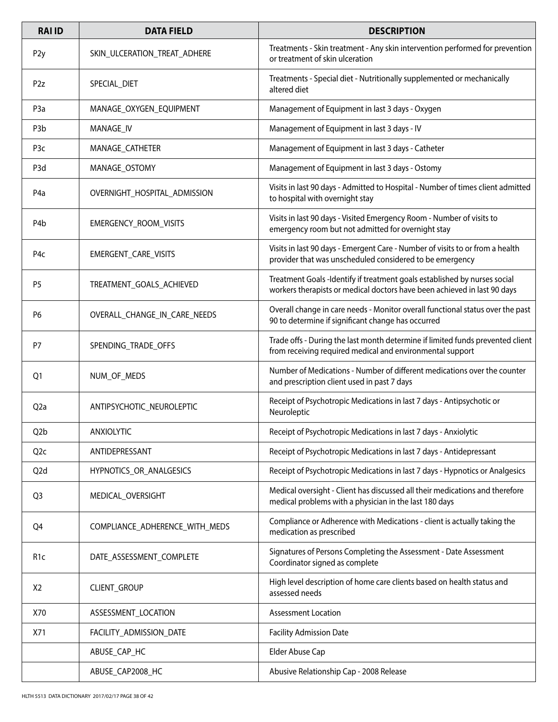| <b>RAI ID</b>    | <b>DATA FIELD</b>              | <b>DESCRIPTION</b>                                                                                                                                    |
|------------------|--------------------------------|-------------------------------------------------------------------------------------------------------------------------------------------------------|
| P <sub>2y</sub>  | SKIN_ULCERATION_TREAT_ADHERE   | Treatments - Skin treatment - Any skin intervention performed for prevention<br>or treatment of skin ulceration                                       |
| P2z              | SPECIAL_DIET                   | Treatments - Special diet - Nutritionally supplemented or mechanically<br>altered diet                                                                |
| P <sub>3</sub> a | MANAGE_OXYGEN_EQUIPMENT        | Management of Equipment in last 3 days - Oxygen                                                                                                       |
| P <sub>3</sub> b | MANAGE_IV                      | Management of Equipment in last 3 days - IV                                                                                                           |
| P <sub>3</sub> c | MANAGE_CATHETER                | Management of Equipment in last 3 days - Catheter                                                                                                     |
| P <sub>3</sub> d | MANAGE_OSTOMY                  | Management of Equipment in last 3 days - Ostomy                                                                                                       |
| P <sub>4</sub> a | OVERNIGHT_HOSPITAL_ADMISSION   | Visits in last 90 days - Admitted to Hospital - Number of times client admitted<br>to hospital with overnight stay                                    |
| P4b              | EMERGENCY_ROOM_VISITS          | Visits in last 90 days - Visited Emergency Room - Number of visits to<br>emergency room but not admitted for overnight stay                           |
| P <sub>4</sub> c | EMERGENT_CARE_VISITS           | Visits in last 90 days - Emergent Care - Number of visits to or from a health<br>provider that was unscheduled considered to be emergency             |
| P <sub>5</sub>   | TREATMENT_GOALS_ACHIEVED       | Treatment Goals -Identify if treatment goals established by nurses social<br>workers therapists or medical doctors have been achieved in last 90 days |
| P6               | OVERALL_CHANGE_IN_CARE_NEEDS   | Overall change in care needs - Monitor overall functional status over the past<br>90 to determine if significant change has occurred                  |
| P7               | SPENDING_TRADE_OFFS            | Trade offs - During the last month determine if limited funds prevented client<br>from receiving required medical and environmental support           |
| Q <sub>1</sub>   | NUM_OF_MEDS                    | Number of Medications - Number of different medications over the counter<br>and prescription client used in past 7 days                               |
| Q <sub>2</sub> a | ANTIPSYCHOTIC_NEUROLEPTIC      | Receipt of Psychotropic Medications in last 7 days - Antipsychotic or<br>Neuroleptic                                                                  |
| Q <sub>2</sub> b | <b>ANXIOLYTIC</b>              | Receipt of Psychotropic Medications in last 7 days - Anxiolytic                                                                                       |
| Q <sub>2c</sub>  | ANTIDEPRESSANT                 | Receipt of Psychotropic Medications in last 7 days - Antidepressant                                                                                   |
| Q <sub>2</sub> d | HYPNOTICS_OR_ANALGESICS        | Receipt of Psychotropic Medications in last 7 days - Hypnotics or Analgesics                                                                          |
| Q <sub>3</sub>   | MEDICAL_OVERSIGHT              | Medical oversight - Client has discussed all their medications and therefore<br>medical problems with a physician in the last 180 days                |
| Q4               | COMPLIANCE_ADHERENCE_WITH_MEDS | Compliance or Adherence with Medications - client is actually taking the<br>medication as prescribed                                                  |
| R <sub>1</sub> c | DATE_ASSESSMENT_COMPLETE       | Signatures of Persons Completing the Assessment - Date Assessment<br>Coordinator signed as complete                                                   |
| X2               | CLIENT_GROUP                   | High level description of home care clients based on health status and<br>assessed needs                                                              |
| X70              | ASSESSMENT_LOCATION            | <b>Assessment Location</b>                                                                                                                            |
| X71              | FACILITY_ADMISSION_DATE        | <b>Facility Admission Date</b>                                                                                                                        |
|                  | ABUSE_CAP_HC                   | Elder Abuse Cap                                                                                                                                       |
|                  | ABUSE_CAP2008_HC               | Abusive Relationship Cap - 2008 Release                                                                                                               |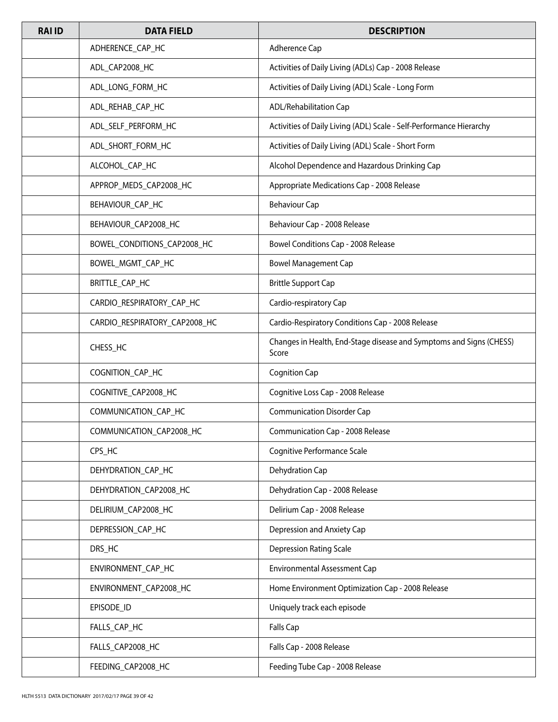| <b>RAI ID</b> | <b>DATA FIELD</b>             | <b>DESCRIPTION</b>                                                           |
|---------------|-------------------------------|------------------------------------------------------------------------------|
|               | ADHERENCE_CAP_HC              | Adherence Cap                                                                |
|               | ADL_CAP2008_HC                | Activities of Daily Living (ADLs) Cap - 2008 Release                         |
|               | ADL_LONG_FORM_HC              | Activities of Daily Living (ADL) Scale - Long Form                           |
|               | ADL_REHAB_CAP_HC              | ADL/Rehabilitation Cap                                                       |
|               | ADL_SELF_PERFORM_HC           | Activities of Daily Living (ADL) Scale - Self-Performance Hierarchy          |
|               | ADL_SHORT_FORM_HC             | Activities of Daily Living (ADL) Scale - Short Form                          |
|               | ALCOHOL_CAP_HC                | Alcohol Dependence and Hazardous Drinking Cap                                |
|               | APPROP_MEDS_CAP2008_HC        | Appropriate Medications Cap - 2008 Release                                   |
|               | BEHAVIOUR_CAP_HC              | <b>Behaviour Cap</b>                                                         |
|               | BEHAVIOUR_CAP2008_HC          | Behaviour Cap - 2008 Release                                                 |
|               | BOWEL_CONDITIONS_CAP2008_HC   | Bowel Conditions Cap - 2008 Release                                          |
|               | BOWEL_MGMT_CAP_HC             | <b>Bowel Management Cap</b>                                                  |
|               | BRITTLE_CAP_HC                | <b>Brittle Support Cap</b>                                                   |
|               | CARDIO_RESPIRATORY_CAP_HC     | Cardio-respiratory Cap                                                       |
|               | CARDIO_RESPIRATORY_CAP2008_HC | Cardio-Respiratory Conditions Cap - 2008 Release                             |
|               | CHESS_HC                      | Changes in Health, End-Stage disease and Symptoms and Signs (CHESS)<br>Score |
|               | COGNITION_CAP_HC              | <b>Cognition Cap</b>                                                         |
|               | COGNITIVE_CAP2008_HC          | Cognitive Loss Cap - 2008 Release                                            |
|               | COMMUNICATION_CAP_HC          | <b>Communication Disorder Cap</b>                                            |
|               | COMMUNICATION_CAP2008_HC      | Communication Cap - 2008 Release                                             |
|               | CPS_HC                        | Cognitive Performance Scale                                                  |
|               | DEHYDRATION_CAP_HC            | Dehydration Cap                                                              |
|               | DEHYDRATION_CAP2008_HC        | Dehydration Cap - 2008 Release                                               |
|               | DELIRIUM_CAP2008_HC           | Delirium Cap - 2008 Release                                                  |
|               | DEPRESSION_CAP_HC             | Depression and Anxiety Cap                                                   |
|               | DRS HC                        | <b>Depression Rating Scale</b>                                               |
|               | ENVIRONMENT_CAP_HC            | Environmental Assessment Cap                                                 |
|               | ENVIRONMENT_CAP2008_HC        | Home Environment Optimization Cap - 2008 Release                             |
|               | EPISODE_ID                    | Uniquely track each episode                                                  |
|               | FALLS_CAP_HC                  | <b>Falls Cap</b>                                                             |
|               | FALLS_CAP2008_HC              | Falls Cap - 2008 Release                                                     |
|               | FEEDING_CAP2008_HC            | Feeding Tube Cap - 2008 Release                                              |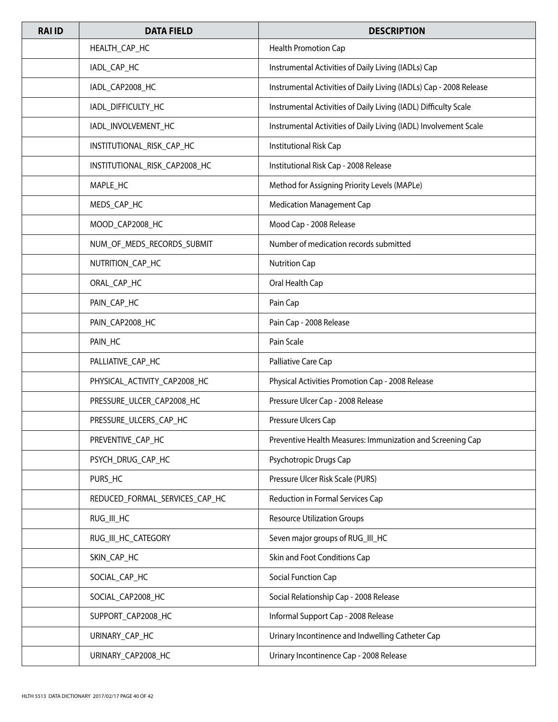| <b>RAI ID</b> | <b>DATA FIELD</b>              | <b>DESCRIPTION</b>                                                 |
|---------------|--------------------------------|--------------------------------------------------------------------|
|               | HEALTH_CAP_HC                  | Health Promotion Cap                                               |
|               | IADL_CAP_HC                    | Instrumental Activities of Daily Living (IADLs) Cap                |
|               | IADL_CAP2008_HC                | Instrumental Activities of Daily Living (IADLs) Cap - 2008 Release |
|               | IADL_DIFFICULTY_HC             | Instrumental Activities of Daily Living (IADL) Difficulty Scale    |
|               | IADL_INVOLVEMENT_HC            | Instrumental Activities of Daily Living (IADL) Involvement Scale   |
|               | INSTITUTIONAL_RISK_CAP_HC      | Institutional Risk Cap                                             |
|               | INSTITUTIONAL_RISK_CAP2008_HC  | Institutional Risk Cap - 2008 Release                              |
|               | MAPLE_HC                       | Method for Assigning Priority Levels (MAPLe)                       |
|               | MEDS_CAP_HC                    | <b>Medication Management Cap</b>                                   |
|               | MOOD_CAP2008_HC                | Mood Cap - 2008 Release                                            |
|               | NUM_OF_MEDS_RECORDS_SUBMIT     | Number of medication records submitted                             |
|               | NUTRITION_CAP_HC               | <b>Nutrition Cap</b>                                               |
|               | ORAL_CAP_HC                    | Oral Health Cap                                                    |
|               | PAIN_CAP_HC                    | Pain Cap                                                           |
|               | PAIN_CAP2008_HC                | Pain Cap - 2008 Release                                            |
|               | PAIN_HC                        | Pain Scale                                                         |
|               | PALLIATIVE_CAP_HC              | Palliative Care Cap                                                |
|               | PHYSICAL_ACTIVITY_CAP2008_HC   | Physical Activities Promotion Cap - 2008 Release                   |
|               | PRESSURE_ULCER_CAP2008_HC      | Pressure Ulcer Cap - 2008 Release                                  |
|               | PRESSURE_ULCERS_CAP_HC         | Pressure Ulcers Cap                                                |
|               | PREVENTIVE_CAP_HC              | Preventive Health Measures: Immunization and Screening Cap         |
|               | PSYCH_DRUG_CAP_HC              | Psychotropic Drugs Cap                                             |
|               | PURS_HC                        | Pressure Ulcer Risk Scale (PURS)                                   |
|               | REDUCED_FORMAL_SERVICES_CAP_HC | Reduction in Formal Services Cap                                   |
|               | RUG_III_HC                     | <b>Resource Utilization Groups</b>                                 |
|               | RUG_III_HC_CATEGORY            | Seven major groups of RUG_III_HC                                   |
|               | SKIN_CAP_HC                    | Skin and Foot Conditions Cap                                       |
|               | SOCIAL_CAP_HC                  | Social Function Cap                                                |
|               | SOCIAL_CAP2008_HC              | Social Relationship Cap - 2008 Release                             |
|               | SUPPORT_CAP2008_HC             | Informal Support Cap - 2008 Release                                |
|               | URINARY_CAP_HC                 | Urinary Incontinence and Indwelling Catheter Cap                   |
|               | URINARY_CAP2008_HC             | Urinary Incontinence Cap - 2008 Release                            |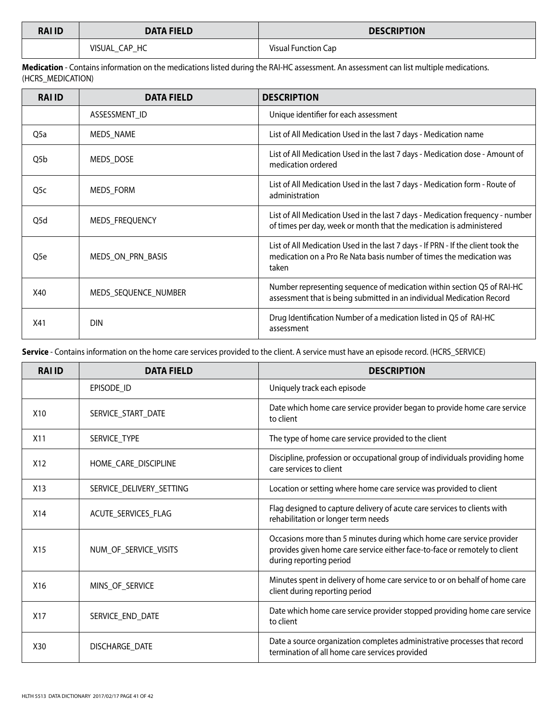| <b>RAI ID</b> | <b>DATA FIELD</b> | <b>DESCRIPTION</b>         |
|---------------|-------------------|----------------------------|
|               | VISUAL CAP HC     | <b>Visual Function Cap</b> |

**Medication** - Contains information on the medications listed during the RAI-HC assessment. An assessment can list multiple medications. (HCRS\_MEDICATION)

| <b>RAI ID</b>    | <b>DATA FIELD</b>    | <b>DESCRIPTION</b>                                                                                                                                                |
|------------------|----------------------|-------------------------------------------------------------------------------------------------------------------------------------------------------------------|
|                  | ASSESSMENT_ID        | Unique identifier for each assessment                                                                                                                             |
| Q <sub>5</sub> a | <b>MEDS NAME</b>     | List of All Medication Used in the last 7 days - Medication name                                                                                                  |
| Q5b              | MEDS DOSE            | List of All Medication Used in the last 7 days - Medication dose - Amount of<br>medication ordered                                                                |
| Q <sub>5</sub> c | MEDS_FORM            | List of All Medication Used in the last 7 days - Medication form - Route of<br>administration                                                                     |
| Q5d              | MEDS FREQUENCY       | List of All Medication Used in the last 7 days - Medication frequency - number<br>of times per day, week or month that the medication is administered             |
| Q5e              | MEDS_ON_PRN_BASIS    | List of All Medication Used in the last 7 days - If PRN - If the client took the<br>medication on a Pro Re Nata basis number of times the medication was<br>taken |
| X40              | MEDS SEQUENCE NUMBER | Number representing sequence of medication within section Q5 of RAI-HC<br>assessment that is being submitted in an individual Medication Record                   |
| X41              | <b>DIN</b>           | Drug Identification Number of a medication listed in Q5 of RAI-HC<br>assessment                                                                                   |

**Service** - Contains information on the home care services provided to the client. A service must have an episode record. (HCRS\_SERVICE)

| <b>RAI ID</b>   | <b>DATA FIELD</b>        | <b>DESCRIPTION</b>                                                                                                                                                             |
|-----------------|--------------------------|--------------------------------------------------------------------------------------------------------------------------------------------------------------------------------|
|                 | EPISODE_ID               | Uniquely track each episode                                                                                                                                                    |
| X <sub>10</sub> | SERVICE_START_DATE       | Date which home care service provider began to provide home care service<br>to client                                                                                          |
| X <sub>11</sub> | SERVICE TYPE             | The type of home care service provided to the client                                                                                                                           |
| X12             | HOME_CARE_DISCIPLINE     | Discipline, profession or occupational group of individuals providing home<br>care services to client                                                                          |
| X13             | SERVICE_DELIVERY_SETTING | Location or setting where home care service was provided to client                                                                                                             |
| X14             | ACUTE_SERVICES_FLAG      | Flag designed to capture delivery of acute care services to clients with<br>rehabilitation or longer term needs                                                                |
| X <sub>15</sub> | NUM_OF_SERVICE_VISITS    | Occasions more than 5 minutes during which home care service provider<br>provides given home care service either face-to-face or remotely to client<br>during reporting period |
| X16             | MINS_OF_SERVICE          | Minutes spent in delivery of home care service to or on behalf of home care<br>client during reporting period                                                                  |
| X <sub>17</sub> | SERVICE_END_DATE         | Date which home care service provider stopped providing home care service<br>to client                                                                                         |
| X30             | DISCHARGE DATE           | Date a source organization completes administrative processes that record<br>termination of all home care services provided                                                    |